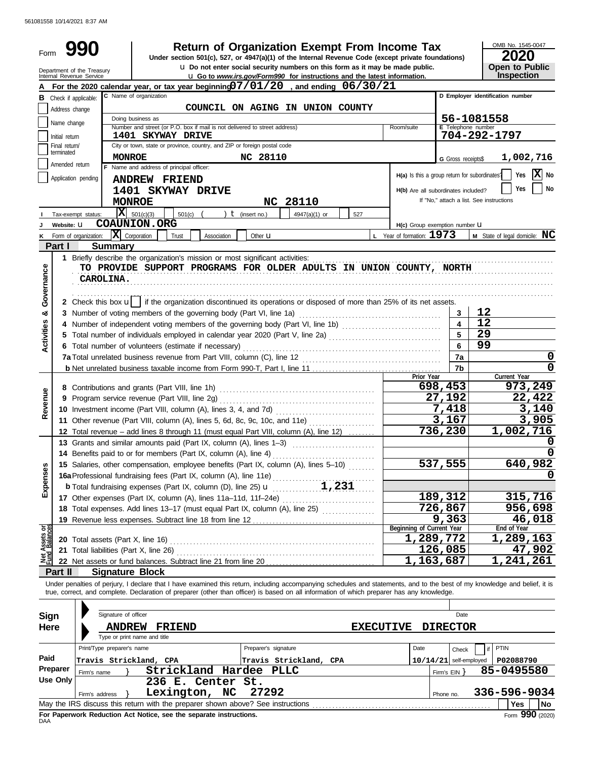561081558 10/14/2021 8:37 AM

| Form              |                                                                                                         | 990                                                    | <b>Return of Organization Exempt From Income Tax</b>                                                                                                                                                                                                                                                                     |                           | OMB No. 1545-0047<br>2020                                    |  |  |  |
|-------------------|---------------------------------------------------------------------------------------------------------|--------------------------------------------------------|--------------------------------------------------------------------------------------------------------------------------------------------------------------------------------------------------------------------------------------------------------------------------------------------------------------------------|---------------------------|--------------------------------------------------------------|--|--|--|
|                   |                                                                                                         |                                                        | Under section 501(c), 527, or 4947(a)(1) of the Internal Revenue Code (except private foundations)<br><b>u</b> Do not enter social security numbers on this form as it may be made public.                                                                                                                               |                           | Open to Public                                               |  |  |  |
|                   |                                                                                                         | Department of the Treasury<br>Internal Revenue Service | <b>u</b> Go to www.irs.gov/Form990 for instructions and the latest information.                                                                                                                                                                                                                                          |                           | Inspection                                                   |  |  |  |
|                   |                                                                                                         |                                                        | For the 2020 calendar year, or tax year beginning $07/01/20$ , and ending $06/30/21$                                                                                                                                                                                                                                     |                           |                                                              |  |  |  |
|                   |                                                                                                         | <b>B</b> Check if applicable:                          | C Name of organization                                                                                                                                                                                                                                                                                                   |                           | D Employer identification number                             |  |  |  |
|                   | Address change                                                                                          |                                                        | COUNCIL ON AGING IN UNION COUNTY<br>Doing business as                                                                                                                                                                                                                                                                    |                           | 56-1081558                                                   |  |  |  |
|                   | Name change                                                                                             |                                                        | Number and street (or P.O. box if mail is not delivered to street address)<br>Room/suite                                                                                                                                                                                                                                 | E Telephone number        |                                                              |  |  |  |
|                   | Initial return                                                                                          |                                                        | 1401 SKYWAY DRIVE                                                                                                                                                                                                                                                                                                        |                           | 704-292-1797                                                 |  |  |  |
|                   | City or town, state or province, country, and ZIP or foreign postal code<br>Final return/<br>terminated |                                                        |                                                                                                                                                                                                                                                                                                                          |                           |                                                              |  |  |  |
|                   | Amended return                                                                                          |                                                        | <b>MONROE</b><br>NC 28110<br>F Name and address of principal officer:                                                                                                                                                                                                                                                    | <b>G</b> Gross receipts\$ | 1,002,716                                                    |  |  |  |
|                   |                                                                                                         | Application pending                                    | <b>ANDREW FRIEND</b>                                                                                                                                                                                                                                                                                                     |                           | X No<br>Yes<br>H(a) Is this a group return for subordinates? |  |  |  |
|                   |                                                                                                         |                                                        | 1401 SKYWAY DRIVE<br>H(b) Are all subordinates included?                                                                                                                                                                                                                                                                 |                           | No<br>Yes                                                    |  |  |  |
|                   |                                                                                                         |                                                        | NC 28110<br><b>MONROE</b>                                                                                                                                                                                                                                                                                                |                           | If "No," attach a list. See instructions                     |  |  |  |
|                   |                                                                                                         | Tax-exempt status:                                     | $\overline{\mathbf{X}}$ 501(c)(3)<br>$t$ (insert no.)<br>4947(a)(1) or<br>501(c)<br>527                                                                                                                                                                                                                                  |                           |                                                              |  |  |  |
|                   | Website: U                                                                                              |                                                        | <b>COAUNION.ORG</b><br>H(c) Group exemption number <b>U</b>                                                                                                                                                                                                                                                              |                           |                                                              |  |  |  |
|                   |                                                                                                         | K Form of organization:                                | $ \mathbf{X} $ Corporation<br>L Year of formation: $1973$<br>Trust<br>Association<br>Other <b>u</b>                                                                                                                                                                                                                      |                           | <b>M</b> State of legal domicile: $MC$                       |  |  |  |
|                   | Part I                                                                                                  |                                                        | <b>Summary</b>                                                                                                                                                                                                                                                                                                           |                           |                                                              |  |  |  |
|                   |                                                                                                         |                                                        | 1 Briefly describe the organization's mission or most significant activities:<br>TO PROVIDE SUPPORT PROGRAMS FOR OLDER ADULTS IN UNION COUNTY, NORTH                                                                                                                                                                     |                           |                                                              |  |  |  |
| Governance        |                                                                                                         | <b>CAROLINA.</b>                                       |                                                                                                                                                                                                                                                                                                                          |                           |                                                              |  |  |  |
|                   |                                                                                                         |                                                        |                                                                                                                                                                                                                                                                                                                          |                           |                                                              |  |  |  |
|                   |                                                                                                         |                                                        | 2 Check this box u    if the organization discontinued its operations or disposed of more than 25% of its net assets.                                                                                                                                                                                                    |                           |                                                              |  |  |  |
| න්                |                                                                                                         |                                                        | 3 Number of voting members of the governing body (Part VI, line 1a)                                                                                                                                                                                                                                                      | 3                         | 12                                                           |  |  |  |
|                   |                                                                                                         |                                                        | 4 Number of independent voting members of the governing body (Part VI, line 1b)                                                                                                                                                                                                                                          | $\overline{\mathbf{4}}$   | 12                                                           |  |  |  |
| <b>Activities</b> |                                                                                                         |                                                        | 5 Total number of individuals employed in calendar year 2020 (Part V, line 2a) [[[[[[[[[[[[[[[[[[[[[[[[[[[[[[[                                                                                                                                                                                                           | 5                         | 29                                                           |  |  |  |
|                   |                                                                                                         |                                                        | 6 Total number of volunteers (estimate if necessary)                                                                                                                                                                                                                                                                     | 6                         | 99                                                           |  |  |  |
|                   |                                                                                                         |                                                        |                                                                                                                                                                                                                                                                                                                          | 7a                        | 0                                                            |  |  |  |
|                   |                                                                                                         |                                                        | Prior Year                                                                                                                                                                                                                                                                                                               | 7 <sub>b</sub>            | $\mathbf 0$<br>Current Year                                  |  |  |  |
|                   |                                                                                                         |                                                        |                                                                                                                                                                                                                                                                                                                          | 698,453                   | 973,249                                                      |  |  |  |
|                   |                                                                                                         |                                                        |                                                                                                                                                                                                                                                                                                                          | 27,192                    | 22,422                                                       |  |  |  |
| Revenue           |                                                                                                         |                                                        |                                                                                                                                                                                                                                                                                                                          | 7,418                     | 3,140                                                        |  |  |  |
|                   |                                                                                                         |                                                        | 11 Other revenue (Part VIII, column (A), lines 5, 6d, 8c, 9c, 10c, and 11e)                                                                                                                                                                                                                                              | 3,167                     | 3,905                                                        |  |  |  |
|                   |                                                                                                         |                                                        | 12 Total revenue - add lines 8 through 11 (must equal Part VIII, column (A), line 12)                                                                                                                                                                                                                                    | 736,230                   | 1,002,716                                                    |  |  |  |
|                   |                                                                                                         |                                                        | 13 Grants and similar amounts paid (Part IX, column (A), lines 1-3)                                                                                                                                                                                                                                                      |                           | 0                                                            |  |  |  |
|                   |                                                                                                         |                                                        | 14 Benefits paid to or for members (Part IX, column (A), line 4)<br>15 Salaries, other compensation, employee benefits (Part IX, column (A), lines 5-10)                                                                                                                                                                 | 537,555                   | 640,982                                                      |  |  |  |
| Expenses          |                                                                                                         |                                                        |                                                                                                                                                                                                                                                                                                                          |                           | 0                                                            |  |  |  |
|                   |                                                                                                         |                                                        |                                                                                                                                                                                                                                                                                                                          |                           |                                                              |  |  |  |
|                   |                                                                                                         |                                                        |                                                                                                                                                                                                                                                                                                                          | 189,312                   | 315,716                                                      |  |  |  |
|                   |                                                                                                         |                                                        | 18 Total expenses. Add lines 13-17 (must equal Part IX, column (A), line 25)                                                                                                                                                                                                                                             | 726,867                   | 956,698                                                      |  |  |  |
|                   |                                                                                                         |                                                        |                                                                                                                                                                                                                                                                                                                          | 9,363                     | 46,018                                                       |  |  |  |
| ಕ್ಷ               |                                                                                                         |                                                        | <b>Beginning of Current Year</b>                                                                                                                                                                                                                                                                                         | 1,289,772                 | End of Year<br>1,289,163                                     |  |  |  |
| Assets<br>Balanc  |                                                                                                         |                                                        | 21 Total liabilities (Part X, line 26)                                                                                                                                                                                                                                                                                   | 126,085                   | 47,902                                                       |  |  |  |
|                   |                                                                                                         |                                                        |                                                                                                                                                                                                                                                                                                                          | 1,163,687                 | $\overline{1,241,261}$                                       |  |  |  |
|                   | <b>Part II</b>                                                                                          |                                                        | <b>Signature Block</b>                                                                                                                                                                                                                                                                                                   |                           |                                                              |  |  |  |
|                   |                                                                                                         |                                                        | Under penalties of perjury, I declare that I have examined this return, including accompanying schedules and statements, and to the best of my knowledge and belief, it is<br>true, correct, and complete. Declaration of preparer (other than officer) is based on all information of which preparer has any knowledge. |                           |                                                              |  |  |  |
|                   |                                                                                                         |                                                        |                                                                                                                                                                                                                                                                                                                          |                           |                                                              |  |  |  |
| Sign              |                                                                                                         |                                                        | Signature of officer                                                                                                                                                                                                                                                                                                     | Date                      |                                                              |  |  |  |
| Here              |                                                                                                         |                                                        | <b>ANDREW</b><br><b>EXECUTIVE</b><br><b>FRIEND</b>                                                                                                                                                                                                                                                                       | <b>DIRECTOR</b>           |                                                              |  |  |  |
|                   |                                                                                                         |                                                        | Type or print name and title                                                                                                                                                                                                                                                                                             |                           |                                                              |  |  |  |
| Paid              |                                                                                                         |                                                        | Print/Type preparer's name<br>Preparer's signature<br>Date                                                                                                                                                                                                                                                               | Check                     | PTIN<br>if                                                   |  |  |  |
|                   | <b>Preparer</b>                                                                                         |                                                        | Travis Strickland, CPA<br>Travis Strickland, CPA<br>Strickland Hardee PLLC                                                                                                                                                                                                                                               | $10/14/21$ self-employed  | P02088790<br>85-0495580                                      |  |  |  |
|                   | Use Only                                                                                                | Firm's name                                            | 236 E. Center St.                                                                                                                                                                                                                                                                                                        | Firm's $EIN$ }            |                                                              |  |  |  |
|                   |                                                                                                         | Firm's address $\}$                                    | Lexington, NC<br>27292                                                                                                                                                                                                                                                                                                   | Phone no.                 | 336-596-9034                                                 |  |  |  |
|                   |                                                                                                         |                                                        |                                                                                                                                                                                                                                                                                                                          |                           | Yes<br><b>No</b>                                             |  |  |  |

|                                                                           | Firm's address | Lexington, NC                                                                   |  | 27292 |  | Phone no. | 336-596-9034    |     |      |
|---------------------------------------------------------------------------|----------------|---------------------------------------------------------------------------------|--|-------|--|-----------|-----------------|-----|------|
|                                                                           |                | May the IRS discuss this return with the preparer shown above? See instructions |  |       |  |           |                 | Yes | l No |
| For Paperwork Reduction Act Notice, see the separate instructions.<br>DAA |                |                                                                                 |  |       |  |           | Form 990 (2020) |     |      |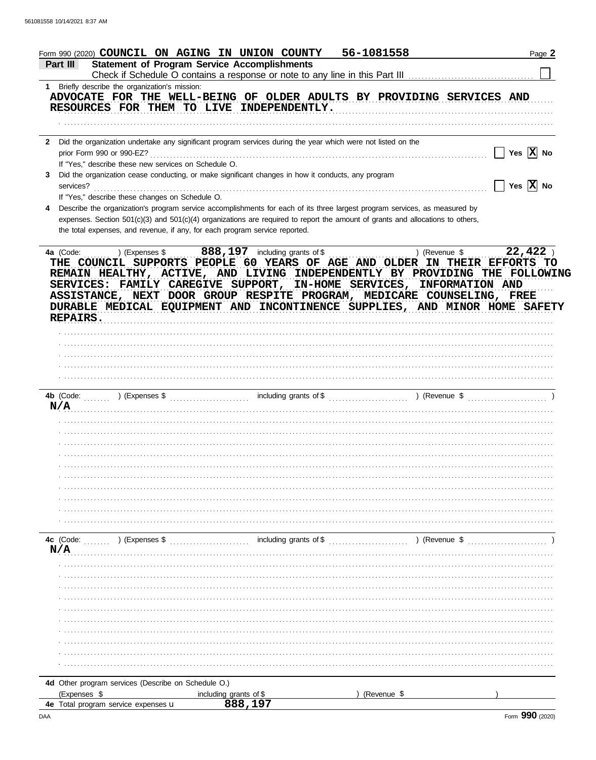| Form 990 (2020) COUNCIL ON AGING IN UNION COUNTY                                                                                                                                                                                                                                                                                                                                                            |                        | 56-1081558    | Page 2                       |
|-------------------------------------------------------------------------------------------------------------------------------------------------------------------------------------------------------------------------------------------------------------------------------------------------------------------------------------------------------------------------------------------------------------|------------------------|---------------|------------------------------|
| <b>Statement of Program Service Accomplishments</b><br><b>Part III</b>                                                                                                                                                                                                                                                                                                                                      |                        |               |                              |
|                                                                                                                                                                                                                                                                                                                                                                                                             |                        |               |                              |
| 1 Briefly describe the organization's mission:<br>ADVOCATE FOR THE WELL-BEING OF OLDER ADULTS BY PROVIDING SERVICES AND<br>RESOURCES FOR THEM TO LIVE INDEPENDENTLY.                                                                                                                                                                                                                                        |                        |               |                              |
|                                                                                                                                                                                                                                                                                                                                                                                                             |                        |               |                              |
| Did the organization undertake any significant program services during the year which were not listed on the<br>$\mathbf{2}$                                                                                                                                                                                                                                                                                |                        |               |                              |
| If "Yes," describe these new services on Schedule O.                                                                                                                                                                                                                                                                                                                                                        |                        |               | $\Box$ Yes $\overline{X}$ No |
| Did the organization cease conducting, or make significant changes in how it conducts, any program<br>3<br>services?                                                                                                                                                                                                                                                                                        |                        |               | $\Box$ Yes $\overline{X}$ No |
| If "Yes," describe these changes on Schedule O.                                                                                                                                                                                                                                                                                                                                                             |                        |               |                              |
| Describe the organization's program service accomplishments for each of its three largest program services, as measured by<br>4<br>expenses. Section 501(c)(3) and 501(c)(4) organizations are required to report the amount of grants and allocations to others,<br>the total expenses, and revenue, if any, for each program service reported.                                                            |                        |               |                              |
| THE COUNCIL SUPPORTS PEOPLE 60 YEARS OF AGE AND OLDER IN THEIR EFFORTS TO<br>REMAIN HEALTHY, ACTIVE, AND LIVING INDEPENDENTLY BY PROVIDING THE FOLLOWING<br>SERVICES: FAMILY CAREGIVE SUPPORT, IN-HOME SERVICES, INFORMATION AND<br>ASSISTANCE, NEXT DOOR GROUP RESPITE PROGRAM, MEDICARE COUNSELING, FREE<br>DURABLE MEDICAL EQUIPMENT AND INCONTINENCE SUPPLIES, AND MINOR HOME SAFETY<br><b>REPAIRS.</b> |                        |               |                              |
|                                                                                                                                                                                                                                                                                                                                                                                                             |                        |               |                              |
|                                                                                                                                                                                                                                                                                                                                                                                                             |                        |               |                              |
|                                                                                                                                                                                                                                                                                                                                                                                                             |                        |               |                              |
|                                                                                                                                                                                                                                                                                                                                                                                                             |                        |               |                              |
|                                                                                                                                                                                                                                                                                                                                                                                                             |                        |               |                              |
| N/A                                                                                                                                                                                                                                                                                                                                                                                                         |                        |               |                              |
|                                                                                                                                                                                                                                                                                                                                                                                                             |                        |               |                              |
|                                                                                                                                                                                                                                                                                                                                                                                                             |                        |               |                              |
|                                                                                                                                                                                                                                                                                                                                                                                                             |                        |               |                              |
|                                                                                                                                                                                                                                                                                                                                                                                                             |                        |               |                              |
|                                                                                                                                                                                                                                                                                                                                                                                                             |                        |               |                              |
|                                                                                                                                                                                                                                                                                                                                                                                                             |                        |               |                              |
|                                                                                                                                                                                                                                                                                                                                                                                                             |                        |               |                              |
|                                                                                                                                                                                                                                                                                                                                                                                                             |                        |               |                              |
|                                                                                                                                                                                                                                                                                                                                                                                                             |                        |               |                              |
| <b>4c</b> (Code: $\ldots$ ) (Expenses \$<br>N/A                                                                                                                                                                                                                                                                                                                                                             | including grants of \$ | ) (Revenue \$ |                              |
|                                                                                                                                                                                                                                                                                                                                                                                                             |                        |               |                              |
|                                                                                                                                                                                                                                                                                                                                                                                                             |                        |               |                              |
|                                                                                                                                                                                                                                                                                                                                                                                                             |                        |               |                              |
|                                                                                                                                                                                                                                                                                                                                                                                                             |                        |               |                              |
|                                                                                                                                                                                                                                                                                                                                                                                                             |                        |               |                              |
|                                                                                                                                                                                                                                                                                                                                                                                                             |                        |               |                              |
|                                                                                                                                                                                                                                                                                                                                                                                                             |                        |               |                              |
|                                                                                                                                                                                                                                                                                                                                                                                                             |                        |               |                              |
|                                                                                                                                                                                                                                                                                                                                                                                                             |                        |               |                              |
|                                                                                                                                                                                                                                                                                                                                                                                                             |                        |               |                              |
| 4d Other program services (Describe on Schedule O.)                                                                                                                                                                                                                                                                                                                                                         |                        |               |                              |
| (Expenses \$                                                                                                                                                                                                                                                                                                                                                                                                | including grants of \$ | (Revenue \$   |                              |
| 4e Total program service expenses u                                                                                                                                                                                                                                                                                                                                                                         | 888,197                |               |                              |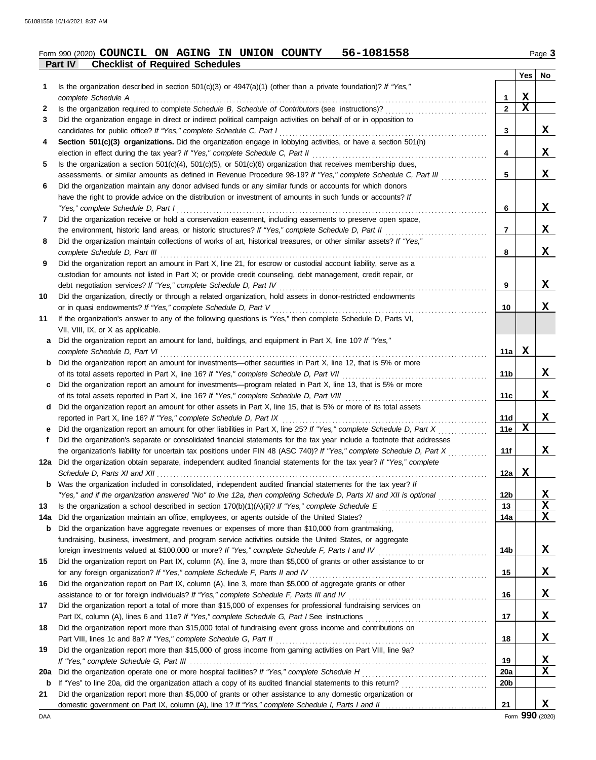#### **Part IV Checklist of Required Schedules Form 990 (2020) COUNCIL ON AGING IN UNION COUNTY 56-1081558** Page 3

|             |                                                                                                                                                                                                                                |                 | Yes         | No |
|-------------|--------------------------------------------------------------------------------------------------------------------------------------------------------------------------------------------------------------------------------|-----------------|-------------|----|
| 1.          | Is the organization described in section $501(c)(3)$ or $4947(a)(1)$ (other than a private foundation)? If "Yes,"                                                                                                              |                 |             |    |
|             | complete Schedule A example of the state of the state of the state of the state of the state of the state of the state of the state of the state of the state of the state of the state of the state of the state of the state | 1               | X           |    |
| 2           |                                                                                                                                                                                                                                | $\overline{2}$  | $\mathbf x$ |    |
| 3           | Did the organization engage in direct or indirect political campaign activities on behalf of or in opposition to                                                                                                               |                 |             |    |
|             | candidates for public office? If "Yes," complete Schedule C, Part I                                                                                                                                                            | 3               |             | X  |
| 4           | Section 501(c)(3) organizations. Did the organization engage in lobbying activities, or have a section 501(h)                                                                                                                  |                 |             |    |
|             | election in effect during the tax year? If "Yes," complete Schedule C, Part II                                                                                                                                                 | 4               |             | X  |
| 5           | Is the organization a section $501(c)(4)$ , $501(c)(5)$ , or $501(c)(6)$ organization that receives membership dues,                                                                                                           |                 |             |    |
|             | assessments, or similar amounts as defined in Revenue Procedure 98-19? If "Yes," complete Schedule C, Part III                                                                                                                 | 5               |             | X  |
| 6           | Did the organization maintain any donor advised funds or any similar funds or accounts for which donors                                                                                                                        |                 |             |    |
|             | have the right to provide advice on the distribution or investment of amounts in such funds or accounts? If                                                                                                                    |                 |             |    |
|             | "Yes," complete Schedule D, Part I                                                                                                                                                                                             | 6               |             | X  |
| 7           | Did the organization receive or hold a conservation easement, including easements to preserve open space,                                                                                                                      |                 |             |    |
|             | the environment, historic land areas, or historic structures? If "Yes," complete Schedule D, Part II                                                                                                                           | 7               |             | X  |
| 8           | Did the organization maintain collections of works of art, historical treasures, or other similar assets? If "Yes,"                                                                                                            |                 |             |    |
|             |                                                                                                                                                                                                                                | 8               |             | X  |
| 9           | Did the organization report an amount in Part X, line 21, for escrow or custodial account liability, serve as a                                                                                                                |                 |             |    |
|             | custodian for amounts not listed in Part X; or provide credit counseling, debt management, credit repair, or                                                                                                                   |                 |             |    |
|             | debt negotiation services? If "Yes," complete Schedule D, Part IV                                                                                                                                                              | 9               |             | X  |
| 10          | Did the organization, directly or through a related organization, hold assets in donor-restricted endowments                                                                                                                   |                 |             |    |
|             | or in quasi endowments? If "Yes," complete Schedule D, Part V                                                                                                                                                                  | 10              |             | X  |
| 11          | If the organization's answer to any of the following questions is "Yes," then complete Schedule D, Parts VI,                                                                                                                   |                 |             |    |
|             | VII, VIII, IX, or X as applicable.                                                                                                                                                                                             |                 |             |    |
| a           | Did the organization report an amount for land, buildings, and equipment in Part X, line 10? If "Yes,"                                                                                                                         |                 |             |    |
|             | complete Schedule D, Part VI                                                                                                                                                                                                   | 11a             | $\mathbf X$ |    |
|             | <b>b</b> Did the organization report an amount for investments—other securities in Part X, line 12, that is 5% or more                                                                                                         |                 |             |    |
|             | of its total assets reported in Part X, line 16? If "Yes," complete Schedule D, Part VII                                                                                                                                       | 11b             |             | X  |
| c           | Did the organization report an amount for investments—program related in Part X, line 13, that is 5% or more                                                                                                                   |                 |             | X  |
|             | of its total assets reported in Part X, line 16? If "Yes," complete Schedule D, Part VIII [[[[[[[[[[[[[[[[[[[[                                                                                                                 | 11c             |             |    |
|             | d Did the organization report an amount for other assets in Part X, line 15, that is 5% or more of its total assets                                                                                                            | 11d             |             | X  |
|             | e Did the organization report an amount for other liabilities in Part X, line 25? If "Yes," complete Schedule D, Part X                                                                                                        | 11e             | X           |    |
| f           | Did the organization's separate or consolidated financial statements for the tax year include a footnote that addresses                                                                                                        |                 |             |    |
|             | the organization's liability for uncertain tax positions under FIN 48 (ASC 740)? If "Yes," complete Schedule D, Part X                                                                                                         | 11f             |             | X  |
|             | 12a Did the organization obtain separate, independent audited financial statements for the tax year? If "Yes," complete                                                                                                        |                 |             |    |
|             |                                                                                                                                                                                                                                | 12a             | X           |    |
| b           | Was the organization included in consolidated, independent audited financial statements for the tax year? If                                                                                                                   |                 |             |    |
|             | "Yes," and if the organization answered "No" to line 12a, then completing Schedule D, Parts XI and XII is optional                                                                                                             | 12b             |             | X  |
| 13          |                                                                                                                                                                                                                                | 13              |             | X  |
| 14a         | Did the organization maintain an office, employees, or agents outside of the United States? [[[[[[[[[[[[[[[[[[                                                                                                                 | 14a             |             | X  |
| b           | Did the organization have aggregate revenues or expenses of more than \$10,000 from grantmaking,                                                                                                                               |                 |             |    |
|             | fundraising, business, investment, and program service activities outside the United States, or aggregate                                                                                                                      |                 |             |    |
|             |                                                                                                                                                                                                                                | 14b             |             | X  |
| 15          | Did the organization report on Part IX, column (A), line 3, more than \$5,000 of grants or other assistance to or                                                                                                              |                 |             |    |
|             | for any foreign organization? If "Yes," complete Schedule F, Parts II and IV [[[[[[[[[[[[[[[[[[[[[[[[[[[[[[[[                                                                                                                  | 15              |             | X  |
| 16          | Did the organization report on Part IX, column (A), line 3, more than \$5,000 of aggregate grants or other                                                                                                                     |                 |             |    |
|             |                                                                                                                                                                                                                                | 16              |             | X  |
| 17          | Did the organization report a total of more than \$15,000 of expenses for professional fundraising services on                                                                                                                 |                 |             |    |
|             |                                                                                                                                                                                                                                | 17              |             | X  |
| 18          | Did the organization report more than \$15,000 total of fundraising event gross income and contributions on                                                                                                                    |                 |             |    |
|             |                                                                                                                                                                                                                                | 18              |             | X  |
| 19          | Did the organization report more than \$15,000 of gross income from gaming activities on Part VIII, line 9a?                                                                                                                   |                 |             |    |
|             |                                                                                                                                                                                                                                | 19              |             | X  |
| 20a         |                                                                                                                                                                                                                                | <b>20a</b>      |             | X  |
| $\mathbf b$ | If "Yes" to line 20a, did the organization attach a copy of its audited financial statements to this return?                                                                                                                   | 20 <sub>b</sub> |             |    |
| 21          | Did the organization report more than \$5,000 of grants or other assistance to any domestic organization or                                                                                                                    |                 |             |    |
|             |                                                                                                                                                                                                                                | 21              |             | X  |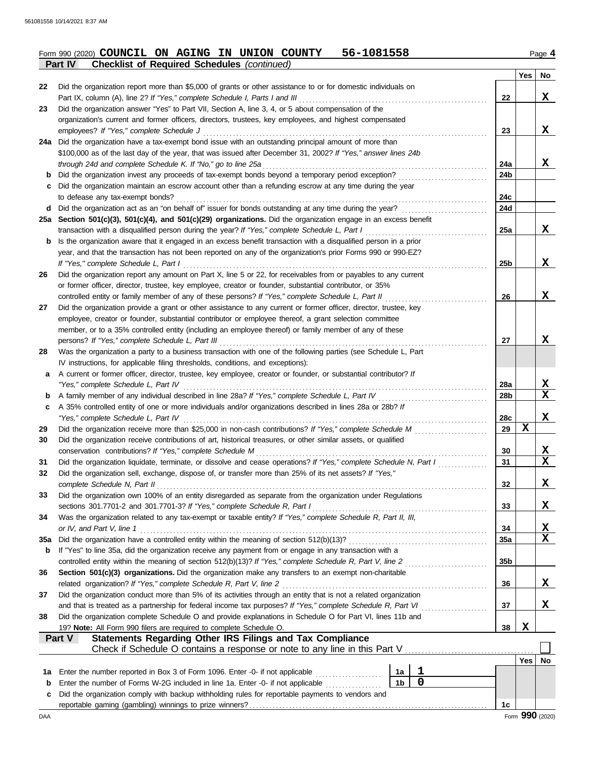|     | <b>Checklist of Required Schedules (continued)</b><br>Part IV                                                                                                                                                           |                 |     |    |
|-----|-------------------------------------------------------------------------------------------------------------------------------------------------------------------------------------------------------------------------|-----------------|-----|----|
|     |                                                                                                                                                                                                                         |                 | Yes | No |
| 22  | Did the organization report more than \$5,000 of grants or other assistance to or for domestic individuals on                                                                                                           |                 |     |    |
|     | Part IX, column (A), line 2? If "Yes," complete Schedule I, Parts I and III                                                                                                                                             | 22              |     | X  |
| 23  | Did the organization answer "Yes" to Part VII, Section A, line 3, 4, or 5 about compensation of the                                                                                                                     |                 |     |    |
|     | organization's current and former officers, directors, trustees, key employees, and highest compensated                                                                                                                 |                 |     |    |
|     | employees? If "Yes," complete Schedule J                                                                                                                                                                                | 23              |     | X  |
|     | 24a Did the organization have a tax-exempt bond issue with an outstanding principal amount of more than                                                                                                                 |                 |     |    |
|     | \$100,000 as of the last day of the year, that was issued after December 31, 2002? If "Yes," answer lines 24b                                                                                                           |                 |     |    |
|     | through 24d and complete Schedule K. If "No," go to line 25a                                                                                                                                                            | 24a             |     | X  |
| b   | Did the organization invest any proceeds of tax-exempt bonds beyond a temporary period exception?                                                                                                                       | 24b             |     |    |
|     | Did the organization maintain an escrow account other than a refunding escrow at any time during the year                                                                                                               |                 |     |    |
|     | to defease any tax-exempt bonds?                                                                                                                                                                                        | 24c             |     |    |
| d   |                                                                                                                                                                                                                         | 24d             |     |    |
|     | 25a Section 501(c)(3), 501(c)(4), and 501(c)(29) organizations. Did the organization engage in an excess benefit                                                                                                        |                 |     |    |
|     | transaction with a disqualified person during the year? If "Yes," complete Schedule L, Part I                                                                                                                           | 25a             |     | X  |
| b   | Is the organization aware that it engaged in an excess benefit transaction with a disqualified person in a prior                                                                                                        |                 |     |    |
|     | year, and that the transaction has not been reported on any of the organization's prior Forms 990 or 990-EZ?                                                                                                            |                 |     |    |
|     | If "Yes," complete Schedule L, Part I                                                                                                                                                                                   | 25 <sub>b</sub> |     | X  |
| 26  | Did the organization report any amount on Part X, line 5 or 22, for receivables from or payables to any current                                                                                                         |                 |     |    |
|     | or former officer, director, trustee, key employee, creator or founder, substantial contributor, or 35%                                                                                                                 |                 |     |    |
|     | controlled entity or family member of any of these persons? If "Yes," complete Schedule L, Part II                                                                                                                      | 26              |     | X  |
| 27  | Did the organization provide a grant or other assistance to any current or former officer, director, trustee, key                                                                                                       |                 |     |    |
|     | employee, creator or founder, substantial contributor or employee thereof, a grant selection committee                                                                                                                  |                 |     |    |
|     | member, or to a 35% controlled entity (including an employee thereof) or family member of any of these                                                                                                                  |                 |     |    |
|     | persons? If "Yes," complete Schedule L, Part III                                                                                                                                                                        | 27              |     | X  |
| 28  | Was the organization a party to a business transaction with one of the following parties (see Schedule L, Part                                                                                                          |                 |     |    |
|     | IV instructions, for applicable filing thresholds, conditions, and exceptions):                                                                                                                                         |                 |     |    |
| a   | A current or former officer, director, trustee, key employee, creator or founder, or substantial contributor? If                                                                                                        |                 |     |    |
|     | "Yes," complete Schedule L, Part IV                                                                                                                                                                                     | 28a             |     | X  |
| b   | A family member of any individual described in line 28a? If "Yes," complete Schedule L, Part IV [[[[[[[[[[[[[                                                                                                           | 28b             |     | X  |
| c   | A 35% controlled entity of one or more individuals and/or organizations described in lines 28a or 28b? If                                                                                                               |                 |     |    |
|     | "Yes," complete Schedule L, Part IV                                                                                                                                                                                     | 28c             |     | X  |
| 29  |                                                                                                                                                                                                                         | 29              | X   |    |
| 30  | Did the organization receive contributions of art, historical treasures, or other similar assets, or qualified                                                                                                          |                 |     |    |
|     | conservation contributions? If "Yes," complete Schedule M                                                                                                                                                               | 30              |     | X  |
| 31  | Did the organization liquidate, terminate, or dissolve and cease operations? If "Yes," complete Schedule N, Part I                                                                                                      | 31              |     | X  |
|     | Did the organization sell, exchange, dispose of, or transfer more than 25% of its net assets? If "Yes,"                                                                                                                 |                 |     |    |
|     | complete Schedule N, Part II                                                                                                                                                                                            | 32              |     | X  |
| 33  | Did the organization own 100% of an entity disregarded as separate from the organization under Regulations                                                                                                              |                 |     |    |
|     | sections 301.7701-2 and 301.7701-3? If "Yes," complete Schedule R, Part I                                                                                                                                               | 33              |     | X  |
| 34  | Was the organization related to any tax-exempt or taxable entity? If "Yes," complete Schedule R, Part II, III,                                                                                                          |                 |     |    |
|     | or IV, and Part V, line 1                                                                                                                                                                                               | 34              |     | X  |
| 35a |                                                                                                                                                                                                                         | 35a             |     | X  |
|     | If "Yes" to line 35a, did the organization receive any payment from or engage in any transaction with a                                                                                                                 |                 |     |    |
| b   |                                                                                                                                                                                                                         |                 |     |    |
|     | controlled entity within the meaning of section 512(b)(13)? If "Yes," complete Schedule R, Part V, line 2                                                                                                               | 35 <sub>b</sub> |     |    |
| 36  | Section 501(c)(3) organizations. Did the organization make any transfers to an exempt non-charitable                                                                                                                    |                 |     | X  |
|     | related organization? If "Yes," complete Schedule R, Part V, line 2                                                                                                                                                     | 36              |     |    |
| 37  | Did the organization conduct more than 5% of its activities through an entity that is not a related organization                                                                                                        |                 |     |    |
|     | and that is treated as a partnership for federal income tax purposes? If "Yes," complete Schedule R, Part VI                                                                                                            | 37              |     | x  |
| 38  | Did the organization complete Schedule O and provide explanations in Schedule O for Part VI, lines 11b and                                                                                                              |                 |     |    |
|     | 19? Note: All Form 990 filers are required to complete Schedule O.                                                                                                                                                      | 38              | X   |    |
|     | Statements Regarding Other IRS Filings and Tax Compliance<br>Part V                                                                                                                                                     |                 |     |    |
|     | Check if Schedule O contains a response or note to any line in this Part V                                                                                                                                              |                 |     |    |
|     |                                                                                                                                                                                                                         |                 | Yes | No |
| 1a  | 1<br>Enter the number reported in Box 3 of Form 1096. Enter -0- if not applicable<br>1a                                                                                                                                 |                 |     |    |
| b   | $\mathbf 0$<br>1 <sub>b</sub><br>Enter the number of Forms W-2G included in line 1a. Enter -0- if not applicable<br>c. Did the organization comply with backup withholding rules for reportable payments to vendors and |                 |     |    |

| Did the organization comply with backup withholding rules for reportable payments to vendors and |  |
|--------------------------------------------------------------------------------------------------|--|
|                                                                                                  |  |

DAA Form **990** (2020)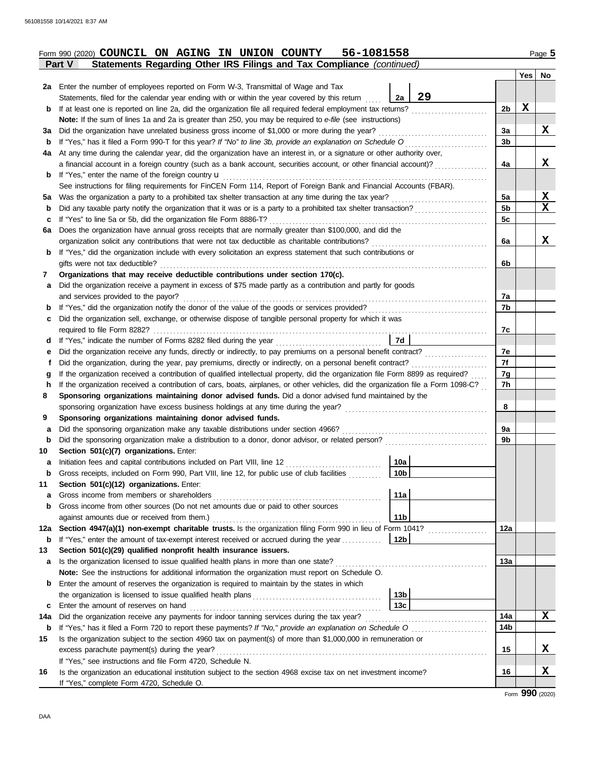| Form 990 (2020) COUNCIL ON AGING IN UNION COUNTY | 56-1081558 | Page 5 |
|--------------------------------------------------|------------|--------|
| --                                               |            |        |

|     | Statements Regarding Other IRS Filings and Tax Compliance (continued)<br>Part V                                                    |                |     |             |  |  |
|-----|------------------------------------------------------------------------------------------------------------------------------------|----------------|-----|-------------|--|--|
|     |                                                                                                                                    |                | Yes | No          |  |  |
|     | 2a Enter the number of employees reported on Form W-3, Transmittal of Wage and Tax                                                 |                |     |             |  |  |
|     | 29<br>2a<br>Statements, filed for the calendar year ending with or within the year covered by this return                          |                |     |             |  |  |
| b   | If at least one is reported on line 2a, did the organization file all required federal employment tax returns?                     | 2b             | X   |             |  |  |
|     | Note: If the sum of lines 1a and 2a is greater than 250, you may be required to e-file (see instructions)                          |                |     |             |  |  |
| За  | Did the organization have unrelated business gross income of \$1,000 or more during the year?                                      | За             |     | x           |  |  |
| b   | If "Yes," has it filed a Form 990-T for this year? If "No" to line 3b, provide an explanation on Schedule O                        | 3b             |     |             |  |  |
| 4a  | At any time during the calendar year, did the organization have an interest in, or a signature or other authority over,            |                |     |             |  |  |
|     | a financial account in a foreign country (such as a bank account, securities account, or other financial account)?                 | 4a             |     | x           |  |  |
| b   | If "Yes," enter the name of the foreign country $\mathbf u$                                                                        |                |     |             |  |  |
|     | See instructions for filing requirements for FinCEN Form 114, Report of Foreign Bank and Financial Accounts (FBAR).                |                |     |             |  |  |
| ьa  | Was the organization a party to a prohibited tax shelter transaction at any time during the tax year?                              | 5a             |     | X           |  |  |
| b   |                                                                                                                                    | 5 <sub>b</sub> |     | $\mathbf x$ |  |  |
| с   | If "Yes" to line 5a or 5b, did the organization file Form 8886-T?                                                                  | 5c             |     |             |  |  |
| Gа  | Does the organization have annual gross receipts that are normally greater than \$100,000, and did the                             |                |     |             |  |  |
|     | organization solicit any contributions that were not tax deductible as charitable contributions?                                   | 6a             |     | x           |  |  |
| b   | If "Yes," did the organization include with every solicitation an express statement that such contributions or                     |                |     |             |  |  |
|     | gifts were not tax deductible?                                                                                                     |                |     |             |  |  |
| 7   | Organizations that may receive deductible contributions under section 170(c).                                                      |                |     |             |  |  |
| а   | Did the organization receive a payment in excess of \$75 made partly as a contribution and partly for goods                        |                |     |             |  |  |
|     | and services provided to the payor?                                                                                                | 7a             |     |             |  |  |
| b   | If "Yes," did the organization notify the donor of the value of the goods or services provided?                                    | 7b             |     |             |  |  |
| c   | Did the organization sell, exchange, or otherwise dispose of tangible personal property for which it was                           |                |     |             |  |  |
|     | required to file Form 8282?                                                                                                        | 7c             |     |             |  |  |
| d   | 7d<br>If "Yes," indicate the number of Forms 8282 filed during the year                                                            |                |     |             |  |  |
| е   | Did the organization receive any funds, directly or indirectly, to pay premiums on a personal benefit contract?                    | 7е             |     |             |  |  |
| t   | Did the organization, during the year, pay premiums, directly or indirectly, on a personal benefit contract?                       | 7f             |     |             |  |  |
| g   | If the organization received a contribution of qualified intellectual property, did the organization file Form 8899 as required?   | 7g             |     |             |  |  |
| h   | If the organization received a contribution of cars, boats, airplanes, or other vehicles, did the organization file a Form 1098-C? | 7h             |     |             |  |  |
| 8   | Sponsoring organizations maintaining donor advised funds. Did a donor advised fund maintained by the                               |                |     |             |  |  |
|     | sponsoring organization have excess business holdings at any time during the year?                                                 | 8              |     |             |  |  |
| 9   | Sponsoring organizations maintaining donor advised funds.                                                                          |                |     |             |  |  |
| а   | Did the sponsoring organization make any taxable distributions under section 4966?                                                 | 9а             |     |             |  |  |
| b   |                                                                                                                                    | 9b             |     |             |  |  |
| 10  | Section 501(c)(7) organizations. Enter:                                                                                            |                |     |             |  |  |
| a   | 10a                                                                                                                                |                |     |             |  |  |
|     | 10 <sub>b</sub><br>Gross receipts, included on Form 990, Part VIII, line 12, for public use of club facilities                     |                |     |             |  |  |
| 11  | Section 501(c)(12) organizations. Enter:                                                                                           |                |     |             |  |  |
| a   | 11a                                                                                                                                |                |     |             |  |  |
| b   | Gross income from other sources (Do not net amounts due or paid to other sources                                                   |                |     |             |  |  |
|     | 11 <sub>b</sub><br>against amounts due or received from them.)                                                                     |                |     |             |  |  |
| 12a | Section 4947(a)(1) non-exempt charitable trusts. Is the organization filing Form 990 in lieu of Form 1041?                         | 12a            |     |             |  |  |
| b   | If "Yes," enter the amount of tax-exempt interest received or accrued during the year<br>  12b                                     |                |     |             |  |  |
| 13  | Section 501(c)(29) qualified nonprofit health insurance issuers.                                                                   |                |     |             |  |  |
| a   |                                                                                                                                    | 13a            |     |             |  |  |
|     | Note: See the instructions for additional information the organization must report on Schedule O.                                  |                |     |             |  |  |
| b   | Enter the amount of reserves the organization is required to maintain by the states in which                                       |                |     |             |  |  |
|     | 13 <sub>b</sub>                                                                                                                    |                |     |             |  |  |
| c   | 13c<br>Enter the amount of reserves on hand                                                                                        |                |     |             |  |  |
| 14a | Did the organization receive any payments for indoor tanning services during the tax year?                                         | 14a            |     | X           |  |  |
| b   |                                                                                                                                    |                |     |             |  |  |
| 15  | Is the organization subject to the section 4960 tax on payment(s) of more than \$1,000,000 in remuneration or                      |                |     |             |  |  |
|     | excess parachute payment(s) during the year?                                                                                       | 15             |     | X           |  |  |
|     | If "Yes," see instructions and file Form 4720, Schedule N.                                                                         |                |     |             |  |  |
| 16  | Is the organization an educational institution subject to the section 4968 excise tax on net investment income?                    | 16             |     | X           |  |  |
|     | If "Yes," complete Form 4720, Schedule O.                                                                                          |                |     |             |  |  |
|     |                                                                                                                                    |                |     |             |  |  |

Form **990** (2020)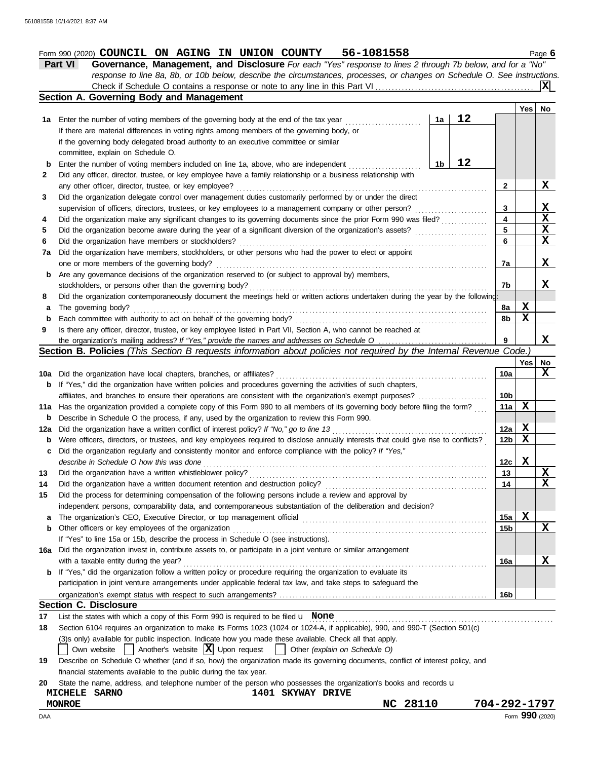## **Form 990 (2020) COUNCIL ON AGING IN UNION COUNTY 56-1081558** Page 6

|--|--|

| <b>Part VI</b> | <b>Governance, Management, and Disclosure</b> For each "Yes" response to lines 2 through 7b below, and for a "No"         |
|----------------|---------------------------------------------------------------------------------------------------------------------------|
|                | response to line 8a, 8b, or 10b below, describe the circumstances, processes, or changes on Schedule O. See instructions. |
|                |                                                                                                                           |

|     | <b>Section A. Governing Body and Management</b>                                                                                                                                                                                |            |     |    |
|-----|--------------------------------------------------------------------------------------------------------------------------------------------------------------------------------------------------------------------------------|------------|-----|----|
|     |                                                                                                                                                                                                                                |            | Yes | No |
| 1a  | 12<br>Enter the number of voting members of the governing body at the end of the tax year<br>1a                                                                                                                                |            |     |    |
|     | If there are material differences in voting rights among members of the governing body, or                                                                                                                                     |            |     |    |
|     | if the governing body delegated broad authority to an executive committee or similar                                                                                                                                           |            |     |    |
|     | committee, explain on Schedule O.                                                                                                                                                                                              |            |     |    |
| b   | 12<br>1 <sub>b</sub><br>Enter the number of voting members included on line 1a, above, who are independent                                                                                                                     |            |     |    |
| 2   | Did any officer, director, trustee, or key employee have a family relationship or a business relationship with                                                                                                                 |            |     |    |
|     | any other officer, director, trustee, or key employee?                                                                                                                                                                         | 2          |     | X  |
| 3   | Did the organization delegate control over management duties customarily performed by or under the direct                                                                                                                      |            |     |    |
|     | supervision of officers, directors, trustees, or key employees to a management company or other person?                                                                                                                        | 3          |     | X  |
| 4   | Did the organization make any significant changes to its governing documents since the prior Form 990 was filed?                                                                                                               | 4          |     | X  |
| 5   | Did the organization become aware during the year of a significant diversion of the organization's assets?                                                                                                                     | 5          |     | X  |
| 6   | Did the organization have members or stockholders?                                                                                                                                                                             | 6          |     | X  |
| 7a  | Did the organization have members, stockholders, or other persons who had the power to elect or appoint                                                                                                                        |            |     |    |
|     | one or more members of the governing body?                                                                                                                                                                                     | 7a         |     | X  |
| b   | Are any governance decisions of the organization reserved to (or subject to approval by) members,                                                                                                                              |            |     |    |
|     | stockholders, or persons other than the governing body?                                                                                                                                                                        | 7b         |     | X  |
| 8   | Did the organization contemporaneously document the meetings held or written actions undertaken during the year by the following:                                                                                              |            |     |    |
| а   | The governing body?                                                                                                                                                                                                            | 8a         | X   |    |
| b   | Each committee with authority to act on behalf of the governing body?                                                                                                                                                          | 8b         | X   |    |
| 9   | Is there any officer, director, trustee, or key employee listed in Part VII, Section A, who cannot be reached at                                                                                                               |            |     |    |
|     |                                                                                                                                                                                                                                | 9          |     | X  |
|     | Section B. Policies (This Section B requests information about policies not required by the Internal Revenue Code.)                                                                                                            |            |     |    |
|     |                                                                                                                                                                                                                                |            | Yes | No |
| 10a | Did the organization have local chapters, branches, or affiliates?                                                                                                                                                             | 10a        |     | X  |
| b   | If "Yes," did the organization have written policies and procedures governing the activities of such chapters,                                                                                                                 |            |     |    |
|     | affiliates, and branches to ensure their operations are consistent with the organization's exempt purposes?                                                                                                                    | 10b        | X   |    |
| 11a | Has the organization provided a complete copy of this Form 990 to all members of its governing body before filing the form?                                                                                                    | 11a        |     |    |
| b   | Describe in Schedule O the process, if any, used by the organization to review this Form 990.                                                                                                                                  |            | X   |    |
| 12a | Did the organization have a written conflict of interest policy? If "No," go to line 13<br>Were officers, directors, or trustees, and key employees required to disclose annually interests that could give rise to conflicts? | 12a<br>12b | X   |    |
| b   | Did the organization regularly and consistently monitor and enforce compliance with the policy? If "Yes,"                                                                                                                      |            |     |    |
| c   | describe in Schedule O how this was done                                                                                                                                                                                       | 12c        | X   |    |
| 13  | Did the organization have a written whistleblower policy?                                                                                                                                                                      | 13         |     | X  |
| 14  | Did the organization have a written document retention and destruction policy?                                                                                                                                                 | 14         |     | X  |
| 15  | Did the process for determining compensation of the following persons include a review and approval by                                                                                                                         |            |     |    |
|     | independent persons, comparability data, and contemporaneous substantiation of the deliberation and decision?                                                                                                                  |            |     |    |
| a   | The organization's CEO, Executive Director, or top management official                                                                                                                                                         | 15a        | X   |    |
| b   | Other officers or key employees of the organization                                                                                                                                                                            | 15b        |     | X  |
|     | If "Yes" to line 15a or 15b, describe the process in Schedule O (see instructions).                                                                                                                                            |            |     |    |
| 16a | Did the organization invest in, contribute assets to, or participate in a joint venture or similar arrangement                                                                                                                 |            |     |    |
|     | with a taxable entity during the year?                                                                                                                                                                                         | 16a        |     | X  |
|     | <b>b</b> If "Yes," did the organization follow a written policy or procedure requiring the organization to evaluate its                                                                                                        |            |     |    |
|     | participation in joint venture arrangements under applicable federal tax law, and take steps to safeguard the                                                                                                                  |            |     |    |
|     |                                                                                                                                                                                                                                | 16b        |     |    |
|     | <b>Section C. Disclosure</b>                                                                                                                                                                                                   |            |     |    |
| 17  | List the states with which a copy of this Form 990 is required to be filed $\mathbf u$ None                                                                                                                                    |            |     |    |
| 18  | Section 6104 requires an organization to make its Forms 1023 (1024 or 1024-A, if applicable), 990, and 990-T (Section 501(c)                                                                                                   |            |     |    |
|     | (3)s only) available for public inspection. Indicate how you made these available. Check all that apply.                                                                                                                       |            |     |    |
|     | Another's website $ \mathbf{X} $ Upon request<br>Own website<br>Other (explain on Schedule O)                                                                                                                                  |            |     |    |

**19** Describe on Schedule O whether (and if so, how) the organization made its governing documents, conflict of interest policy, and financial statements available to the public during the tax year.

|  |  |  |  |  |  |  | 20 State the name, address, and telephone number of the person who possesses the organization's books and records u |  |  |
|--|--|--|--|--|--|--|---------------------------------------------------------------------------------------------------------------------|--|--|
|--|--|--|--|--|--|--|---------------------------------------------------------------------------------------------------------------------|--|--|

| <b>DAA</b>                     |                                |             | Form 990 (2020) |
|--------------------------------|--------------------------------|-------------|-----------------|
| <b>MONROE</b>                  |                                | 28110<br>NC | 704-292-1797    |
| <b>SARNO</b><br><b>MICHELE</b> | 1401<br>DRIVE<br><b>SKYWAY</b> |             |                 |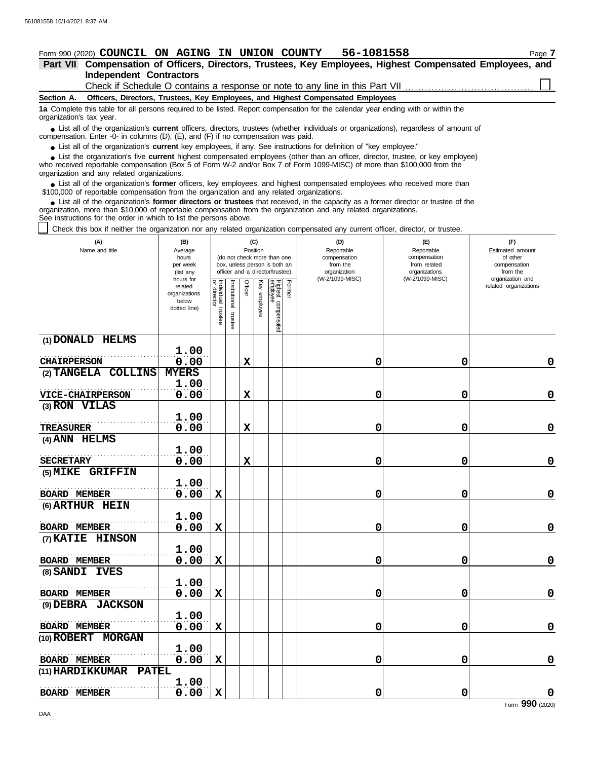## **Form 990 (2020) COUNCIL ON AGING IN UNION COUNTY 56-1081558** Page 7

#### **Independent Contractors Part VII Compensation of Officers, Directors, Trustees, Key Employees, Highest Compensated Employees, and**

Check if Schedule O contains a response or note to any line in this Part VII

**Section A. Officers, Directors, Trustees, Key Employees, and Highest Compensated Employees**

**1a** Complete this table for all persons required to be listed. Report compensation for the calendar year ending with or within the organization's tax year.

■ List all of the organization's **current** officers, directors, trustees (whether individuals or organizations), regardless of amount of annount of annount of the companies (D) (E) and (E) if no companiestion was paid compensation. Enter - $0$ - in columns (D), (E), and (F) if no compensation was paid.

● List all of the organization's **current** key employees, if any. See instructions for definition of "key employee."

who received reportable compensation (Box 5 of Form W-2 and/or Box 7 of Form 1099-MISC) of more than \$100,000 from the organization and any related organizations. ■ List the organization's five **current** highest compensated employees (other than an officer, director, trustee, or key employee)<br> **•** Peceived reportable compensation (Box 5 of Form W-2 and/or Box 7 of Form 1000-MISC) o

■ List all of the organization's **former** officers, key employees, and highest compensated employees who received more than<br>00,000 of reportable compensation from the organization and any related organizations \$100,000 of reportable compensation from the organization and any related organizations.

■ List all of the organization's **former directors or trustees** that received, in the capacity as a former director or trustee of the prization more than \$10,000 of reportable compensation from the organization and any re organization, more than \$10,000 of reportable compensation from the organization and any related organizations. See instructions for the order in which to list the persons above.

Check this box if neither the organization nor any related organization compensated any current officer, director, or trustee.

| (A)<br>Name and title                    | (B)<br>Average<br>hours<br>per week<br>(list any                                                                                                                                                          |             | (C)<br>Position<br>(do not check more than one<br>box, unless person is both an<br>officer and a director/trustee) |             |                                           |  | (D)<br>Reportable<br>compensation<br>from the<br>organization | (E)<br>Reportable<br>compensation<br>from related<br>organizations<br>(W-2/1099-MISC) | (F)<br>Estimated amount<br>of other<br>compensation<br>from the |
|------------------------------------------|-----------------------------------------------------------------------------------------------------------------------------------------------------------------------------------------------------------|-------------|--------------------------------------------------------------------------------------------------------------------|-------------|-------------------------------------------|--|---------------------------------------------------------------|---------------------------------------------------------------------------------------|-----------------------------------------------------------------|
|                                          | hours for<br>Former<br>Individual trustee<br>or director<br>Officer<br>Highest compensated<br>employee<br>Ķey<br>nstitutional<br>related<br>organizations<br>employee<br>below<br>dotted line)<br>trustee |             | (W-2/1099-MISC)                                                                                                    |             | organization and<br>related organizations |  |                                                               |                                                                                       |                                                                 |
| (1) DONALD HELMS                         |                                                                                                                                                                                                           |             |                                                                                                                    |             |                                           |  |                                                               |                                                                                       |                                                                 |
| <b>CHAIRPERSON</b>                       | 1.00<br>0.00                                                                                                                                                                                              |             |                                                                                                                    | $\mathbf x$ |                                           |  | 0                                                             | 0                                                                                     | 0                                                               |
| (2) TANGELA COLLINS                      | <b>MYERS</b>                                                                                                                                                                                              |             |                                                                                                                    |             |                                           |  |                                                               |                                                                                       |                                                                 |
|                                          | 1.00                                                                                                                                                                                                      |             |                                                                                                                    |             |                                           |  |                                                               |                                                                                       |                                                                 |
| <b>VICE-CHAIRPERSON</b><br>(3) RON VILAS | 0.00                                                                                                                                                                                                      |             |                                                                                                                    | $\mathbf x$ |                                           |  | 0                                                             | 0                                                                                     | $\mathbf 0$                                                     |
|                                          | 1.00                                                                                                                                                                                                      |             |                                                                                                                    |             |                                           |  |                                                               |                                                                                       |                                                                 |
| TREASURER                                | 0.00                                                                                                                                                                                                      |             |                                                                                                                    | $\mathbf x$ |                                           |  | 0                                                             | $\mathbf 0$                                                                           | $\mathbf 0$                                                     |
| (4) ANN HELMS                            |                                                                                                                                                                                                           |             |                                                                                                                    |             |                                           |  |                                                               |                                                                                       |                                                                 |
| <b>SECRETARY</b>                         | 1.00<br>0.00                                                                                                                                                                                              |             |                                                                                                                    | $\mathbf x$ |                                           |  | 0                                                             | 0                                                                                     | $\mathbf 0$                                                     |
| (5) MIKE GRIFFIN                         |                                                                                                                                                                                                           |             |                                                                                                                    |             |                                           |  |                                                               |                                                                                       |                                                                 |
|                                          | 1.00                                                                                                                                                                                                      |             |                                                                                                                    |             |                                           |  |                                                               |                                                                                       |                                                                 |
| <b>BOARD MEMBER</b>                      | 0.00                                                                                                                                                                                                      | $\mathbf x$ |                                                                                                                    |             |                                           |  | 0                                                             | $\mathbf 0$                                                                           | $\mathbf 0$                                                     |
| (6) ARTHUR HEIN                          | 1.00                                                                                                                                                                                                      |             |                                                                                                                    |             |                                           |  |                                                               |                                                                                       |                                                                 |
| <b>BOARD MEMBER</b>                      | 0.00                                                                                                                                                                                                      | $\mathbf x$ |                                                                                                                    |             |                                           |  | 0                                                             | 0                                                                                     | $\mathbf 0$                                                     |
| (7) KATIE HINSON                         |                                                                                                                                                                                                           |             |                                                                                                                    |             |                                           |  |                                                               |                                                                                       |                                                                 |
|                                          | 1.00                                                                                                                                                                                                      |             |                                                                                                                    |             |                                           |  |                                                               |                                                                                       |                                                                 |
| <b>BOARD MEMBER</b>                      | 0.00                                                                                                                                                                                                      | $\mathbf x$ |                                                                                                                    |             |                                           |  | 0                                                             | 0                                                                                     | $\mathbf 0$                                                     |
| (8) SANDI IVES                           |                                                                                                                                                                                                           |             |                                                                                                                    |             |                                           |  |                                                               |                                                                                       |                                                                 |
| <b>BOARD MEMBER</b>                      | 1.00<br>0.00                                                                                                                                                                                              | $\mathbf x$ |                                                                                                                    |             |                                           |  | 0                                                             | 0                                                                                     | $\mathbf 0$                                                     |
| (9) DEBRA JACKSON                        |                                                                                                                                                                                                           |             |                                                                                                                    |             |                                           |  |                                                               |                                                                                       |                                                                 |
|                                          | 1.00                                                                                                                                                                                                      |             |                                                                                                                    |             |                                           |  |                                                               |                                                                                       |                                                                 |
| BOARD MEMBER                             | 0.00                                                                                                                                                                                                      | $\mathbf x$ |                                                                                                                    |             |                                           |  | 0                                                             | 0                                                                                     | 0                                                               |
| <b>MORGAN</b><br>(10) ROBERT             |                                                                                                                                                                                                           |             |                                                                                                                    |             |                                           |  |                                                               |                                                                                       |                                                                 |
|                                          | 1.00                                                                                                                                                                                                      |             |                                                                                                                    |             |                                           |  |                                                               |                                                                                       |                                                                 |
| <b>BOARD MEMBER</b>                      | 0.00                                                                                                                                                                                                      | $\mathbf X$ |                                                                                                                    |             |                                           |  | 0                                                             | $\mathbf 0$                                                                           | $\mathbf 0$                                                     |
| (11) HARDIKKUMAR<br><b>PATEL</b>         | 1.00                                                                                                                                                                                                      |             |                                                                                                                    |             |                                           |  |                                                               |                                                                                       |                                                                 |
| <b>BOARD MEMBER</b>                      | 0.00                                                                                                                                                                                                      | $\mathbf x$ |                                                                                                                    |             |                                           |  | 0                                                             | 0                                                                                     | $\mathbf 0$                                                     |

DAA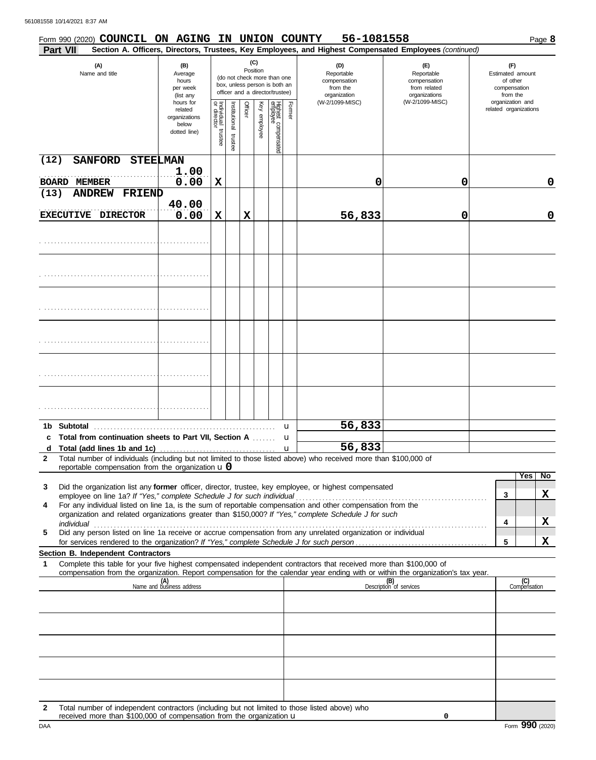|              |                 | Form 990 (2020) COUNCIL ON AGING IN UNION COUNTY                       |                                                                |                                   |                          |         |                 |                                                                                                 |        | 56-1081558                                                                                                                                                                                                           |                                                                                                                                  | Page 8                                                          |
|--------------|-----------------|------------------------------------------------------------------------|----------------------------------------------------------------|-----------------------------------|--------------------------|---------|-----------------|-------------------------------------------------------------------------------------------------|--------|----------------------------------------------------------------------------------------------------------------------------------------------------------------------------------------------------------------------|----------------------------------------------------------------------------------------------------------------------------------|-----------------------------------------------------------------|
|              | <b>Part VII</b> |                                                                        |                                                                |                                   |                          |         |                 |                                                                                                 |        |                                                                                                                                                                                                                      | Section A. Officers, Directors, Trustees, Key Employees, and Highest Compensated Employees (continued)                           |                                                                 |
|              |                 | (A)<br>Name and title                                                  | (B)<br>Average<br>hours<br>per week<br>(list any               |                                   |                          |         | (C)<br>Position | (do not check more than one<br>box, unless person is both an<br>officer and a director/trustee) |        | (D)<br>Reportable<br>compensation<br>from the<br>organization                                                                                                                                                        | (F)<br>Reportable<br>compensation<br>from related<br>organizations                                                               | (F)<br>Estimated amount<br>of other<br>compensation<br>from the |
|              |                 |                                                                        | hours for<br>related<br>organizations<br>below<br>dotted line) | Individual trustee<br>or director | Institutional<br>trustee | Officer | Key employee    | Highest compensated<br>employee                                                                 | Former | (W-2/1099-MISC)                                                                                                                                                                                                      | (W-2/1099-MISC)                                                                                                                  | organization and<br>related organizations                       |
| (12)         |                 | <b>SANFORD</b>                                                         | <b>STEELMAN</b><br>1.00                                        |                                   |                          |         |                 |                                                                                                 |        |                                                                                                                                                                                                                      |                                                                                                                                  |                                                                 |
|              |                 | <b>BOARD MEMBER</b>                                                    | 0.00                                                           | X                                 |                          |         |                 |                                                                                                 |        | 0                                                                                                                                                                                                                    | 0                                                                                                                                | 0                                                               |
| (13)         |                 | <b>ANDREW</b><br><b>FRIEND</b>                                         |                                                                |                                   |                          |         |                 |                                                                                                 |        |                                                                                                                                                                                                                      |                                                                                                                                  |                                                                 |
|              |                 | EXECUTIVE DIRECTOR                                                     | 40.00<br>0.00                                                  | X                                 |                          | X       |                 |                                                                                                 |        | 56,833                                                                                                                                                                                                               | 0                                                                                                                                | 0                                                               |
|              |                 |                                                                        |                                                                |                                   |                          |         |                 |                                                                                                 |        |                                                                                                                                                                                                                      |                                                                                                                                  |                                                                 |
|              |                 |                                                                        |                                                                |                                   |                          |         |                 |                                                                                                 |        |                                                                                                                                                                                                                      |                                                                                                                                  |                                                                 |
|              |                 |                                                                        |                                                                |                                   |                          |         |                 |                                                                                                 |        |                                                                                                                                                                                                                      |                                                                                                                                  |                                                                 |
|              |                 |                                                                        |                                                                |                                   |                          |         |                 |                                                                                                 |        |                                                                                                                                                                                                                      |                                                                                                                                  |                                                                 |
|              |                 |                                                                        |                                                                |                                   |                          |         |                 |                                                                                                 |        |                                                                                                                                                                                                                      |                                                                                                                                  |                                                                 |
|              |                 |                                                                        |                                                                |                                   |                          |         |                 |                                                                                                 |        |                                                                                                                                                                                                                      |                                                                                                                                  |                                                                 |
|              |                 |                                                                        |                                                                |                                   |                          |         |                 |                                                                                                 |        |                                                                                                                                                                                                                      |                                                                                                                                  |                                                                 |
|              |                 |                                                                        |                                                                |                                   |                          |         |                 |                                                                                                 |        |                                                                                                                                                                                                                      |                                                                                                                                  |                                                                 |
| 1b.          | Subtotal        |                                                                        |                                                                |                                   |                          |         |                 |                                                                                                 | u      | 56,833                                                                                                                                                                                                               |                                                                                                                                  |                                                                 |
|              |                 | Total from continuation sheets to Part VII, Section A                  |                                                                |                                   |                          |         |                 |                                                                                                 | u      | 56,833                                                                                                                                                                                                               |                                                                                                                                  |                                                                 |
| a<br>2       |                 |                                                                        |                                                                |                                   |                          |         |                 |                                                                                                 | u      | Total number of individuals (including but not limited to those listed above) who received more than \$100,000 of                                                                                                    |                                                                                                                                  |                                                                 |
|              |                 | reportable compensation from the organization $\mathbf{u}$ 0           |                                                                |                                   |                          |         |                 |                                                                                                 |        |                                                                                                                                                                                                                      |                                                                                                                                  |                                                                 |
| 3            |                 |                                                                        |                                                                |                                   |                          |         |                 |                                                                                                 |        | Did the organization list any former officer, director, trustee, key employee, or highest compensated                                                                                                                |                                                                                                                                  | Yes<br>$\overline{N}$                                           |
|              |                 | employee on line 1a? If "Yes," complete Schedule J for such individual |                                                                |                                   |                          |         |                 |                                                                                                 |        |                                                                                                                                                                                                                      |                                                                                                                                  | X<br>3                                                          |
| 4            |                 |                                                                        |                                                                |                                   |                          |         |                 |                                                                                                 |        | For any individual listed on line 1a, is the sum of reportable compensation and other compensation from the<br>organization and related organizations greater than \$150,000? If "Yes," complete Schedule J for such |                                                                                                                                  |                                                                 |
|              | individual      |                                                                        |                                                                |                                   |                          |         |                 |                                                                                                 |        |                                                                                                                                                                                                                      |                                                                                                                                  | X<br>4                                                          |
| 5            |                 |                                                                        |                                                                |                                   |                          |         |                 |                                                                                                 |        | Did any person listed on line 1a receive or accrue compensation from any unrelated organization or individual                                                                                                        |                                                                                                                                  | X<br>5                                                          |
|              |                 | Section B. Independent Contractors                                     |                                                                |                                   |                          |         |                 |                                                                                                 |        |                                                                                                                                                                                                                      |                                                                                                                                  |                                                                 |
| 1            |                 |                                                                        |                                                                |                                   |                          |         |                 |                                                                                                 |        | Complete this table for your five highest compensated independent contractors that received more than \$100,000 of                                                                                                   | compensation from the organization. Report compensation for the calendar year ending with or within the organization's tax year. |                                                                 |
|              |                 |                                                                        | (A)<br>Name and business address                               |                                   |                          |         |                 |                                                                                                 |        |                                                                                                                                                                                                                      | (B)<br>Description of services                                                                                                   | (C)<br>Compensation                                             |
|              |                 |                                                                        |                                                                |                                   |                          |         |                 |                                                                                                 |        |                                                                                                                                                                                                                      |                                                                                                                                  |                                                                 |
|              |                 |                                                                        |                                                                |                                   |                          |         |                 |                                                                                                 |        |                                                                                                                                                                                                                      |                                                                                                                                  |                                                                 |
|              |                 |                                                                        |                                                                |                                   |                          |         |                 |                                                                                                 |        |                                                                                                                                                                                                                      |                                                                                                                                  |                                                                 |
|              |                 |                                                                        |                                                                |                                   |                          |         |                 |                                                                                                 |        |                                                                                                                                                                                                                      |                                                                                                                                  |                                                                 |
|              |                 |                                                                        |                                                                |                                   |                          |         |                 |                                                                                                 |        |                                                                                                                                                                                                                      |                                                                                                                                  |                                                                 |
| $\mathbf{2}$ |                 |                                                                        |                                                                |                                   |                          |         |                 |                                                                                                 |        | Total number of independent contractors (including but not limited to those listed above) who                                                                                                                        |                                                                                                                                  |                                                                 |

**0**

received more than \$100,000 of compensation from the organization u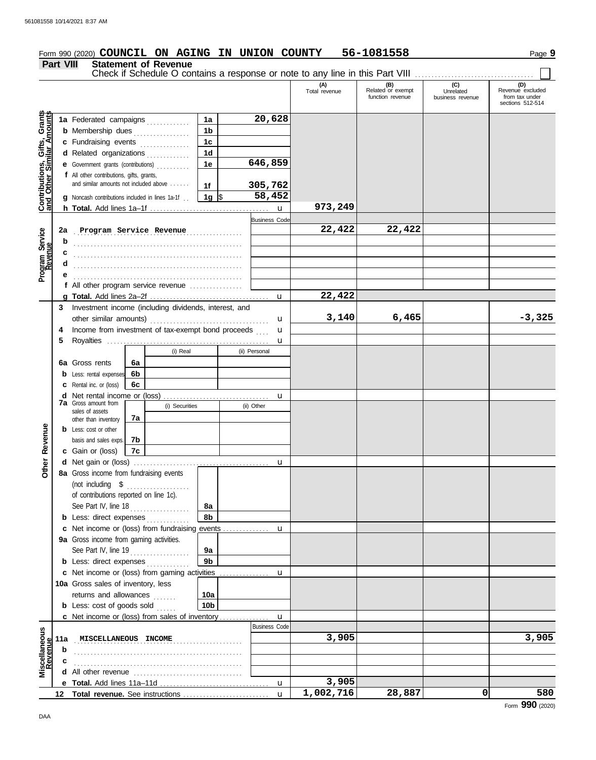#### **Form 990 (2020) COUNCIL ON AGING IN UNION COUNTY 56-1081558** Page 9 **Part VIII Statement of Revenue** Check if Schedule O contains a response or note to any line in this Part VIII ............................... **(B) (C) (D) Related** or exempt **Unrelated Revenue excluded** (A) (B) (C)<br>Total revenue Related or exempt Unrelated tunction revenue business revenue function revenue business revenue from tax under<br>sections 512-514 **Contributions, Gifts, Grants Contributions, Gifts, Grants**<br>and Other Similar Amounts **and Other Similar Amounts 1a 20,628 1a** Federated campaigns . . . . . . . . . . . **1b b** Membership dues . . . . . . . . . . . . . . . **1c c** Fundraising events . . . . . . . . . . . . . **1d d** Related organizations **. . . . . . . . . . 646,859 1e e** Government grants (contributions) . . . . . . . . . . **f** All other contributions, gifts, grants, and similar amounts not included above . . . . . . **305,762 1f** \$ . . . . . . . . . . . . . . . . . . . **58,452 1g g** Noncash contributions included in lines 1a-1f . . **973,249 h Total.** Add lines 1a–1f . . . . . . . . . . . . . . . . . . . . . . . . . . . . . . . . . . . . u Business Code Program Service<br>Revenue . . . . . . . . . . . . . . . . . . . . . . . . . . . . . . . . . . . . . . . . . . . . . . . . . . . **2a Program Service Revenue 22,422 22,422 Program Service b** . . . . . . . . . . . . . . . . . . . . . . . . . . . . . . . . . . . . . . . . . . . . . . . . . . . **c** . . . . . . . . . . . . . . . . . . . . . . . . . . . . . . . . . . . . . . . . . . . . . . . . . . . **d** . . . . . . . . . . . . . . . . . . . . . . . . . . . . . . . . . . . . . . . . . . . . . . . . . . . **e f** All other program service revenue . . . . . . . . . . . . . . . . **22,422 g Total.** Add lines 2a–2f . . . . . . . . . . . . . . . . . . . . . . . . . . . . . . . . . . . . u **3** Investment income (including dividends, interest, and **3,140 6,465 -3,325** other similar amounts) . . . . . . . . . . . . . . . . . . . . . . . . . . . . . . . . . . . . u Income from investment of tax-exempt bond proceeds **4** u **5** Royalties . . . . . . . . . . . . . . . . . . . . . . . . . . . . . . . . . . . . . . . . . . . . . . . . . u (i) Real (ii) Personal **6a 6a** Gross rents **6b b** Less: rental expenses **6c c** Rental inc. or (loss) **d** Net rental income or (loss) . . . . . . . . . . . . . . . . . . . . . . . . . . . . . . . . u **7a** Gross amount from (i) Securities (ii) Other sales of assets **7a** other than inventory Revenue **Other Revenue b** Less: cost or other **7b** basis and sales exps. **c** Gain or (loss) **7c** Other **d** u Net gain or (loss) . . . . . . . . . . . . . . . . . . . . . . . . . . . . . . . . . . . . . . . . .

|                         | 12  |                                                       |                 | $\mathbf{u}$         | 1,002,716 | 28,887 | 580   |
|-------------------------|-----|-------------------------------------------------------|-----------------|----------------------|-----------|--------|-------|
|                         |     |                                                       |                 | <b>u</b>             | 3,905     |        |       |
|                         |     |                                                       |                 |                      |           |        |       |
|                         | с   |                                                       |                 |                      |           |        |       |
|                         | b   |                                                       |                 |                      |           |        |       |
| Miscellaneou<br>Revenue | 11a | MISCELLANEOUS INCOME                                  |                 |                      | 3,905     |        | 3,905 |
| 9                       |     |                                                       |                 | <b>Business Code</b> |           |        |       |
|                         |     | <b>c</b> Net income or (loss) from sales of inventory |                 | $\mathbf u$          |           |        |       |
|                         |     | <b>b</b> Less: cost of goods sold                     | 10 <sub>b</sub> |                      |           |        |       |
|                         |     | returns and allowances                                | 10a             |                      |           |        |       |
|                         |     | <b>10a</b> Gross sales of inventory, less             |                 |                      |           |        |       |
|                         |     | c Net income or (loss) from gaming activities         |                 | u                    |           |        |       |
|                         |     | <b>b</b> Less: direct expenses                        | 9b              |                      |           |        |       |
|                         |     | See Part IV, line 19                                  | 9a              |                      |           |        |       |
|                         |     | 9a Gross income from gaming activities.               |                 |                      |           |        |       |
|                         |     |                                                       |                 |                      |           |        |       |
|                         |     | <b>b</b> Less: direct expenses                        | 8b              |                      |           |        |       |
|                         |     | See Part IV, line 18                                  | 8a              |                      |           |        |       |
|                         |     | of contributions reported on line 1c).                |                 |                      |           |        |       |
|                         |     | (not including $$$                                    |                 |                      |           |        |       |

Form **990** (2020)

**8a** Gross income from fundraising events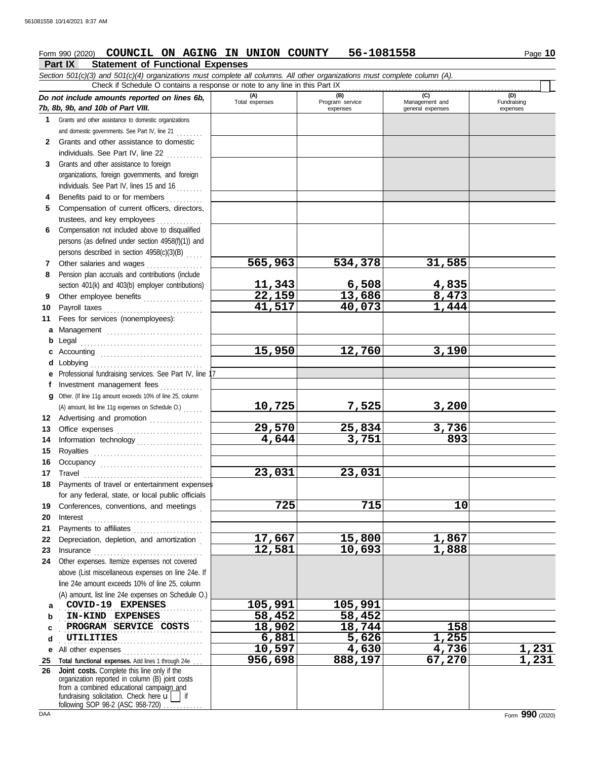## **Form 990 (2020) COUNCIL ON AGING IN UNION COUNTY 56-1081558** Page 10

#### **Part IX Statement of Functional Expenses**

*Section 501(c)(3) and 501(c)(4) organizations must complete all columns. All other organizations must complete column (A). Do not include amounts reported on lines 6b, 7b, 8b, 9b, and 10b of Part VIII.* **(A) (B) (C) (C) Total expenses Program service Management and** (B)<br>Program service expenses | general expenses Check if Schedule O contains a response or note to any line in this Part IX

|              | 7b, 8b, 9b, and 10b of Part VIII.                                                                     |         | expenses | general expenses | expenses     |
|--------------|-------------------------------------------------------------------------------------------------------|---------|----------|------------------|--------------|
| 1.           | Grants and other assistance to domestic organizations                                                 |         |          |                  |              |
|              | and domestic governments. See Part IV, line 21                                                        |         |          |                  |              |
| $\mathbf{2}$ | Grants and other assistance to domestic                                                               |         |          |                  |              |
|              | individuals. See Part IV, line 22                                                                     |         |          |                  |              |
| 3            | Grants and other assistance to foreign                                                                |         |          |                  |              |
|              | organizations, foreign governments, and foreign                                                       |         |          |                  |              |
|              | individuals. See Part IV, lines 15 and 16                                                             |         |          |                  |              |
| 4            | Benefits paid to or for members                                                                       |         |          |                  |              |
| 5            | Compensation of current officers, directors,                                                          |         |          |                  |              |
|              | trustees, and key employees                                                                           |         |          |                  |              |
| 6            | Compensation not included above to disqualified                                                       |         |          |                  |              |
|              | persons (as defined under section 4958(f)(1)) and                                                     |         |          |                  |              |
|              | persons described in section 4958(c)(3)(B)                                                            |         |          |                  |              |
| $\mathbf{7}$ | Other salaries and wages                                                                              | 565,963 | 534,378  | 31,585           |              |
| 8            | Pension plan accruals and contributions (include                                                      |         |          |                  |              |
|              | section 401(k) and 403(b) employer contributions)                                                     | 11,343  | 6,508    | 4,835            |              |
| 9            | Other employee benefits                                                                               | 22,159  | 13,686   | 8,473            |              |
| 10           | Payroll taxes                                                                                         | 41,517  | 40,073   | 1,444            |              |
| 11           | Fees for services (nonemployees):                                                                     |         |          |                  |              |
| а            | Management                                                                                            |         |          |                  |              |
| b            | Legal                                                                                                 |         |          |                  |              |
| c            |                                                                                                       | 15,950  | 12,760   | 3,190            |              |
| d            |                                                                                                       |         |          |                  |              |
| е            | Professional fundraising services. See Part IV, line 1                                                |         |          |                  |              |
| f            | Investment management fees                                                                            |         |          |                  |              |
| g            | Other. (If line 11g amount exceeds 10% of line 25, column                                             |         |          |                  |              |
|              | (A) amount, list line 11g expenses on Schedule O.)                                                    | 10,725  | 7,525    | 3,200            |              |
|              | 12 Advertising and promotion                                                                          |         |          |                  |              |
| 13           |                                                                                                       | 29,570  | 25,834   | 3,736            |              |
| 14           | Information technology                                                                                | 4,644   | 3,751    | 893              |              |
| 15           |                                                                                                       |         |          |                  |              |
| 16           | Occupancy                                                                                             |         |          |                  |              |
| 17           | Travel                                                                                                | 23,031  | 23,031   |                  |              |
| 18           | Payments of travel or entertainment expenses                                                          |         |          |                  |              |
|              | for any federal, state, or local public officials                                                     |         |          |                  |              |
|              | 19 Conferences, conventions, and meetings                                                             | 725     | 715      | 10               |              |
|              | 20 Interest                                                                                           |         |          |                  |              |
| 21           | Payments to affiliates                                                                                |         |          |                  |              |
| 22           | Depreciation, depletion, and amortization                                                             | 17,667  | 15,800   | 1,867            |              |
| 23           | Insurance <i>[[[[[[[[[[[[[[[[[[[[[[[]]]]]</i> ]                                                       | 12,581  | 10,693   | 1,888            |              |
| 24           | Other expenses. Itemize expenses not covered                                                          |         |          |                  |              |
|              | above (List miscellaneous expenses on line 24e. If<br>line 24e amount exceeds 10% of line 25, column  |         |          |                  |              |
|              | (A) amount, list line 24e expenses on Schedule O.)                                                    |         |          |                  |              |
| a            | COVID-19 EXPENSES                                                                                     | 105,991 | 105,991  |                  |              |
| b            | IN-KIND EXPENSES                                                                                      | 58,452  | 58,452   |                  |              |
| c            | PROGRAM SERVICE COSTS                                                                                 | 18,902  | 18,744   | 158              |              |
| d            | UTILITIES                                                                                             | 6,881   | 5,626    | 1,255            |              |
| е            | All other expenses                                                                                    | 10,597  | 4,630    | 4,736            | <u>1,231</u> |
| 25           | Total functional expenses. Add lines 1 through 24e                                                    | 956,698 | 888,197  | 67,270           | 1,231        |
| 26           | Joint costs. Complete this line only if the                                                           |         |          |                  |              |
|              | organization reported in column (B) joint costs                                                       |         |          |                  |              |
|              | from a combined educational campaign and<br>fundraising solicitation. Check here $\mathbf{u}$<br>∣ if |         |          |                  |              |

(D)<br>Fundraising

following SOP 98-2 (ASC 958-720) . . . . . . . . . .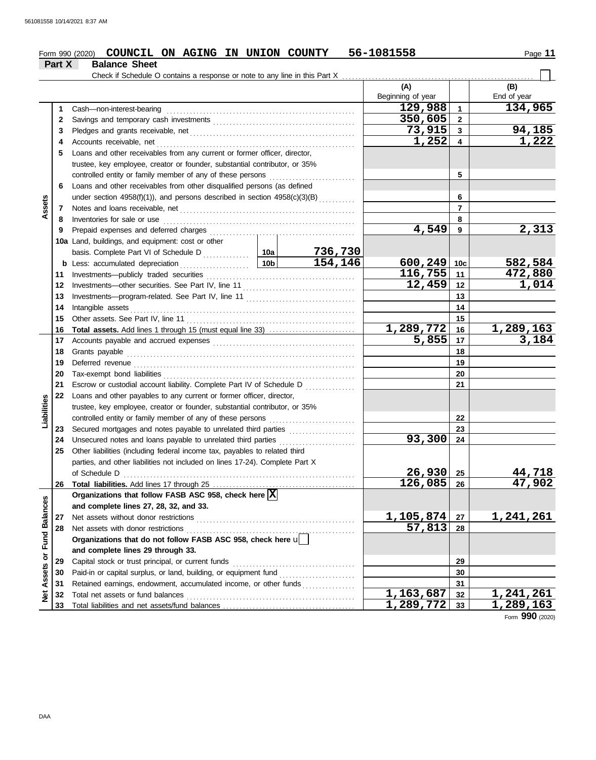#### Form 990 (2020) **COUNCIL ON AGING IN UNION COUNTY** 56-1081558 Page 11 **COUNCIL ON AGING IN UNION COUNTY 56-1081558**

|                             | Part X | <b>Balance Sheet</b>                                                         |                 |         |                          |                 |                    |
|-----------------------------|--------|------------------------------------------------------------------------------|-----------------|---------|--------------------------|-----------------|--------------------|
|                             |        | Check if Schedule O contains a response or note to any line in this Part X   |                 |         |                          |                 |                    |
|                             |        |                                                                              |                 |         | (A)<br>Beginning of year |                 | (B)<br>End of year |
|                             | 1      | Cash-non-interest-bearing                                                    |                 |         | 129,988                  | 1               | 134,965            |
|                             | 2      |                                                                              |                 |         | 350,605                  | $\overline{2}$  |                    |
|                             | 3      |                                                                              |                 |         | 73,915                   | 3               | 94,185             |
|                             | 4      | Accounts receivable, net                                                     |                 |         | 1,252                    | 4               | 1,222              |
|                             | 5      | Loans and other receivables from any current or former officer, director,    |                 |         |                          |                 |                    |
|                             |        | trustee, key employee, creator or founder, substantial contributor, or 35%   |                 |         |                          |                 |                    |
|                             |        | controlled entity or family member of any of these persons                   |                 |         |                          | 5               |                    |
|                             | 6      | Loans and other receivables from other disqualified persons (as defined      |                 |         |                          |                 |                    |
|                             |        | under section 4958(f)(1)), and persons described in section 4958(c)(3)(B)    |                 |         |                          | 6               |                    |
| Assets                      | 7      |                                                                              |                 |         |                          | $\overline{7}$  |                    |
|                             | 8      | Inventories for sale or use                                                  |                 |         |                          | 8               |                    |
|                             | 9      | Prepaid expenses and deferred charges                                        |                 |         | 4,549                    | 9               | 2,313              |
|                             |        | 10a Land, buildings, and equipment: cost or other                            |                 |         |                          |                 |                    |
|                             |        | basis. Complete Part VI of Schedule D                                        | 10a             | 736,730 |                          |                 |                    |
|                             |        | <b>b</b> Less: accumulated depreciation<br>.                                 | 10 <sub>b</sub> | 154,146 | 600,249                  | 10 <sub>c</sub> | 582,584            |
|                             | 11     | Investments-publicly traded securities                                       |                 |         | 116,755                  | 11              | 472,880            |
|                             | 12     |                                                                              |                 | 12,459  | 12                       | 1,014           |                    |
|                             | 13     |                                                                              |                 |         |                          | 13              |                    |
|                             | 14     | Intangible assets                                                            |                 |         | 14                       |                 |                    |
|                             | 15     | Other assets. See Part IV, line 11                                           |                 |         |                          | 15              |                    |
|                             | 16     |                                                                              |                 |         | <u>1,289,772</u>         | 16              | 1,289,163          |
|                             | 17     |                                                                              |                 |         | $\overline{5,855}$       | 17              | 3,184              |
|                             | 18     | Grants payable                                                               |                 |         | 18                       |                 |                    |
|                             | 19     | Deferred revenue                                                             |                 | 19      |                          |                 |                    |
|                             | 20     | Tax-exempt bond liabilities                                                  |                 | 20      |                          |                 |                    |
|                             | 21     | Escrow or custodial account liability. Complete Part IV of Schedule D        | .               |         | 21                       |                 |                    |
|                             | 22     | Loans and other payables to any current or former officer, director,         |                 |         |                          |                 |                    |
| Liabilities                 |        | trustee, key employee, creator or founder, substantial contributor, or 35%   |                 |         |                          |                 |                    |
|                             |        | controlled entity or family member of any of these persons                   |                 |         |                          | 22              |                    |
|                             | 23     |                                                                              |                 |         |                          | 23              |                    |
|                             | 24     | Unsecured notes and loans payable to unrelated third parties                 |                 |         | 93,300                   | 24              |                    |
|                             | 25     | Other liabilities (including federal income tax, payables to related third   |                 |         |                          |                 |                    |
|                             |        | parties, and other liabilities not included on lines 17-24). Complete Part X |                 |         |                          |                 |                    |
|                             |        | of Schedule D                                                                |                 |         | $26,930$ 25              |                 | 44,718             |
|                             | 26     |                                                                              |                 |         | $126,085$ 26             |                 | 47,902             |
|                             |        | Organizations that follow FASB ASC 958, check here $\overline{X}$            |                 |         |                          |                 |                    |
|                             |        | and complete lines 27, 28, 32, and 33.                                       |                 |         |                          |                 |                    |
|                             | 27     | Net assets without donor restrictions                                        |                 |         | <u>1,105,874</u>         | 27              | 1,241,261          |
|                             | 28     |                                                                              |                 |         | 57,813                   | 28              |                    |
|                             |        | Organizations that do not follow FASB ASC 958, check here u                  |                 |         |                          |                 |                    |
|                             |        | and complete lines 29 through 33.                                            |                 |         |                          |                 |                    |
|                             | 29     | Capital stock or trust principal, or current funds                           |                 |         |                          | 29              |                    |
|                             | 30     |                                                                              |                 |         |                          | 30              |                    |
| Net Assets or Fund Balances | 31     |                                                                              |                 |         |                          | 31              |                    |
|                             | 32     |                                                                              |                 |         | $\overline{1,163,687}$   | 32              | 1,241,261          |
|                             | 33     |                                                                              |                 |         | <u>1,289,772</u>         | 33              | <u>1,289,163</u>   |

Form **990** (2020)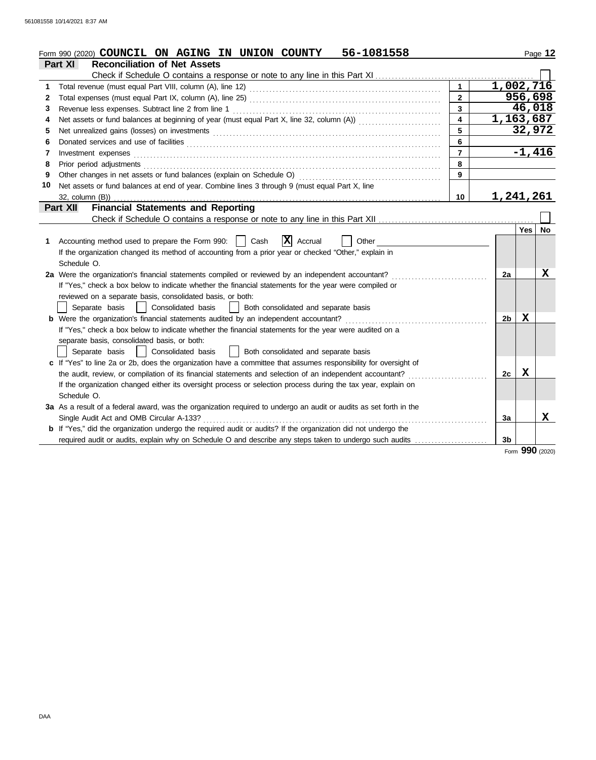|    | 56-1081558<br>Form 990 (2020) COUNCIL ON AGING IN UNION COUNTY                                                        |                         |                        |          | Page 12   |
|----|-----------------------------------------------------------------------------------------------------------------------|-------------------------|------------------------|----------|-----------|
|    | Part XI<br><b>Reconciliation of Net Assets</b>                                                                        |                         |                        |          |           |
|    | Check if Schedule O contains a response or note to any line in this Part XI                                           |                         |                        |          |           |
| 1  |                                                                                                                       |                         | $1,002,7\overline{16}$ |          |           |
| 2  |                                                                                                                       | $\mathbf{2}$            |                        | 956,698  |           |
| 3  | Revenue less expenses. Subtract line 2 from line 1                                                                    | $\mathbf{3}$            |                        | 46,018   |           |
| 4  |                                                                                                                       | $\overline{\mathbf{4}}$ | 1,163,687              |          |           |
| 5  |                                                                                                                       | 5                       |                        | 32,972   |           |
| 6  |                                                                                                                       | 6                       |                        |          |           |
| 7  | Investment expenses                                                                                                   | $\overline{7}$          |                        | $-1,416$ |           |
| 8  | Prior period adjustments                                                                                              | 8                       |                        |          |           |
| 9  | Other changes in net assets or fund balances (explain on Schedule O)                                                  | 9                       |                        |          |           |
| 10 | Net assets or fund balances at end of year. Combine lines 3 through 9 (must equal Part X, line                        |                         |                        |          |           |
|    | 32, column (B))                                                                                                       | 10                      | 1,241,261              |          |           |
|    | <b>Financial Statements and Reporting</b><br>Part XII                                                                 |                         |                        |          |           |
|    |                                                                                                                       |                         |                        |          |           |
|    |                                                                                                                       |                         |                        | Yes      | <b>No</b> |
| 1. | X Accrual<br>Accounting method used to prepare the Form 990:  <br>Cash<br>Other                                       |                         |                        |          |           |
|    | If the organization changed its method of accounting from a prior year or checked "Other," explain in                 |                         |                        |          |           |
|    | Schedule O.                                                                                                           |                         |                        |          |           |
|    | 2a Were the organization's financial statements compiled or reviewed by an independent accountant?                    |                         | 2a                     |          | X         |
|    | If "Yes," check a box below to indicate whether the financial statements for the year were compiled or                |                         |                        |          |           |
|    | reviewed on a separate basis, consolidated basis, or both:                                                            |                         |                        |          |           |
|    | Separate basis<br>Consolidated basis<br>Both consolidated and separate basis                                          |                         |                        |          |           |
|    | <b>b</b> Were the organization's financial statements audited by an independent accountant?                           |                         | 2 <sub>b</sub>         | x        |           |
|    | If "Yes," check a box below to indicate whether the financial statements for the year were audited on a               |                         |                        |          |           |
|    | separate basis, consolidated basis, or both:                                                                          |                         |                        |          |           |
|    | Consolidated basis<br>  Both consolidated and separate basis<br>Separate basis                                        |                         |                        |          |           |
|    | c If "Yes" to line 2a or 2b, does the organization have a committee that assumes responsibility for oversight of      |                         |                        |          |           |
|    | the audit, review, or compilation of its financial statements and selection of an independent accountant?             |                         | 2c                     | X        |           |
|    | If the organization changed either its oversight process or selection process during the tax year, explain on         |                         |                        |          |           |
|    | Schedule O.                                                                                                           |                         |                        |          |           |
|    | 3a As a result of a federal award, was the organization required to undergo an audit or audits as set forth in the    |                         |                        |          |           |
|    | Single Audit Act and OMB Circular A-133?                                                                              |                         | 3a                     |          | x         |
|    | <b>b</b> If "Yes," did the organization undergo the required audit or audits? If the organization did not undergo the |                         |                        |          |           |
|    | required audit or audits, explain why on Schedule O and describe any steps taken to undergo such audits               |                         | 3 <sub>b</sub>         |          |           |
|    |                                                                                                                       |                         |                        | nnn      |           |

Form **990** (2020)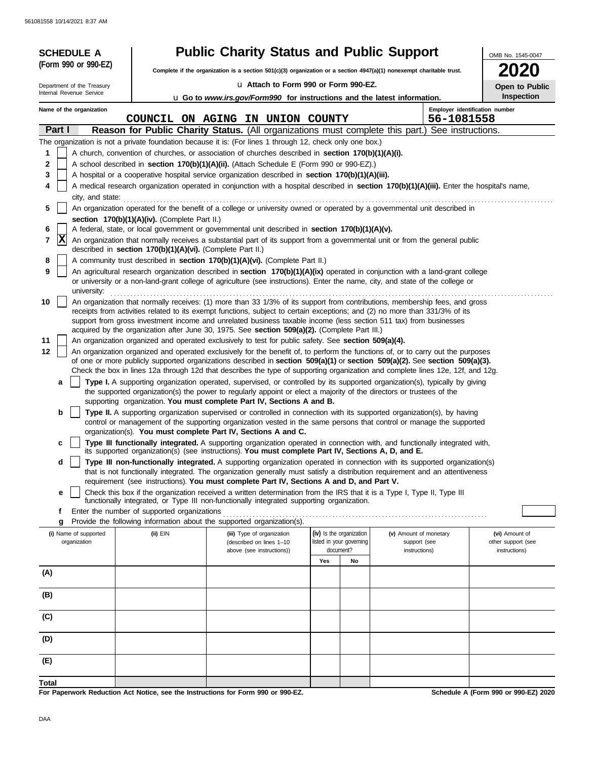561081558 10/14/2021 8:37 AM

| <b>SCHEDULE A</b>          |                                                            | <b>Public Charity Status and Public Support</b>                                                                                                                                                                                                                 |                                       |    |                        | OMB No. 1545-0047                    |
|----------------------------|------------------------------------------------------------|-----------------------------------------------------------------------------------------------------------------------------------------------------------------------------------------------------------------------------------------------------------------|---------------------------------------|----|------------------------|--------------------------------------|
| (Form 990 or 990-EZ)       |                                                            | Complete if the organization is a section $501(c)(3)$ organization or a section $4947(a)(1)$ nonexempt charitable trust.                                                                                                                                        |                                       |    |                        |                                      |
| Department of the Treasury |                                                            | u Attach to Form 990 or Form 990-EZ.                                                                                                                                                                                                                            |                                       |    |                        | Open to Public                       |
| Internal Revenue Service   |                                                            | u Go to www.irs.gov/Form990 for instructions and the latest information.                                                                                                                                                                                        |                                       |    |                        | Inspection                           |
| Name of the organization   |                                                            |                                                                                                                                                                                                                                                                 |                                       |    |                        | Employer identification number       |
|                            |                                                            | COUNCIL ON AGING IN UNION COUNTY                                                                                                                                                                                                                                |                                       |    | 56-1081558             |                                      |
| Part I                     |                                                            | Reason for Public Charity Status. (All organizations must complete this part.) See instructions.                                                                                                                                                                |                                       |    |                        |                                      |
| 1                          |                                                            | The organization is not a private foundation because it is: (For lines 1 through 12, check only one box.)<br>A church, convention of churches, or association of churches described in section 170(b)(1)(A)(i).                                                 |                                       |    |                        |                                      |
| 2                          |                                                            | A school described in section 170(b)(1)(A)(ii). (Attach Schedule E (Form 990 or 990-EZ).)                                                                                                                                                                       |                                       |    |                        |                                      |
| 3                          |                                                            | A hospital or a cooperative hospital service organization described in section 170(b)(1)(A)(iii).                                                                                                                                                               |                                       |    |                        |                                      |
| 4                          |                                                            | A medical research organization operated in conjunction with a hospital described in section 170(b)(1)(A)(iii). Enter the hospital's name,                                                                                                                      |                                       |    |                        |                                      |
| city, and state:           |                                                            |                                                                                                                                                                                                                                                                 |                                       |    |                        |                                      |
| 5                          |                                                            | An organization operated for the benefit of a college or university owned or operated by a governmental unit described in                                                                                                                                       |                                       |    |                        |                                      |
| 6                          | section 170(b)(1)(A)(iv). (Complete Part II.)              | A federal, state, or local government or governmental unit described in section 170(b)(1)(A)(v).                                                                                                                                                                |                                       |    |                        |                                      |
| X<br>7                     |                                                            | An organization that normally receives a substantial part of its support from a governmental unit or from the general public                                                                                                                                    |                                       |    |                        |                                      |
|                            | described in section 170(b)(1)(A)(vi). (Complete Part II.) |                                                                                                                                                                                                                                                                 |                                       |    |                        |                                      |
| 8                          |                                                            | A community trust described in section 170(b)(1)(A)(vi). (Complete Part II.)                                                                                                                                                                                    |                                       |    |                        |                                      |
| 9<br>university:           |                                                            | An agricultural research organization described in section 170(b)(1)(A)(ix) operated in conjunction with a land-grant college<br>or university or a non-land-grant college of agriculture (see instructions). Enter the name, city, and state of the college or |                                       |    |                        |                                      |
| 10                         |                                                            | An organization that normally receives: (1) more than 33 1/3% of its support from contributions, membership fees, and gross                                                                                                                                     |                                       |    |                        |                                      |
|                            |                                                            | receipts from activities related to its exempt functions, subject to certain exceptions; and (2) no more than 331/3% of its                                                                                                                                     |                                       |    |                        |                                      |
|                            |                                                            | support from gross investment income and unrelated business taxable income (less section 511 tax) from businesses<br>acquired by the organization after June 30, 1975. See section 509(a)(2). (Complete Part III.)                                              |                                       |    |                        |                                      |
| 11                         |                                                            | An organization organized and operated exclusively to test for public safety. See section 509(a)(4).                                                                                                                                                            |                                       |    |                        |                                      |
| 12                         |                                                            | An organization organized and operated exclusively for the benefit of, to perform the functions of, or to carry out the purposes                                                                                                                                |                                       |    |                        |                                      |
|                            |                                                            | of one or more publicly supported organizations described in section 509(a)(1) or section 509(a)(2). See section 509(a)(3).<br>Check the box in lines 12a through 12d that describes the type of supporting organization and complete lines 12e, 12f, and 12g.  |                                       |    |                        |                                      |
| a                          |                                                            | Type I. A supporting organization operated, supervised, or controlled by its supported organization(s), typically by giving                                                                                                                                     |                                       |    |                        |                                      |
|                            |                                                            | the supported organization(s) the power to regularly appoint or elect a majority of the directors or trustees of the                                                                                                                                            |                                       |    |                        |                                      |
|                            |                                                            | supporting organization. You must complete Part IV, Sections A and B.                                                                                                                                                                                           |                                       |    |                        |                                      |
| b                          |                                                            | Type II. A supporting organization supervised or controlled in connection with its supported organization(s), by having                                                                                                                                         |                                       |    |                        |                                      |
|                            |                                                            | control or management of the supporting organization vested in the same persons that control or manage the supported<br>organization(s). You must complete Part IV, Sections A and C.                                                                           |                                       |    |                        |                                      |
| c                          |                                                            | Type III functionally integrated. A supporting organization operated in connection with, and functionally integrated with,                                                                                                                                      |                                       |    |                        |                                      |
|                            |                                                            | its supported organization(s) (see instructions). You must complete Part IV, Sections A, D, and E.                                                                                                                                                              |                                       |    |                        |                                      |
| d                          |                                                            | Type III non-functionally integrated. A supporting organization operated in connection with its supported organization(s)<br>that is not functionally integrated. The organization generally must satisfy a distribution requirement and an attentiveness       |                                       |    |                        |                                      |
|                            |                                                            | requirement (see instructions). You must complete Part IV, Sections A and D, and Part V.                                                                                                                                                                        |                                       |    |                        |                                      |
| e                          |                                                            | Check this box if the organization received a written determination from the IRS that it is a Type I, Type II, Type III                                                                                                                                         |                                       |    |                        |                                      |
| f                          | Enter the number of supported organizations                | functionally integrated, or Type III non-functionally integrated supporting organization.                                                                                                                                                                       |                                       |    |                        |                                      |
| g                          |                                                            | Provide the following information about the supported organization(s).                                                                                                                                                                                          |                                       |    |                        |                                      |
| (i) Name of supported      | (ii) EIN                                                   | (iii) Type of organization                                                                                                                                                                                                                                      | (iv) Is the organization              |    | (v) Amount of monetary | (vi) Amount of                       |
| organization               |                                                            | (described on lines 1-10<br>above (see instructions))                                                                                                                                                                                                           | listed in your governing<br>document? |    | support (see           | other support (see                   |
|                            |                                                            |                                                                                                                                                                                                                                                                 | Yes                                   | No | instructions)          | instructions)                        |
| (A)                        |                                                            |                                                                                                                                                                                                                                                                 |                                       |    |                        |                                      |
|                            |                                                            |                                                                                                                                                                                                                                                                 |                                       |    |                        |                                      |
| (B)                        |                                                            |                                                                                                                                                                                                                                                                 |                                       |    |                        |                                      |
|                            |                                                            |                                                                                                                                                                                                                                                                 |                                       |    |                        |                                      |
| (C)                        |                                                            |                                                                                                                                                                                                                                                                 |                                       |    |                        |                                      |
| (D)                        |                                                            |                                                                                                                                                                                                                                                                 |                                       |    |                        |                                      |
| (E)                        |                                                            |                                                                                                                                                                                                                                                                 |                                       |    |                        |                                      |
| <b>Total</b>               |                                                            |                                                                                                                                                                                                                                                                 |                                       |    |                        |                                      |
|                            |                                                            | For Paperwork Reduction Act Notice, see the Instructions for Form 990 or 990-EZ.                                                                                                                                                                                |                                       |    |                        | Schedule A (Form 990 or 990-EZ) 2020 |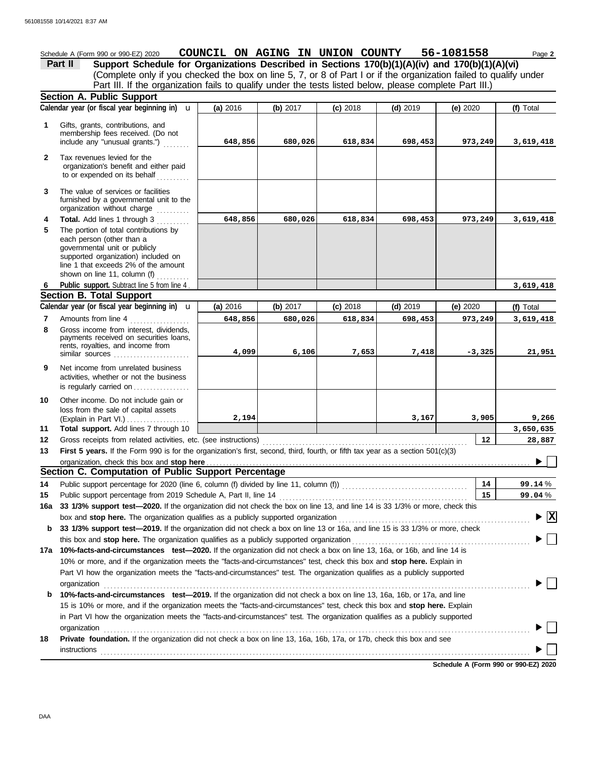Schedule A (Form 990 or 990-EZ) 2020 **COUNCIL ON AGING IN UNION COUNTY** 56-1081558 Page 2 **Part II Support Schedule for Organizations Described in Sections 170(b)(1)(A)(iv) and 170(b)(1)(A)(vi)** (Complete only if you checked the box on line 5, 7, or 8 of Part I or if the organization failed to qualify under Part III. If the organization fails to qualify under the tests listed below, please complete Part III.) **Section A. Public Support (a)** 2016 **(b)** 2017 **(c)** 2018 **(d)** 2019 **(e)** 2020 Calendar year (or fiscal year beginning in) **u** | (a) 2016 | (b) 2017 | (c) 2018 | (d) 2019 | (e) 2020 | (f) Total **1** Gifts, grants, contributions, and membership fees received. (Do not **648,856 680,026 618,834 698,453 973,249 3,619,418** include any "unusual grants.") . . . . . . . . **2** Tax revenues levied for the organization's benefit and either paid to or expended on its behalf . . . . . . . . . . **3** The value of services or facilities furnished by a governmental unit to the organization without charge **Total.** Add lines 1 through 3 **4 648,856 680,026 618,834 698,453 973,249 3,619,418 5** The portion of total contributions by each person (other than a governmental unit or publicly supported organization) included on line 1 that exceeds 2% of the amount shown on line 11, column (f)  $\ldots \ldots$ Public support. Subtract line 5 from line 4. **3,619,418 6 Section B. Total Support** Calendar year (or fiscal year beginning in)  $\bf{u}$  (a) 2016 (b) 2017 (c) 2018 (d) 2019 (e) 2020 (f) Total u **(b)** 2017 **(c)** 2018 **(d)** 2019 **(e)** 2020 **(a)** 2016 Amounts from line 4 **7 648,856 680,026 618,834 698,453 973,249 3,619,418 8** Gross income from interest, dividends, payments received on securities loans, rents, royalties, and income from similar sources .................. **4,099 6,106 7,653 7,418 -3,325 21,951** Net income from unrelated business **9** activities, whether or not the business is regularly carried on . . . . . . . . . . . . . . . . Other income. Do not include gain or **10** loss from the sale of capital assets (Explain in Part VI.) . . . . . . . . . . . . . . . . . . . **2,194 3,167 3,905 9,266 11 Total support.** Add lines 7 through 10 **3,650,635 12 12 28,887** Gross receipts from related activities, etc. (see instructions) . . . . . . . . . . . . . . . . . . . . . . . . . . . . . . . . . . . . . . . . . . . . . . . . . . . . . . . . . . . . . . **First 5 years.** If the Form 990 is for the organization's first, second, third, fourth, or fifth tax year as a section 501(c)(3) **13** organization, check this box and stop here ▶ Γ **Section C. Computation of Public Support Percentage 14 14** Public support percentage for 2020 (line 6, column (f) divided by line 11, column (f)) . . . . . . . . . . . . . . . . . . . . . . . . . . . . . . . . . . . . . . % **99.14** Public support percentage from 2019 Schedule A, Part II, line 14 . . . . . . . . . . . . . . . . . . . . . . . . . . . . . . . . . . . . . . . . . . . . . . . . . . . . . . . . . **15 15** % **99.04 16a 33 1/3% support test—2020.** If the organization did not check the box on line 13, and line 14 is 33 1/3% or more, check this box and **stop here.** The organization qualifies as a publicly supported organization . . . . . . . . . . . . . . . . . . . . . . . . . . . . . . . . . . . . . . . . . . . . . . . . . . . . . . . . . . **X b 33 1/3% support test—2019.** If the organization did not check a box on line 13 or 16a, and line 15 is 33 1/3% or more, check this box and **stop here.** The organization qualifies as a publicly supported organization **17a 10%-facts-and-circumstances test—2020.** If the organization did not check a box on line 13, 16a, or 16b, and line 14 is 10% or more, and if the organization meets the "facts-and-circumstances" test, check this box and **stop here.** Explain in Part VI how the organization meets the "facts-and-circumstances" test. The organization qualifies as a publicly supported organization . . . . . . . . . . . . . . . . . . . . . . . . . . . . . . . . . . . . . . . . . . . . . . . . . . . . . . . . . . . . . . . . . . . . . . . . . . . . . . . . . . . . . . . . . . . . . . . . . . . . . . . . . . . . . . . . . . . . . . . . . . . . . . . . . **b 10%-facts-and-circumstances test—2019.** If the organization did not check a box on line 13, 16a, 16b, or 17a, and line 15 is 10% or more, and if the organization meets the "facts-and-circumstances" test, check this box and **stop here.** Explain in Part VI how the organization meets the "facts-and-circumstances" test. The organization qualifies as a publicly supported organization . . . . . . . . . . . . . . . . . . . . . . . . . . . . . . . . . . . . . . . . . . . . . . . . . . . . . . . . . . . . . . . . . . . . . . . . . . . . . . . . . . . . . . . . . . . . . . . . . . . . . . . . . . . . . . . . . . . . . . . . . . . . . . . . . **18 Private foundation.** If the organization did not check a box on line 13, 16a, 16b, 17a, or 17b, check this box and see  $\blacktriangleright$ **instructions**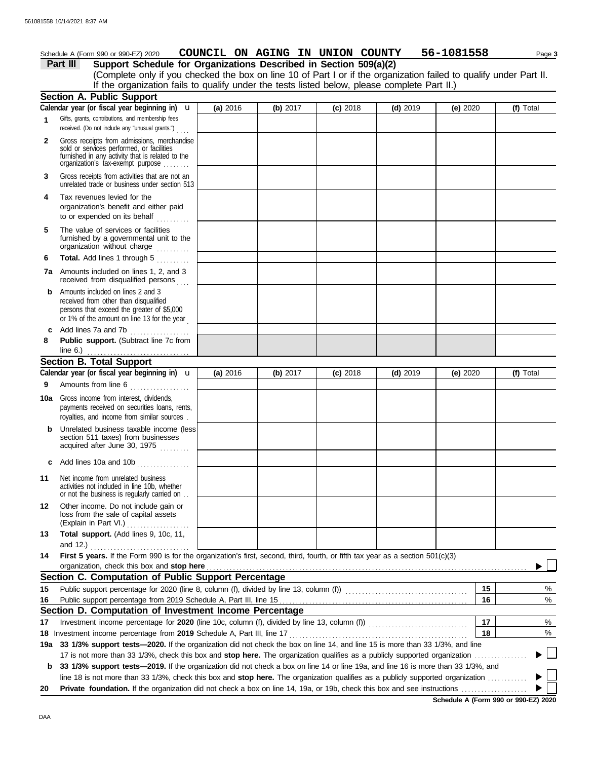|              | Schedule A (Form 990 or 990-EZ) 2020                                                                                                                                              | COUNCIL ON AGING IN UNION COUNTY |          |            |            | 56-1081558 | Page 3    |
|--------------|-----------------------------------------------------------------------------------------------------------------------------------------------------------------------------------|----------------------------------|----------|------------|------------|------------|-----------|
|              | Support Schedule for Organizations Described in Section 509(a)(2)<br>Part III                                                                                                     |                                  |          |            |            |            |           |
|              | (Complete only if you checked the box on line 10 of Part I or if the organization failed to qualify under Part II.                                                                |                                  |          |            |            |            |           |
|              | If the organization fails to qualify under the tests listed below, please complete Part II.)                                                                                      |                                  |          |            |            |            |           |
|              | Section A. Public Support                                                                                                                                                         |                                  |          |            |            |            |           |
|              | Calendar year (or fiscal year beginning in) $\mathbf u$                                                                                                                           | (a) 2016                         | (b) 2017 | $(c)$ 2018 | $(d)$ 2019 | (e) 2020   | (f) Total |
| 1            | Gifts, grants, contributions, and membership fees<br>received. (Do not include any "unusual grants.")                                                                             |                                  |          |            |            |            |           |
| $\mathbf{2}$ | Gross receipts from admissions, merchandise<br>sold or services performed, or facilities<br>furnished in any activity that is related to the<br>organization's fax-exempt purpose |                                  |          |            |            |            |           |
| 3            | Gross receipts from activities that are not an<br>unrelated trade or business under section 513                                                                                   |                                  |          |            |            |            |           |
| 4            | Tax revenues levied for the<br>organization's benefit and either paid<br>to or expended on its behalf                                                                             |                                  |          |            |            |            |           |
| 5            | The value of services or facilities<br>furnished by a governmental unit to the<br>organization without charge                                                                     |                                  |          |            |            |            |           |
| 6            | Total. Add lines 1 through 5                                                                                                                                                      |                                  |          |            |            |            |           |
|              | 7a Amounts included on lines 1, 2, and 3<br>received from disqualified persons                                                                                                    |                                  |          |            |            |            |           |
| b            | Amounts included on lines 2 and 3<br>received from other than disqualified<br>persons that exceed the greater of \$5,000<br>or 1% of the amount on line 13 for the year           |                                  |          |            |            |            |           |
| c            | Add lines 7a and 7b                                                                                                                                                               |                                  |          |            |            |            |           |
| 8            | Public support. (Subtract line 7c from                                                                                                                                            |                                  |          |            |            |            |           |
|              | line $6.$ )                                                                                                                                                                       |                                  |          |            |            |            |           |
|              | <b>Section B. Total Support</b>                                                                                                                                                   |                                  |          |            |            |            |           |
|              | Calendar year (or fiscal year beginning in) $\mathbf u$                                                                                                                           | (a) 2016                         | (b) 2017 | $(c)$ 2018 | $(d)$ 2019 | (e) 2020   | (f) Total |
| 9            | Amounts from line 6                                                                                                                                                               |                                  |          |            |            |            |           |
| 10a          | Gross income from interest, dividends,<br>payments received on securities loans, rents,<br>royalties, and income from similar sources.                                            |                                  |          |            |            |            |           |
|              | <b>b</b> Unrelated business taxable income (less)<br>section 511 taxes) from businesses<br>acquired after June 30, 1975                                                           |                                  |          |            |            |            |           |
| c            | Add lines 10a and 10b<br>.                                                                                                                                                        |                                  |          |            |            |            |           |
| 11           | Net income from unrelated business<br>activities not included in line 10b, whether<br>or not the business is regularly carried on                                                 |                                  |          |            |            |            |           |
| 12           | Other income. Do not include gain or<br>loss from the sale of capital assets<br>(Explain in Part VI.)                                                                             |                                  |          |            |            |            |           |
| 13           | Total support. (Add lines 9, 10c, 11,                                                                                                                                             |                                  |          |            |            |            |           |
| 14           | First 5 years. If the Form 990 is for the organization's first, second, third, fourth, or fifth tax year as a section 501(c)(3)                                                   |                                  |          |            |            |            |           |
|              | organization, check this box and stop here                                                                                                                                        |                                  |          |            |            |            |           |
|              | Section C. Computation of Public Support Percentage                                                                                                                               |                                  |          |            |            |            |           |
| 15           |                                                                                                                                                                                   |                                  |          |            |            | 15         | %         |
| 16           |                                                                                                                                                                                   |                                  |          |            |            | 16         | %         |
|              | Section D. Computation of Investment Income Percentage                                                                                                                            |                                  |          |            |            | 17         |           |
| 17           |                                                                                                                                                                                   |                                  |          |            |            | 18         | %<br>%    |
| 19a          | 33 1/3% support tests-2020. If the organization did not check the box on line 14, and line 15 is more than 33 1/3%, and line                                                      |                                  |          |            |            |            |           |
|              | 17 is not more than 33 1/3%, check this box and stop here. The organization qualifies as a publicly supported organization                                                        |                                  |          |            |            |            |           |
| b            | 33 1/3% support tests-2019. If the organization did not check a box on line 14 or line 19a, and line 16 is more than 33 1/3%, and                                                 |                                  |          |            |            |            |           |
|              | line 18 is not more than 33 1/3%, check this box and stop here. The organization qualifies as a publicly supported organization                                                   |                                  |          |            |            |            |           |
| 20           |                                                                                                                                                                                   |                                  |          |            |            |            |           |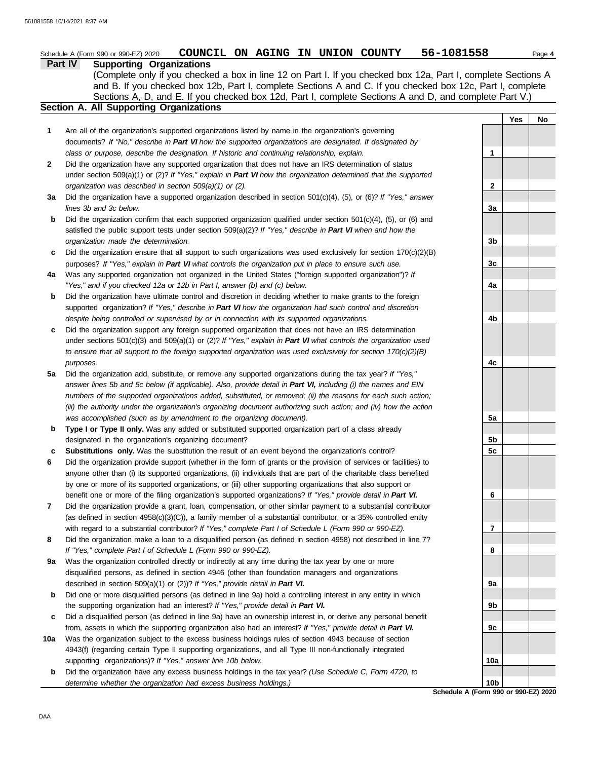|              | COUNCIL ON AGING IN UNION COUNTY<br>Schedule A (Form 990 or 990-EZ) 2020                                                                                                                                                                                                                                                                                                            | 56-1081558                           |     | Page 4 |
|--------------|-------------------------------------------------------------------------------------------------------------------------------------------------------------------------------------------------------------------------------------------------------------------------------------------------------------------------------------------------------------------------------------|--------------------------------------|-----|--------|
|              | Part IV<br><b>Supporting Organizations</b><br>(Complete only if you checked a box in line 12 on Part I. If you checked box 12a, Part I, complete Sections A<br>and B. If you checked box 12b, Part I, complete Sections A and C. If you checked box 12c, Part I, complete<br>Sections A, D, and E. If you checked box 12d, Part I, complete Sections A and D, and complete Part V.) |                                      |     |        |
|              | <b>Section A. All Supporting Organizations</b>                                                                                                                                                                                                                                                                                                                                      |                                      |     |        |
| 1            | Are all of the organization's supported organizations listed by name in the organization's governing                                                                                                                                                                                                                                                                                |                                      | Yes | No     |
|              | documents? If "No," describe in Part VI how the supported organizations are designated. If designated by                                                                                                                                                                                                                                                                            |                                      |     |        |
| $\mathbf{2}$ | class or purpose, describe the designation. If historic and continuing relationship, explain.<br>Did the organization have any supported organization that does not have an IRS determination of status                                                                                                                                                                             | 1                                    |     |        |
|              | under section 509(a)(1) or (2)? If "Yes," explain in Part VI how the organization determined that the supported                                                                                                                                                                                                                                                                     |                                      |     |        |
|              | organization was described in section 509(a)(1) or (2).                                                                                                                                                                                                                                                                                                                             | 2                                    |     |        |
| За           | Did the organization have a supported organization described in section 501(c)(4), (5), or (6)? If "Yes," answer                                                                                                                                                                                                                                                                    |                                      |     |        |
|              | lines 3b and 3c below.                                                                                                                                                                                                                                                                                                                                                              | 3a                                   |     |        |
| b            | Did the organization confirm that each supported organization qualified under section 501(c)(4), (5), or (6) and                                                                                                                                                                                                                                                                    |                                      |     |        |
|              | satisfied the public support tests under section 509(a)(2)? If "Yes," describe in Part VI when and how the                                                                                                                                                                                                                                                                          |                                      |     |        |
|              | organization made the determination.                                                                                                                                                                                                                                                                                                                                                | 3b                                   |     |        |
| c            | Did the organization ensure that all support to such organizations was used exclusively for section $170(c)(2)(B)$                                                                                                                                                                                                                                                                  |                                      |     |        |
|              | purposes? If "Yes," explain in Part VI what controls the organization put in place to ensure such use.                                                                                                                                                                                                                                                                              | 3c                                   |     |        |
| 4a           | Was any supported organization not organized in the United States ("foreign supported organization")? If                                                                                                                                                                                                                                                                            |                                      |     |        |
|              | "Yes," and if you checked 12a or 12b in Part I, answer (b) and (c) below.                                                                                                                                                                                                                                                                                                           | 4a                                   |     |        |
| b            | Did the organization have ultimate control and discretion in deciding whether to make grants to the foreign                                                                                                                                                                                                                                                                         |                                      |     |        |
|              | supported organization? If "Yes," describe in Part VI how the organization had such control and discretion                                                                                                                                                                                                                                                                          |                                      |     |        |
| c            | despite being controlled or supervised by or in connection with its supported organizations.<br>Did the organization support any foreign supported organization that does not have an IRS determination                                                                                                                                                                             | 4b                                   |     |        |
|              | under sections $501(c)(3)$ and $509(a)(1)$ or $(2)?$ If "Yes," explain in Part VI what controls the organization used                                                                                                                                                                                                                                                               |                                      |     |        |
|              | to ensure that all support to the foreign supported organization was used exclusively for section $170(c)(2)(B)$                                                                                                                                                                                                                                                                    |                                      |     |        |
|              | purposes.                                                                                                                                                                                                                                                                                                                                                                           | 4с                                   |     |        |
| 5a           | Did the organization add, substitute, or remove any supported organizations during the tax year? If "Yes,"                                                                                                                                                                                                                                                                          |                                      |     |        |
|              | answer lines 5b and 5c below (if applicable). Also, provide detail in Part VI, including (i) the names and EIN                                                                                                                                                                                                                                                                      |                                      |     |        |
|              | numbers of the supported organizations added, substituted, or removed; (ii) the reasons for each such action;                                                                                                                                                                                                                                                                       |                                      |     |        |
|              | (iii) the authority under the organization's organizing document authorizing such action; and (iv) how the action                                                                                                                                                                                                                                                                   |                                      |     |        |
|              | was accomplished (such as by amendment to the organizing document).                                                                                                                                                                                                                                                                                                                 | 5a                                   |     |        |
| b            | Type I or Type II only. Was any added or substituted supported organization part of a class already                                                                                                                                                                                                                                                                                 |                                      |     |        |
|              | designated in the organization's organizing document?                                                                                                                                                                                                                                                                                                                               | 5b                                   |     |        |
| c            | Substitutions only. Was the substitution the result of an event beyond the organization's control?                                                                                                                                                                                                                                                                                  | 5c                                   |     |        |
| 6            | Did the organization provide support (whether in the form of grants or the provision of services or facilities) to                                                                                                                                                                                                                                                                  |                                      |     |        |
|              | anyone other than (i) its supported organizations, (ii) individuals that are part of the charitable class benefited                                                                                                                                                                                                                                                                 |                                      |     |        |
|              | by one or more of its supported organizations, or (iii) other supporting organizations that also support or                                                                                                                                                                                                                                                                         |                                      |     |        |
| 7            | benefit one or more of the filing organization's supported organizations? If "Yes," provide detail in Part VI.<br>Did the organization provide a grant, loan, compensation, or other similar payment to a substantial contributor                                                                                                                                                   | 6                                    |     |        |
|              | (as defined in section $4958(c)(3)(C)$ ), a family member of a substantial contributor, or a 35% controlled entity                                                                                                                                                                                                                                                                  |                                      |     |        |
|              | with regard to a substantial contributor? If "Yes," complete Part I of Schedule L (Form 990 or 990-EZ).                                                                                                                                                                                                                                                                             | 7                                    |     |        |
| 8            | Did the organization make a loan to a disqualified person (as defined in section 4958) not described in line 7?                                                                                                                                                                                                                                                                     |                                      |     |        |
|              | If "Yes," complete Part I of Schedule L (Form 990 or 990-EZ).                                                                                                                                                                                                                                                                                                                       | 8                                    |     |        |
| 9а           | Was the organization controlled directly or indirectly at any time during the tax year by one or more                                                                                                                                                                                                                                                                               |                                      |     |        |
|              | disqualified persons, as defined in section 4946 (other than foundation managers and organizations                                                                                                                                                                                                                                                                                  |                                      |     |        |
|              | described in section 509(a)(1) or (2))? If "Yes," provide detail in Part VI.                                                                                                                                                                                                                                                                                                        | 9а                                   |     |        |
| b            | Did one or more disqualified persons (as defined in line 9a) hold a controlling interest in any entity in which                                                                                                                                                                                                                                                                     |                                      |     |        |
|              | the supporting organization had an interest? If "Yes," provide detail in Part VI.                                                                                                                                                                                                                                                                                                   | 9b                                   |     |        |
| c            | Did a disqualified person (as defined in line 9a) have an ownership interest in, or derive any personal benefit                                                                                                                                                                                                                                                                     |                                      |     |        |
|              | from, assets in which the supporting organization also had an interest? If "Yes," provide detail in Part VI.                                                                                                                                                                                                                                                                        | 9c                                   |     |        |
| 10a          | Was the organization subject to the excess business holdings rules of section 4943 because of section                                                                                                                                                                                                                                                                               |                                      |     |        |
|              | 4943(f) (regarding certain Type II supporting organizations, and all Type III non-functionally integrated                                                                                                                                                                                                                                                                           |                                      |     |        |
|              | supporting organizations)? If "Yes," answer line 10b below.                                                                                                                                                                                                                                                                                                                         | 10a                                  |     |        |
| b            | Did the organization have any excess business holdings in the tax year? (Use Schedule C, Form 4720, to<br>determine whether the organization had excess business holdings.)                                                                                                                                                                                                         | 10 <sub>b</sub>                      |     |        |
|              |                                                                                                                                                                                                                                                                                                                                                                                     | Schedule A (Form 990 or 990-EZ) 2020 |     |        |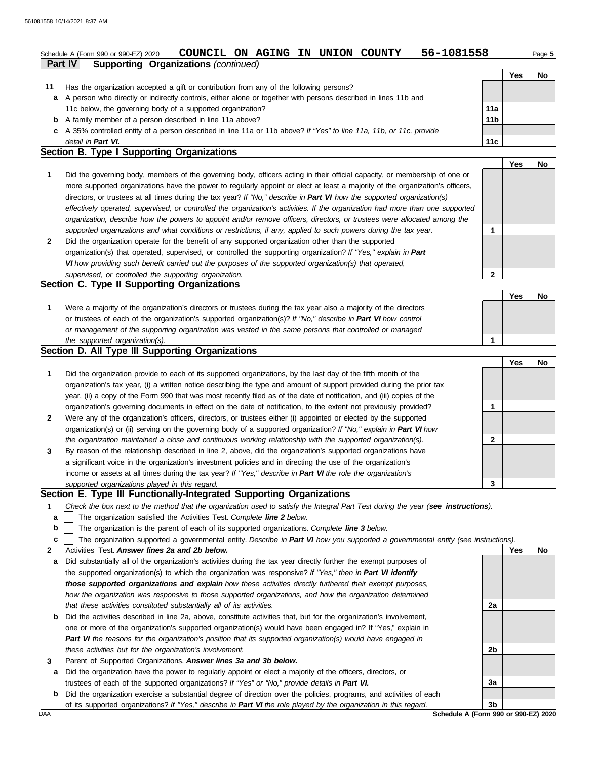## **Part IV Supporting Organizations** *(continued)* Schedule A (Form 990 or 990-EZ) 2020 **COUNCIL ON AGING IN UNION COUNTY** 56-1081558 Page 5

|                                            |                                                                                                                      |                 | Yes | No |  |  |  |  |
|--------------------------------------------|----------------------------------------------------------------------------------------------------------------------|-----------------|-----|----|--|--|--|--|
| 11                                         | Has the organization accepted a gift or contribution from any of the following persons?                              |                 |     |    |  |  |  |  |
| a                                          | A person who directly or indirectly controls, either alone or together with persons described in lines 11b and       |                 |     |    |  |  |  |  |
|                                            | 11c below, the governing body of a supported organization?                                                           | 11a             |     |    |  |  |  |  |
| b                                          | A family member of a person described in line 11a above?                                                             | 11 <sub>b</sub> |     |    |  |  |  |  |
|                                            | c A 35% controlled entity of a person described in line 11a or 11b above? If "Yes" to line 11a, 11b, or 11c, provide |                 |     |    |  |  |  |  |
|                                            | detail in Part VI.                                                                                                   | 11c             |     |    |  |  |  |  |
| Section B. Type I Supporting Organizations |                                                                                                                      |                 |     |    |  |  |  |  |

|   |                                                                                                                                                                                                                                                                                                                                                                                                                                                                                                                                                                                                                                                      |   | Yes | No |
|---|------------------------------------------------------------------------------------------------------------------------------------------------------------------------------------------------------------------------------------------------------------------------------------------------------------------------------------------------------------------------------------------------------------------------------------------------------------------------------------------------------------------------------------------------------------------------------------------------------------------------------------------------------|---|-----|----|
|   | Did the governing body, members of the governing body, officers acting in their official capacity, or membership of one or<br>more supported organizations have the power to regularly appoint or elect at least a majority of the organization's officers,<br>directors, or trustees at all times during the tax year? If "No," describe in Part VI how the supported organization(s)<br>effectively operated, supervised, or controlled the organization's activities. If the organization had more than one supported<br>organization, describe how the powers to appoint and/or remove officers, directors, or trustees were allocated among the |   |     |    |
|   | supported organizations and what conditions or restrictions, if any, applied to such powers during the tax year.                                                                                                                                                                                                                                                                                                                                                                                                                                                                                                                                     |   |     |    |
| 2 | Did the organization operate for the benefit of any supported organization other than the supported<br>organization(s) that operated, supervised, or controlled the supporting organization? If "Yes," explain in Part<br>VI how providing such benefit carried out the purposes of the supported organization(s) that operated,                                                                                                                                                                                                                                                                                                                     |   |     |    |
|   | supervised, or controlled the supporting organization.                                                                                                                                                                                                                                                                                                                                                                                                                                                                                                                                                                                               | 2 |     |    |
|   | Section C. Type II Supporting Organizations                                                                                                                                                                                                                                                                                                                                                                                                                                                                                                                                                                                                          |   |     |    |

|                                                                                                                  |  | No |
|------------------------------------------------------------------------------------------------------------------|--|----|
| Were a majority of the organization's directors or trustees during the tax year also a majority of the directors |  |    |
| or trustees of each of the organization's supported organization(s)? If "No," describe in Part VI how control    |  |    |
| or management of the supporting organization was vested in the same persons that controlled or managed           |  |    |
| the supported organization(s).                                                                                   |  |    |

#### **Section D. All Type III Supporting Organizations**

|              |                                                                                                                        |   | Yes | No |
|--------------|------------------------------------------------------------------------------------------------------------------------|---|-----|----|
| 1            | Did the organization provide to each of its supported organizations, by the last day of the fifth month of the         |   |     |    |
|              | organization's tax year, (i) a written notice describing the type and amount of support provided during the prior tax  |   |     |    |
|              | year, (ii) a copy of the Form 990 that was most recently filed as of the date of notification, and (iii) copies of the |   |     |    |
|              | organization's governing documents in effect on the date of notification, to the extent not previously provided?       |   |     |    |
| $\mathbf{2}$ | Were any of the organization's officers, directors, or trustees either (i) appointed or elected by the supported       |   |     |    |
|              | organization(s) or (ii) serving on the governing body of a supported organization? If "No," explain in Part VI how     |   |     |    |
|              | the organization maintained a close and continuous working relationship with the supported organization(s).            | 2 |     |    |
| 3            | By reason of the relationship described in line 2, above, did the organization's supported organizations have          |   |     |    |
|              | a significant voice in the organization's investment policies and in directing the use of the organization's           |   |     |    |
|              | income or assets at all times during the tax year? If "Yes," describe in Part VI the role the organization's           |   |     |    |
|              | supported organizations played in this regard.                                                                         | 3 |     |    |

#### **Section E. Type III Functionally-Integrated Supporting Organizations**

- **1** *Check the box next to the method that the organization used to satisfy the Integral Part Test during the year (see instructions).*
	- The organization satisfied the Activities Test. *Complete line 2 below.* **a**
- The organization is the parent of each of its supported organizations. *Complete line 3 below.* **b**
- The organization supported a governmental entity. *Describe in Part VI how you supported a governmental entity (see instructions).* **c**
- **2** Activities Test. *Answer lines 2a and 2b below.*
- **a** Did substantially all of the organization's activities during the tax year directly further the exempt purposes of the supported organization(s) to which the organization was responsive? *If "Yes," then in Part VI identify those supported organizations and explain how these activities directly furthered their exempt purposes, how the organization was responsive to those supported organizations, and how the organization determined that these activities constituted substantially all of its activities.*
- **b** Did the activities described in line 2a, above, constitute activities that, but for the organization's involvement, one or more of the organization's supported organization(s) would have been engaged in? If "Yes," explain in *Part VI the reasons for the organization's position that its supported organization(s) would have engaged in these activities but for the organization's involvement.*
- **3** Parent of Supported Organizations. *Answer lines 3a and 3b below.*
- **a** Did the organization have the power to regularly appoint or elect a majority of the officers, directors, or trustees of each of the supported organizations? *If "Yes" or "No," provide details in Part VI.*
- **b** Did the organization exercise a substantial degree of direction over the policies, programs, and activities of each of its supported organizations? *If "Yes," describe in Part VI the role played by the organization in this regard.*

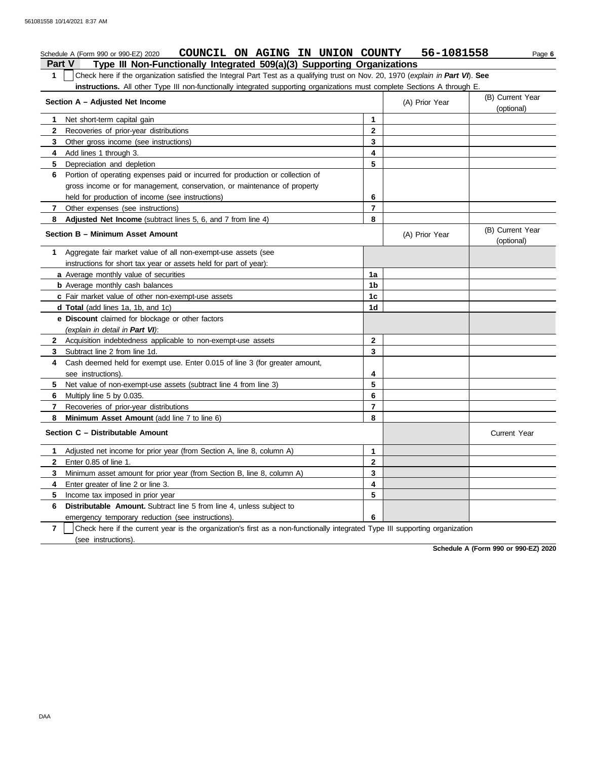#### **Part V Type III Non-Functionally Integrated 509(a)(3) Supporting Organizations** Schedule A (Form 990 or 990-EZ) 2020 **COUNCIL ON AGING IN UNION COUNTY** 56-1081558 Page 6 **1** Check here if the organization satisfied the Integral Part Test as a qualifying trust on Nov. 20, 1970 (*explain in Part VI*). **See instructions.** All other Type III non-functionally integrated supporting organizations must complete Sections A through E. **1** Net short-term capital gain **2 3 4** Add lines 1 through 3. **5** Depreciation and depletion **6** Portion of operating expenses paid or incurred for production or collection of **7** Other expenses (see instructions) **8 Adjusted Net Income** (subtract lines 5, 6, and 7 from line 4) **1** Aggregate fair market value of all non-exempt-use assets (see **Section A – Adjusted Net Income** Recoveries of prior-year distributions Other gross income (see instructions) gross income or for management, conservation, or maintenance of property held for production of income (see instructions) **Section B – Minimum Asset Amount** instructions for short tax year or assets held for part of year): **a** Average monthly value of securities **b** Average monthly cash balances **c** Fair market value of other non-exempt-use assets **d Total** (add lines 1a, 1b, and 1c) **e Discount** claimed for blockage or other factors *(explain in detail in Part VI)*: **8 Minimum Asset Amount** (add line 7 to line 6) **7 6** Multiply line 5 by 0.035. **5 4** Cash deemed held for exempt use. Enter 0.015 of line 3 (for greater amount, **3** Subtract line 2 from line 1d. **2** Acquisition indebtedness applicable to non-exempt-use assets see instructions). Net value of non-exempt-use assets (subtract line 4 from line 3) Recoveries of prior-year distributions **Section C – Distributable Amount 7 6 5** Income tax imposed in prior year **4** Enter greater of line 2 or line 3. **3 2 1** Adjusted net income for prior year (from Section A, line 8, column A) Enter 0.85 of line 1. Minimum asset amount for prior year (from Section B, line 8, column A) **Distributable Amount.** Subtract line 5 from line 4, unless subject to emergency temporary reduction (see instructions). (see instructions). Check here if the current year is the organization's first as a non-functionally integrated Type III supporting organization **8 7 6 5 4 3 2 1** (A) Prior Year (B) Current Year (optional) (optional) (B) Current Year (A) Prior Year **1a 1b 1c 1d 2 3 4 5 6 7 8 3 2 1 6 5 4** Current Year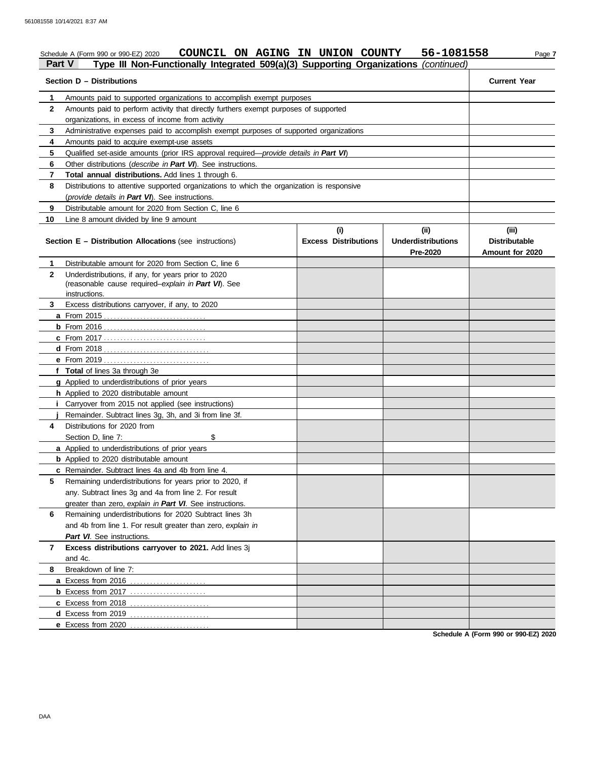## Schedule A (Form 990 or 990-EZ) 2020 **COUNCIL ON AGING IN UNION COUNTY** 56-1081558 Page 7 **Part V Type III Non-Functionally Integrated 509(a)(3) Supporting Organizations** *(continued)*

| Amounts paid to supported organizations to accomplish exempt purposes<br>1<br>$\mathbf{2}$<br>Amounts paid to perform activity that directly furthers exempt purposes of supported<br>organizations, in excess of income from activity<br>Administrative expenses paid to accomplish exempt purposes of supported organizations<br>3<br>4<br>Amounts paid to acquire exempt-use assets<br>5<br>Qualified set-aside amounts (prior IRS approval required—provide details in Part VI)<br>6<br>Other distributions (describe in Part VI). See instructions.<br>7<br>Total annual distributions. Add lines 1 through 6.<br>8<br>Distributions to attentive supported organizations to which the organization is responsive<br>(provide details in Part VI). See instructions.<br>9<br>Distributable amount for 2020 from Section C, line 6<br>10<br>Line 8 amount divided by line 9 amount<br>(i)<br>(i)<br>(iii)<br><b>Underdistributions</b><br><b>Distributable</b><br><b>Section E - Distribution Allocations (see instructions)</b><br><b>Excess Distributions</b><br>Pre-2020<br>Amount for 2020<br>Distributable amount for 2020 from Section C, line 6<br>1<br>$\mathbf{2}$<br>Underdistributions, if any, for years prior to 2020 | Section D - Distributions | <b>Current Year</b>                                 |  |  |  |  |  |  |  |
|----------------------------------------------------------------------------------------------------------------------------------------------------------------------------------------------------------------------------------------------------------------------------------------------------------------------------------------------------------------------------------------------------------------------------------------------------------------------------------------------------------------------------------------------------------------------------------------------------------------------------------------------------------------------------------------------------------------------------------------------------------------------------------------------------------------------------------------------------------------------------------------------------------------------------------------------------------------------------------------------------------------------------------------------------------------------------------------------------------------------------------------------------------------------------------------------------------------------------------------|---------------------------|-----------------------------------------------------|--|--|--|--|--|--|--|
|                                                                                                                                                                                                                                                                                                                                                                                                                                                                                                                                                                                                                                                                                                                                                                                                                                                                                                                                                                                                                                                                                                                                                                                                                                        |                           |                                                     |  |  |  |  |  |  |  |
|                                                                                                                                                                                                                                                                                                                                                                                                                                                                                                                                                                                                                                                                                                                                                                                                                                                                                                                                                                                                                                                                                                                                                                                                                                        |                           |                                                     |  |  |  |  |  |  |  |
|                                                                                                                                                                                                                                                                                                                                                                                                                                                                                                                                                                                                                                                                                                                                                                                                                                                                                                                                                                                                                                                                                                                                                                                                                                        |                           |                                                     |  |  |  |  |  |  |  |
|                                                                                                                                                                                                                                                                                                                                                                                                                                                                                                                                                                                                                                                                                                                                                                                                                                                                                                                                                                                                                                                                                                                                                                                                                                        |                           |                                                     |  |  |  |  |  |  |  |
|                                                                                                                                                                                                                                                                                                                                                                                                                                                                                                                                                                                                                                                                                                                                                                                                                                                                                                                                                                                                                                                                                                                                                                                                                                        |                           |                                                     |  |  |  |  |  |  |  |
|                                                                                                                                                                                                                                                                                                                                                                                                                                                                                                                                                                                                                                                                                                                                                                                                                                                                                                                                                                                                                                                                                                                                                                                                                                        |                           |                                                     |  |  |  |  |  |  |  |
|                                                                                                                                                                                                                                                                                                                                                                                                                                                                                                                                                                                                                                                                                                                                                                                                                                                                                                                                                                                                                                                                                                                                                                                                                                        |                           |                                                     |  |  |  |  |  |  |  |
|                                                                                                                                                                                                                                                                                                                                                                                                                                                                                                                                                                                                                                                                                                                                                                                                                                                                                                                                                                                                                                                                                                                                                                                                                                        |                           |                                                     |  |  |  |  |  |  |  |
|                                                                                                                                                                                                                                                                                                                                                                                                                                                                                                                                                                                                                                                                                                                                                                                                                                                                                                                                                                                                                                                                                                                                                                                                                                        |                           |                                                     |  |  |  |  |  |  |  |
|                                                                                                                                                                                                                                                                                                                                                                                                                                                                                                                                                                                                                                                                                                                                                                                                                                                                                                                                                                                                                                                                                                                                                                                                                                        |                           |                                                     |  |  |  |  |  |  |  |
|                                                                                                                                                                                                                                                                                                                                                                                                                                                                                                                                                                                                                                                                                                                                                                                                                                                                                                                                                                                                                                                                                                                                                                                                                                        |                           |                                                     |  |  |  |  |  |  |  |
|                                                                                                                                                                                                                                                                                                                                                                                                                                                                                                                                                                                                                                                                                                                                                                                                                                                                                                                                                                                                                                                                                                                                                                                                                                        |                           |                                                     |  |  |  |  |  |  |  |
|                                                                                                                                                                                                                                                                                                                                                                                                                                                                                                                                                                                                                                                                                                                                                                                                                                                                                                                                                                                                                                                                                                                                                                                                                                        |                           |                                                     |  |  |  |  |  |  |  |
|                                                                                                                                                                                                                                                                                                                                                                                                                                                                                                                                                                                                                                                                                                                                                                                                                                                                                                                                                                                                                                                                                                                                                                                                                                        |                           |                                                     |  |  |  |  |  |  |  |
| instructions.                                                                                                                                                                                                                                                                                                                                                                                                                                                                                                                                                                                                                                                                                                                                                                                                                                                                                                                                                                                                                                                                                                                                                                                                                          |                           | (reasonable cause required-explain in Part VI). See |  |  |  |  |  |  |  |
| Excess distributions carryover, if any, to 2020<br>3                                                                                                                                                                                                                                                                                                                                                                                                                                                                                                                                                                                                                                                                                                                                                                                                                                                                                                                                                                                                                                                                                                                                                                                   |                           |                                                     |  |  |  |  |  |  |  |
|                                                                                                                                                                                                                                                                                                                                                                                                                                                                                                                                                                                                                                                                                                                                                                                                                                                                                                                                                                                                                                                                                                                                                                                                                                        |                           |                                                     |  |  |  |  |  |  |  |
|                                                                                                                                                                                                                                                                                                                                                                                                                                                                                                                                                                                                                                                                                                                                                                                                                                                                                                                                                                                                                                                                                                                                                                                                                                        |                           |                                                     |  |  |  |  |  |  |  |
| <b>c</b> From 2017                                                                                                                                                                                                                                                                                                                                                                                                                                                                                                                                                                                                                                                                                                                                                                                                                                                                                                                                                                                                                                                                                                                                                                                                                     |                           |                                                     |  |  |  |  |  |  |  |
|                                                                                                                                                                                                                                                                                                                                                                                                                                                                                                                                                                                                                                                                                                                                                                                                                                                                                                                                                                                                                                                                                                                                                                                                                                        |                           |                                                     |  |  |  |  |  |  |  |
|                                                                                                                                                                                                                                                                                                                                                                                                                                                                                                                                                                                                                                                                                                                                                                                                                                                                                                                                                                                                                                                                                                                                                                                                                                        |                           |                                                     |  |  |  |  |  |  |  |
| f Total of lines 3a through 3e                                                                                                                                                                                                                                                                                                                                                                                                                                                                                                                                                                                                                                                                                                                                                                                                                                                                                                                                                                                                                                                                                                                                                                                                         |                           |                                                     |  |  |  |  |  |  |  |
| g Applied to underdistributions of prior years                                                                                                                                                                                                                                                                                                                                                                                                                                                                                                                                                                                                                                                                                                                                                                                                                                                                                                                                                                                                                                                                                                                                                                                         |                           |                                                     |  |  |  |  |  |  |  |
| h Applied to 2020 distributable amount                                                                                                                                                                                                                                                                                                                                                                                                                                                                                                                                                                                                                                                                                                                                                                                                                                                                                                                                                                                                                                                                                                                                                                                                 |                           |                                                     |  |  |  |  |  |  |  |
| Carryover from 2015 not applied (see instructions)<br>Ť.                                                                                                                                                                                                                                                                                                                                                                                                                                                                                                                                                                                                                                                                                                                                                                                                                                                                                                                                                                                                                                                                                                                                                                               |                           |                                                     |  |  |  |  |  |  |  |
| Remainder. Subtract lines 3g, 3h, and 3i from line 3f.                                                                                                                                                                                                                                                                                                                                                                                                                                                                                                                                                                                                                                                                                                                                                                                                                                                                                                                                                                                                                                                                                                                                                                                 |                           |                                                     |  |  |  |  |  |  |  |
| Distributions for 2020 from<br>4                                                                                                                                                                                                                                                                                                                                                                                                                                                                                                                                                                                                                                                                                                                                                                                                                                                                                                                                                                                                                                                                                                                                                                                                       |                           |                                                     |  |  |  |  |  |  |  |
| Section D, line 7:<br>\$                                                                                                                                                                                                                                                                                                                                                                                                                                                                                                                                                                                                                                                                                                                                                                                                                                                                                                                                                                                                                                                                                                                                                                                                               |                           |                                                     |  |  |  |  |  |  |  |
| a Applied to underdistributions of prior years                                                                                                                                                                                                                                                                                                                                                                                                                                                                                                                                                                                                                                                                                                                                                                                                                                                                                                                                                                                                                                                                                                                                                                                         |                           |                                                     |  |  |  |  |  |  |  |
| <b>b</b> Applied to 2020 distributable amount                                                                                                                                                                                                                                                                                                                                                                                                                                                                                                                                                                                                                                                                                                                                                                                                                                                                                                                                                                                                                                                                                                                                                                                          |                           |                                                     |  |  |  |  |  |  |  |
| c Remainder. Subtract lines 4a and 4b from line 4.                                                                                                                                                                                                                                                                                                                                                                                                                                                                                                                                                                                                                                                                                                                                                                                                                                                                                                                                                                                                                                                                                                                                                                                     |                           |                                                     |  |  |  |  |  |  |  |
| 5<br>Remaining underdistributions for years prior to 2020, if<br>any. Subtract lines 3g and 4a from line 2. For result                                                                                                                                                                                                                                                                                                                                                                                                                                                                                                                                                                                                                                                                                                                                                                                                                                                                                                                                                                                                                                                                                                                 |                           |                                                     |  |  |  |  |  |  |  |
| greater than zero, explain in Part VI. See instructions.                                                                                                                                                                                                                                                                                                                                                                                                                                                                                                                                                                                                                                                                                                                                                                                                                                                                                                                                                                                                                                                                                                                                                                               |                           |                                                     |  |  |  |  |  |  |  |
| Remaining underdistributions for 2020 Subtract lines 3h<br>6                                                                                                                                                                                                                                                                                                                                                                                                                                                                                                                                                                                                                                                                                                                                                                                                                                                                                                                                                                                                                                                                                                                                                                           |                           |                                                     |  |  |  |  |  |  |  |
| and 4b from line 1. For result greater than zero, explain in                                                                                                                                                                                                                                                                                                                                                                                                                                                                                                                                                                                                                                                                                                                                                                                                                                                                                                                                                                                                                                                                                                                                                                           |                           |                                                     |  |  |  |  |  |  |  |
| Part VI. See instructions.                                                                                                                                                                                                                                                                                                                                                                                                                                                                                                                                                                                                                                                                                                                                                                                                                                                                                                                                                                                                                                                                                                                                                                                                             |                           |                                                     |  |  |  |  |  |  |  |
| Excess distributions carryover to 2021. Add lines 3j<br>7                                                                                                                                                                                                                                                                                                                                                                                                                                                                                                                                                                                                                                                                                                                                                                                                                                                                                                                                                                                                                                                                                                                                                                              |                           |                                                     |  |  |  |  |  |  |  |
| and 4c.                                                                                                                                                                                                                                                                                                                                                                                                                                                                                                                                                                                                                                                                                                                                                                                                                                                                                                                                                                                                                                                                                                                                                                                                                                |                           |                                                     |  |  |  |  |  |  |  |
| Breakdown of line 7:<br>8                                                                                                                                                                                                                                                                                                                                                                                                                                                                                                                                                                                                                                                                                                                                                                                                                                                                                                                                                                                                                                                                                                                                                                                                              |                           |                                                     |  |  |  |  |  |  |  |
| a Excess from 2016                                                                                                                                                                                                                                                                                                                                                                                                                                                                                                                                                                                                                                                                                                                                                                                                                                                                                                                                                                                                                                                                                                                                                                                                                     |                           |                                                     |  |  |  |  |  |  |  |
| <b>b</b> Excess from 2017                                                                                                                                                                                                                                                                                                                                                                                                                                                                                                                                                                                                                                                                                                                                                                                                                                                                                                                                                                                                                                                                                                                                                                                                              |                           |                                                     |  |  |  |  |  |  |  |
| c Excess from 2018                                                                                                                                                                                                                                                                                                                                                                                                                                                                                                                                                                                                                                                                                                                                                                                                                                                                                                                                                                                                                                                                                                                                                                                                                     |                           |                                                     |  |  |  |  |  |  |  |
| d Excess from 2019                                                                                                                                                                                                                                                                                                                                                                                                                                                                                                                                                                                                                                                                                                                                                                                                                                                                                                                                                                                                                                                                                                                                                                                                                     |                           |                                                     |  |  |  |  |  |  |  |
| e Excess from 2020                                                                                                                                                                                                                                                                                                                                                                                                                                                                                                                                                                                                                                                                                                                                                                                                                                                                                                                                                                                                                                                                                                                                                                                                                     |                           |                                                     |  |  |  |  |  |  |  |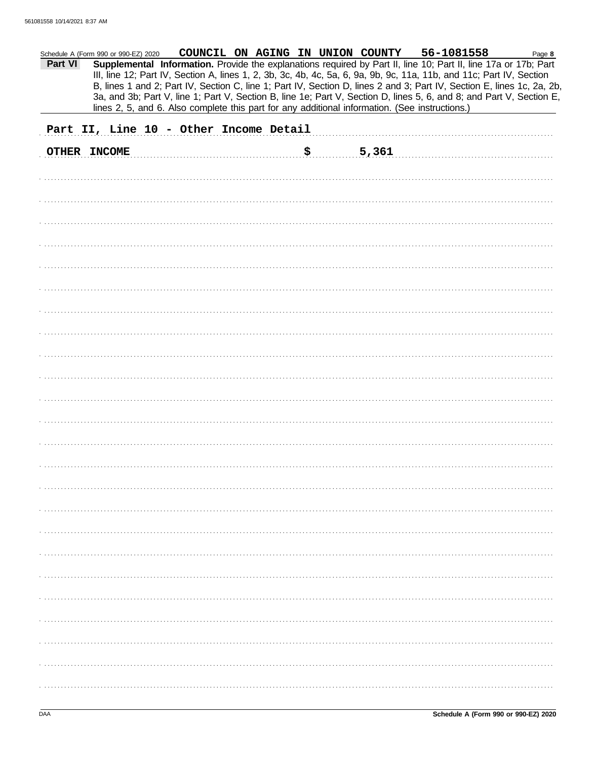| Part VI      | Schedule A (Form 990 or 990-EZ) 2020   |  | COUNCIL ON AGING IN UNION COUNTY<br>lines 2, 5, and 6. Also complete this part for any additional information. (See instructions.) | 56-1081558<br>Supplemental Information. Provide the explanations required by Part II, line 10; Part II, line 17a or 17b; Part<br>III, line 12; Part IV, Section A, lines 1, 2, 3b, 3c, 4b, 4c, 5a, 6, 9a, 9b, 9c, 11a, 11b, and 11c; Part IV, Section<br>B, lines 1 and 2; Part IV, Section C, line 1; Part IV, Section D, lines 2 and 3; Part IV, Section E, lines 1c, 2a, 2b,<br>3a, and 3b; Part V, line 1; Part V, Section B, line 1e; Part V, Section D, lines 5, 6, and 8; and Part V, Section E, | Page 8 |
|--------------|----------------------------------------|--|------------------------------------------------------------------------------------------------------------------------------------|---------------------------------------------------------------------------------------------------------------------------------------------------------------------------------------------------------------------------------------------------------------------------------------------------------------------------------------------------------------------------------------------------------------------------------------------------------------------------------------------------------|--------|
|              | Part II, Line 10 - Other Income Detail |  |                                                                                                                                    |                                                                                                                                                                                                                                                                                                                                                                                                                                                                                                         |        |
| OTHER INCOME |                                        |  | \$<br>5,361                                                                                                                        |                                                                                                                                                                                                                                                                                                                                                                                                                                                                                                         |        |
|              |                                        |  |                                                                                                                                    |                                                                                                                                                                                                                                                                                                                                                                                                                                                                                                         |        |
|              |                                        |  |                                                                                                                                    |                                                                                                                                                                                                                                                                                                                                                                                                                                                                                                         |        |
|              |                                        |  |                                                                                                                                    |                                                                                                                                                                                                                                                                                                                                                                                                                                                                                                         |        |
|              |                                        |  |                                                                                                                                    |                                                                                                                                                                                                                                                                                                                                                                                                                                                                                                         |        |
|              |                                        |  |                                                                                                                                    |                                                                                                                                                                                                                                                                                                                                                                                                                                                                                                         |        |
|              |                                        |  |                                                                                                                                    |                                                                                                                                                                                                                                                                                                                                                                                                                                                                                                         |        |
|              |                                        |  |                                                                                                                                    |                                                                                                                                                                                                                                                                                                                                                                                                                                                                                                         |        |
|              |                                        |  |                                                                                                                                    |                                                                                                                                                                                                                                                                                                                                                                                                                                                                                                         |        |
|              |                                        |  |                                                                                                                                    |                                                                                                                                                                                                                                                                                                                                                                                                                                                                                                         |        |
|              |                                        |  |                                                                                                                                    |                                                                                                                                                                                                                                                                                                                                                                                                                                                                                                         |        |
|              |                                        |  |                                                                                                                                    |                                                                                                                                                                                                                                                                                                                                                                                                                                                                                                         |        |
|              |                                        |  |                                                                                                                                    |                                                                                                                                                                                                                                                                                                                                                                                                                                                                                                         |        |
|              |                                        |  |                                                                                                                                    |                                                                                                                                                                                                                                                                                                                                                                                                                                                                                                         |        |
|              |                                        |  |                                                                                                                                    |                                                                                                                                                                                                                                                                                                                                                                                                                                                                                                         |        |
|              |                                        |  |                                                                                                                                    |                                                                                                                                                                                                                                                                                                                                                                                                                                                                                                         |        |
|              |                                        |  |                                                                                                                                    |                                                                                                                                                                                                                                                                                                                                                                                                                                                                                                         |        |
|              |                                        |  |                                                                                                                                    |                                                                                                                                                                                                                                                                                                                                                                                                                                                                                                         |        |
|              |                                        |  |                                                                                                                                    |                                                                                                                                                                                                                                                                                                                                                                                                                                                                                                         |        |
|              |                                        |  |                                                                                                                                    |                                                                                                                                                                                                                                                                                                                                                                                                                                                                                                         |        |
|              |                                        |  |                                                                                                                                    |                                                                                                                                                                                                                                                                                                                                                                                                                                                                                                         |        |
|              |                                        |  |                                                                                                                                    |                                                                                                                                                                                                                                                                                                                                                                                                                                                                                                         |        |
|              |                                        |  |                                                                                                                                    |                                                                                                                                                                                                                                                                                                                                                                                                                                                                                                         |        |
|              |                                        |  |                                                                                                                                    |                                                                                                                                                                                                                                                                                                                                                                                                                                                                                                         |        |
|              |                                        |  |                                                                                                                                    |                                                                                                                                                                                                                                                                                                                                                                                                                                                                                                         |        |
|              |                                        |  |                                                                                                                                    |                                                                                                                                                                                                                                                                                                                                                                                                                                                                                                         |        |
|              |                                        |  |                                                                                                                                    |                                                                                                                                                                                                                                                                                                                                                                                                                                                                                                         |        |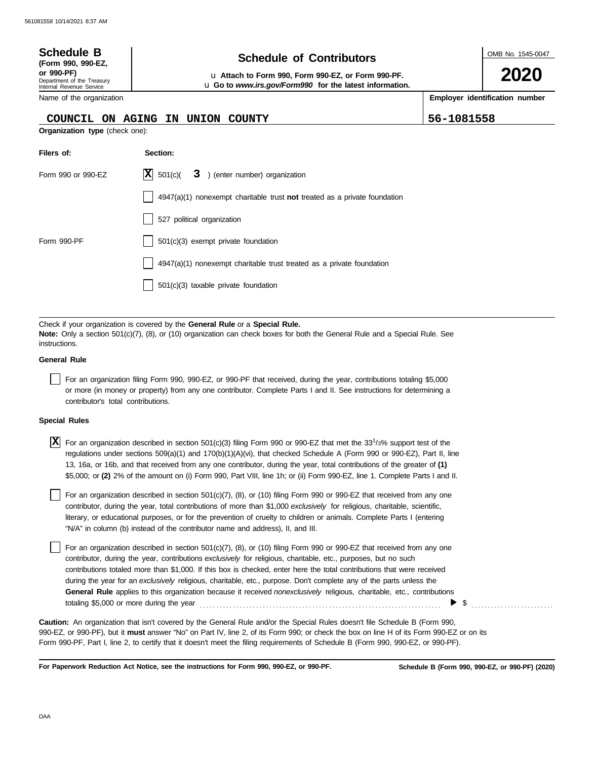| <b>Schedule B</b><br>(Form 990, 990-EZ,<br>or 990-PF)<br>Department of the Treasury<br>Internal Revenue Service<br>Name of the organization | <b>Schedule of Contributors</b><br>u Attach to Form 990, Form 990-EZ, or Form 990-PF.<br>u Go to www.irs.gov/Form990 for the latest information. | OMB No. 1545-0047<br>2020<br>Employer identification number |
|---------------------------------------------------------------------------------------------------------------------------------------------|--------------------------------------------------------------------------------------------------------------------------------------------------|-------------------------------------------------------------|
| <b>COUNCIL</b><br>ON.<br><b>Organization type (check one):</b>                                                                              | <b>AGING</b><br><b>UNION</b><br><b>COUNTY</b><br>IN.                                                                                             | 56-1081558                                                  |
|                                                                                                                                             |                                                                                                                                                  |                                                             |
| Filers of:                                                                                                                                  | Section:                                                                                                                                         |                                                             |
| Form 990 or 990-EZ                                                                                                                          | IХ<br>501(c)(<br>3 ) (enter number) organization                                                                                                 |                                                             |
|                                                                                                                                             | $4947(a)(1)$ nonexempt charitable trust not treated as a private foundation                                                                      |                                                             |
|                                                                                                                                             | 527 political organization                                                                                                                       |                                                             |
| Form 990-PF                                                                                                                                 | $501(c)(3)$ exempt private foundation                                                                                                            |                                                             |
|                                                                                                                                             |                                                                                                                                                  |                                                             |

 $\vert$  4947(a)(1) nonexempt charitable trust treated as a private foundation

501(c)(3) taxable private foundation

Check if your organization is covered by the **General Rule** or a **Special Rule. Note:** Only a section 501(c)(7), (8), or (10) organization can check boxes for both the General Rule and a Special Rule. See instructions.

#### **General Rule**

For an organization filing Form 990, 990-EZ, or 990-PF that received, during the year, contributions totaling \$5,000 or more (in money or property) from any one contributor. Complete Parts I and II. See instructions for determining a contributor's total contributions.

#### **Special Rules**

For an organization described in section 501(c)(3) filing Form 990 or 990-EZ that met the 33<sup>1</sup> /3% support test of the **X** regulations under sections 509(a)(1) and 170(b)(1)(A)(vi), that checked Schedule A (Form 990 or 990-EZ), Part II, line 13, 16a, or 16b, and that received from any one contributor, during the year, total contributions of the greater of **(1)** \$5,000; or **(2)** 2% of the amount on (i) Form 990, Part VIII, line 1h; or (ii) Form 990-EZ, line 1. Complete Parts I and II.

literary, or educational purposes, or for the prevention of cruelty to children or animals. Complete Parts I (entering For an organization described in section  $501(c)(7)$ , (8), or (10) filing Form 990 or 990-EZ that received from any one contributor, during the year, total contributions of more than \$1,000 *exclusively* for religious, charitable, scientific, "N/A" in column (b) instead of the contributor name and address), II, and III.

For an organization described in section 501(c)(7), (8), or (10) filing Form 990 or 990-EZ that received from any one contributor, during the year, contributions *exclusively* for religious, charitable, etc., purposes, but no such contributions totaled more than \$1,000. If this box is checked, enter here the total contributions that were received during the year for an *exclusively* religious, charitable, etc., purpose. Don't complete any of the parts unless the **General Rule** applies to this organization because it received *nonexclusively* religious, charitable, etc., contributions totaling \$5,000 or more during the year . . . . . . . . . . . . . . . . . . . . . . . . . . . . . . . . . . . . . . . . . . . . . . . . . . . . . . . . . . . . . . . . . . . . . . . . .  $\triangleright$  \$

990-EZ, or 990-PF), but it **must** answer "No" on Part IV, line 2, of its Form 990; or check the box on line H of its Form 990-EZ or on its Form 990-PF, Part I, line 2, to certify that it doesn't meet the filing requirements of Schedule B (Form 990, 990-EZ, or 990-PF). **Caution:** An organization that isn't covered by the General Rule and/or the Special Rules doesn't file Schedule B (Form 990,

**For Paperwork Reduction Act Notice, see the instructions for Form 990, 990-EZ, or 990-PF.**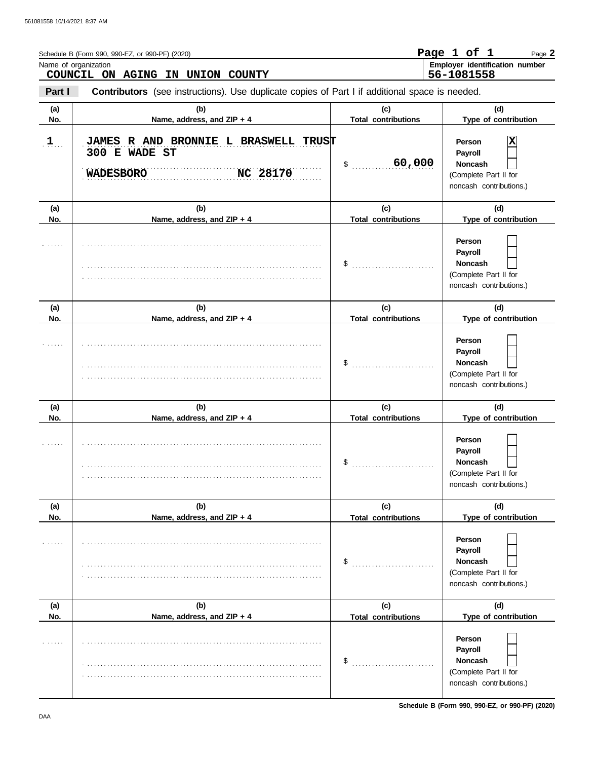|            | Schedule B (Form 990, 990-EZ, or 990-PF) (2020)<br>Name of organization<br>COUNCIL ON AGING IN UNION COUNTY |                                   | Page 1 of 1<br>Page 2<br>Employer identification number<br>56-1081558                   |
|------------|-------------------------------------------------------------------------------------------------------------|-----------------------------------|-----------------------------------------------------------------------------------------|
| Part I     | Contributors (see instructions). Use duplicate copies of Part I if additional space is needed.              |                                   |                                                                                         |
| (a)<br>No. | (b)<br>Name, address, and ZIP + 4                                                                           | (c)<br><b>Total contributions</b> | (d)<br>Type of contribution                                                             |
| $1$        | JAMES R AND BRONNIE L BRASWELL TRUST<br>300 E WADE ST<br>NC 28170<br><b>WADESBORO</b>                       | 60,000<br>\$                      | Person<br>Payroll<br><b>Noncash</b><br>(Complete Part II for<br>noncash contributions.) |
| (a)        | (b)                                                                                                         | (c)                               | (d)                                                                                     |
| No.        | Name, address, and ZIP + 4                                                                                  | <b>Total contributions</b>        | Type of contribution                                                                    |
|            |                                                                                                             | \$                                | Person<br>Payroll<br><b>Noncash</b><br>(Complete Part II for<br>noncash contributions.) |
| (a)        | (b)                                                                                                         | (c)                               | (d)                                                                                     |
| No.        | Name, address, and ZIP + 4                                                                                  | <b>Total contributions</b>        | Type of contribution                                                                    |
|            |                                                                                                             | \$                                | Person<br>Payroll<br><b>Noncash</b><br>(Complete Part II for<br>noncash contributions.) |
| (a)        | (b)                                                                                                         | (c)                               | (d)                                                                                     |
| No.        | Name, address, and ZIP + 4                                                                                  | <b>Total contributions</b>        | Type of contribution                                                                    |
|            |                                                                                                             | \$                                | Person<br>Payroll<br>Noncash<br>(Complete Part II for<br>noncash contributions.)        |
| (a)        | (b)                                                                                                         | (c)                               | (d)                                                                                     |
| No.        | Name, address, and ZIP + 4                                                                                  | <b>Total contributions</b>        | Type of contribution                                                                    |
|            |                                                                                                             | \$                                | Person<br>Payroll<br>Noncash<br>(Complete Part II for<br>noncash contributions.)        |
| (a)<br>No. | (b)<br>Name, address, and ZIP + 4                                                                           | (c)<br><b>Total contributions</b> | (d)<br>Type of contribution                                                             |
|            |                                                                                                             | \$                                | Person<br>Payroll<br>Noncash<br>(Complete Part II for<br>noncash contributions.)        |

**Schedule B (Form 990, 990-EZ, or 990-PF) (2020)**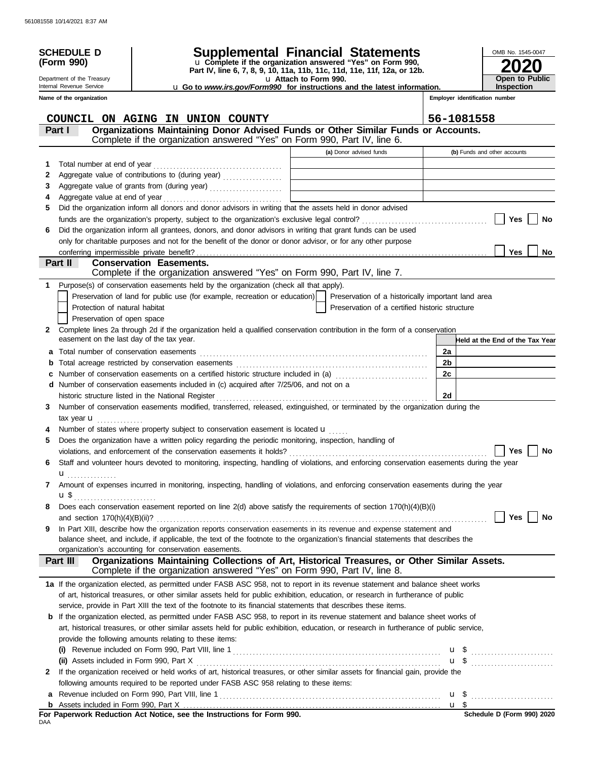|     | <b>SCHEDULE D</b><br>(Form 990)                                                                                           |                                                                                                                                                                                                                                                                      | Supplemental Financial Statements<br>u Complete if the organization answered "Yes" on Form 990,<br>Part IV, line 6, 7, 8, 9, 10, 11a, 11b, 11c, 11d, 11e, 11f, 12a, or 12b. |            | OMB No. 1545-0047               |  |
|-----|---------------------------------------------------------------------------------------------------------------------------|----------------------------------------------------------------------------------------------------------------------------------------------------------------------------------------------------------------------------------------------------------------------|-----------------------------------------------------------------------------------------------------------------------------------------------------------------------------|------------|---------------------------------|--|
|     | Department of the Treasury                                                                                                |                                                                                                                                                                                                                                                                      | u Attach to Form 990.                                                                                                                                                       |            | <b>Open to Public</b>           |  |
|     | Internal Revenue Service                                                                                                  |                                                                                                                                                                                                                                                                      | u Go to www.irs.gov/Form990 for instructions and the latest information.                                                                                                    |            | <b>Inspection</b>               |  |
|     | Name of the organization                                                                                                  |                                                                                                                                                                                                                                                                      |                                                                                                                                                                             |            | Employer identification number  |  |
|     |                                                                                                                           | COUNCIL ON AGING IN UNION COUNTY                                                                                                                                                                                                                                     |                                                                                                                                                                             | 56-1081558 |                                 |  |
|     | Part I                                                                                                                    | Organizations Maintaining Donor Advised Funds or Other Similar Funds or Accounts.                                                                                                                                                                                    |                                                                                                                                                                             |            |                                 |  |
|     |                                                                                                                           | Complete if the organization answered "Yes" on Form 990, Part IV, line 6.                                                                                                                                                                                            |                                                                                                                                                                             |            |                                 |  |
|     |                                                                                                                           |                                                                                                                                                                                                                                                                      | (a) Donor advised funds                                                                                                                                                     |            | (b) Funds and other accounts    |  |
| 1   | Total number at end of year                                                                                               |                                                                                                                                                                                                                                                                      |                                                                                                                                                                             |            |                                 |  |
| 2   |                                                                                                                           | Aggregate value of contributions to (during year)                                                                                                                                                                                                                    | the control of the control of the control of the control of the control of                                                                                                  |            |                                 |  |
| 3   |                                                                                                                           |                                                                                                                                                                                                                                                                      |                                                                                                                                                                             |            |                                 |  |
| 4   |                                                                                                                           |                                                                                                                                                                                                                                                                      |                                                                                                                                                                             |            |                                 |  |
| 5   |                                                                                                                           | Did the organization inform all donors and donor advisors in writing that the assets held in donor advised                                                                                                                                                           |                                                                                                                                                                             |            |                                 |  |
|     |                                                                                                                           | funds are the organization's property, subject to the organization's exclusive legal control?                                                                                                                                                                        |                                                                                                                                                                             |            | Yes<br>No                       |  |
| 6   |                                                                                                                           | Did the organization inform all grantees, donors, and donor advisors in writing that grant funds can be used                                                                                                                                                         |                                                                                                                                                                             |            |                                 |  |
|     |                                                                                                                           | only for charitable purposes and not for the benefit of the donor or donor advisor, or for any other purpose                                                                                                                                                         |                                                                                                                                                                             |            |                                 |  |
|     | conferring impermissible private benefit?                                                                                 |                                                                                                                                                                                                                                                                      |                                                                                                                                                                             |            | <b>Yes</b><br>No                |  |
|     | Part II                                                                                                                   | <b>Conservation Easements.</b>                                                                                                                                                                                                                                       |                                                                                                                                                                             |            |                                 |  |
|     |                                                                                                                           | Complete if the organization answered "Yes" on Form 990, Part IV, line 7.                                                                                                                                                                                            |                                                                                                                                                                             |            |                                 |  |
|     | Protection of natural habitat<br>Preservation of open space                                                               | Purpose(s) of conservation easements held by the organization (check all that apply).<br>Preservation of land for public use (for example, recreation or education)                                                                                                  | Preservation of a historically important land area<br>Preservation of a certified historic structure                                                                        |            |                                 |  |
| 2   |                                                                                                                           | Complete lines 2a through 2d if the organization held a qualified conservation contribution in the form of a conservation                                                                                                                                            |                                                                                                                                                                             |            |                                 |  |
|     | easement on the last day of the tax year.                                                                                 |                                                                                                                                                                                                                                                                      |                                                                                                                                                                             |            | Held at the End of the Tax Year |  |
| a   | Total number of conservation easements                                                                                    |                                                                                                                                                                                                                                                                      |                                                                                                                                                                             | 2a         |                                 |  |
|     |                                                                                                                           | 2 <sub>b</sub>                                                                                                                                                                                                                                                       |                                                                                                                                                                             |            |                                 |  |
|     | 2c<br>Number of conservation easements on a certified historic structure included in (a) [[[[[[[[[[[[[[[[[[[[[[[[[]]]]]]] |                                                                                                                                                                                                                                                                      |                                                                                                                                                                             |            |                                 |  |
|     |                                                                                                                           | d Number of conservation easements included in (c) acquired after 7/25/06, and not on a                                                                                                                                                                              |                                                                                                                                                                             |            |                                 |  |
|     |                                                                                                                           | historic structure listed in the National Register [111] [12] Martin Martin Martin Martin Martin Martin Martin Martin Martin Martin Martin Martin Martin Martin Martin Martin Martin Martin Martin Martin Martin Martin Martin                                       |                                                                                                                                                                             | 2d         |                                 |  |
| 3   |                                                                                                                           | Number of conservation easements modified, transferred, released, extinguished, or terminated by the organization during the                                                                                                                                         |                                                                                                                                                                             |            |                                 |  |
|     | tax year <b>u</b>                                                                                                         |                                                                                                                                                                                                                                                                      |                                                                                                                                                                             |            |                                 |  |
|     |                                                                                                                           | Number of states where property subject to conservation easement is located u                                                                                                                                                                                        |                                                                                                                                                                             |            |                                 |  |
| 5   |                                                                                                                           | Does the organization have a written policy regarding the periodic monitoring, inspection, handling of                                                                                                                                                               |                                                                                                                                                                             |            |                                 |  |
|     |                                                                                                                           | violations, and enforcement of the conservation easements it holds? $\ldots$ $\ldots$ $\ldots$ $\ldots$ $\ldots$ $\ldots$ $\ldots$ $\ldots$ $\ldots$ $\ldots$ $\ldots$ $\ldots$ $\ldots$ $\ldots$ $\ldots$                                                           |                                                                                                                                                                             |            |                                 |  |
| 6   |                                                                                                                           | Staff and volunteer hours devoted to monitoring, inspecting, handling of violations, and enforcing conservation easements during the year                                                                                                                            |                                                                                                                                                                             |            |                                 |  |
|     | $\mathbf{u}_{\ldots\ldots\ldots\ldots\ldots\ldots}$                                                                       |                                                                                                                                                                                                                                                                      |                                                                                                                                                                             |            |                                 |  |
| 7   | u\$ <sub></sub>                                                                                                           | Amount of expenses incurred in monitoring, inspecting, handling of violations, and enforcing conservation easements during the year                                                                                                                                  |                                                                                                                                                                             |            |                                 |  |
| 8   |                                                                                                                           | Does each conservation easement reported on line 2(d) above satisfy the requirements of section 170(h)(4)(B)(i)                                                                                                                                                      |                                                                                                                                                                             |            | Yes<br>No                       |  |
| 9   |                                                                                                                           | In Part XIII, describe how the organization reports conservation easements in its revenue and expense statement and                                                                                                                                                  |                                                                                                                                                                             |            |                                 |  |
|     |                                                                                                                           | balance sheet, and include, if applicable, the text of the footnote to the organization's financial statements that describes the                                                                                                                                    |                                                                                                                                                                             |            |                                 |  |
|     |                                                                                                                           | organization's accounting for conservation easements.                                                                                                                                                                                                                |                                                                                                                                                                             |            |                                 |  |
|     | Part III                                                                                                                  | Organizations Maintaining Collections of Art, Historical Treasures, or Other Similar Assets.<br>Complete if the organization answered "Yes" on Form 990, Part IV, line 8.                                                                                            |                                                                                                                                                                             |            |                                 |  |
|     |                                                                                                                           | 1a If the organization elected, as permitted under FASB ASC 958, not to report in its revenue statement and balance sheet works<br>of art, historical treasures, or other similar assets held for public exhibition, education, or research in furtherance of public |                                                                                                                                                                             |            |                                 |  |
|     |                                                                                                                           | service, provide in Part XIII the text of the footnote to its financial statements that describes these items.                                                                                                                                                       |                                                                                                                                                                             |            |                                 |  |
|     |                                                                                                                           | <b>b</b> If the organization elected, as permitted under FASB ASC 958, to report in its revenue statement and balance sheet works of                                                                                                                                 |                                                                                                                                                                             |            |                                 |  |
|     |                                                                                                                           | art, historical treasures, or other similar assets held for public exhibition, education, or research in furtherance of public service,                                                                                                                              |                                                                                                                                                                             |            |                                 |  |
|     |                                                                                                                           | provide the following amounts relating to these items:                                                                                                                                                                                                               |                                                                                                                                                                             |            |                                 |  |
|     |                                                                                                                           |                                                                                                                                                                                                                                                                      |                                                                                                                                                                             |            |                                 |  |
|     | (ii) Assets included in Form 990, Part X                                                                                  |                                                                                                                                                                                                                                                                      |                                                                                                                                                                             |            | $\mathbf{u}$ \$                 |  |
| 2   |                                                                                                                           | If the organization received or held works of art, historical treasures, or other similar assets for financial gain, provide the                                                                                                                                     |                                                                                                                                                                             |            |                                 |  |
|     |                                                                                                                           | following amounts required to be reported under FASB ASC 958 relating to these items:                                                                                                                                                                                |                                                                                                                                                                             |            |                                 |  |
| а   |                                                                                                                           |                                                                                                                                                                                                                                                                      |                                                                                                                                                                             |            | $\mathbf{u}$ \$                 |  |
|     |                                                                                                                           |                                                                                                                                                                                                                                                                      |                                                                                                                                                                             |            |                                 |  |
| DAA |                                                                                                                           | For Paperwork Reduction Act Notice, see the Instructions for Form 990.                                                                                                                                                                                               |                                                                                                                                                                             |            | Schedule D (Form 990) 2020      |  |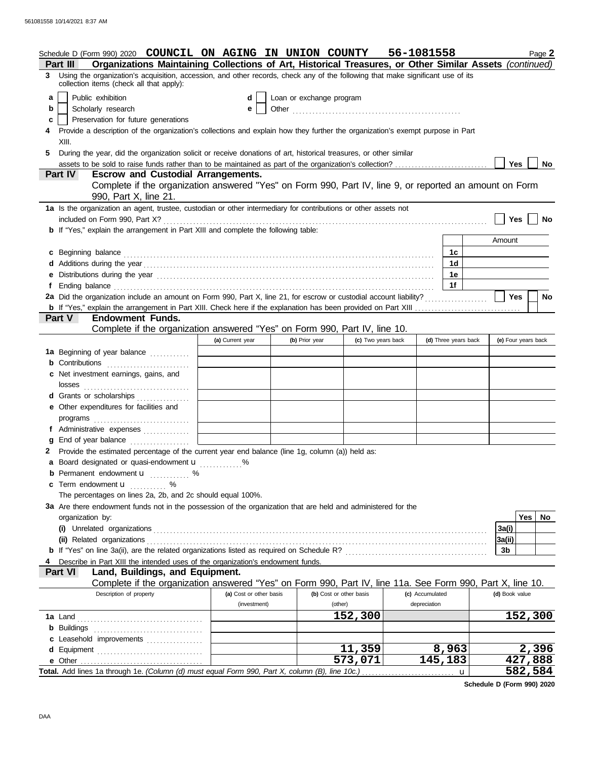|        | Schedule D (Form 990) 2020 COUNCIL ON AGING IN UNION COUNTY<br>Organizations Maintaining Collections of Art, Historical Treasures, or Other Similar Assets (continued)<br><b>Part III</b>                                     |                         |                |                          | 56-1081558      |                      |                  | Page 2              |  |
|--------|-------------------------------------------------------------------------------------------------------------------------------------------------------------------------------------------------------------------------------|-------------------------|----------------|--------------------------|-----------------|----------------------|------------------|---------------------|--|
|        | 3 Using the organization's acquisition, accession, and other records, check any of the following that make significant use of its                                                                                             |                         |                |                          |                 |                      |                  |                     |  |
| a<br>b | collection items (check all that apply):<br>Public exhibition<br>Scholarly research                                                                                                                                           | d<br>е                  |                | Loan or exchange program |                 |                      |                  |                     |  |
| c      | Preservation for future generations<br>Provide a description of the organization's collections and explain how they further the organization's exempt purpose in Part                                                         |                         |                |                          |                 |                      |                  |                     |  |
|        | XIII.                                                                                                                                                                                                                         |                         |                |                          |                 |                      |                  |                     |  |
| 5      | During the year, did the organization solicit or receive donations of art, historical treasures, or other similar                                                                                                             |                         |                |                          |                 |                      |                  |                     |  |
|        | Part IV<br><b>Escrow and Custodial Arrangements.</b>                                                                                                                                                                          |                         |                |                          |                 |                      | Yes              | No                  |  |
|        | Complete if the organization answered "Yes" on Form 990, Part IV, line 9, or reported an amount on Form<br>990, Part X, line 21.                                                                                              |                         |                |                          |                 |                      |                  |                     |  |
|        | 1a Is the organization an agent, trustee, custodian or other intermediary for contributions or other assets not                                                                                                               |                         |                |                          |                 |                      |                  |                     |  |
|        | included on Form 990, Part X?                                                                                                                                                                                                 |                         |                |                          |                 |                      | <b>Yes</b>       | No                  |  |
|        | <b>b</b> If "Yes," explain the arrangement in Part XIII and complete the following table:                                                                                                                                     |                         |                |                          |                 |                      | Amount           |                     |  |
|        | c Beginning balance                                                                                                                                                                                                           |                         |                |                          |                 | 1c                   |                  |                     |  |
|        |                                                                                                                                                                                                                               |                         |                |                          |                 | 1 <sub>d</sub>       |                  |                     |  |
|        | e Distributions during the year manufactured contains and the year manufactured with the year manufactured with the set of the set of the set of the set of the set of the set of the set of the set of the set of the set of |                         |                |                          |                 | 1e                   |                  |                     |  |
|        |                                                                                                                                                                                                                               |                         |                |                          |                 | 1 <sub>f</sub>       |                  |                     |  |
|        | 2a Did the organization include an amount on Form 990, Part X, line 21, for escrow or custodial account liability?                                                                                                            |                         |                |                          |                 |                      | Yes              | <b>No</b>           |  |
|        |                                                                                                                                                                                                                               |                         |                |                          |                 |                      |                  |                     |  |
|        | <b>Endowment Funds.</b><br>Part V<br>Complete if the organization answered "Yes" on Form 990, Part IV, line 10.                                                                                                               |                         |                |                          |                 |                      |                  |                     |  |
|        |                                                                                                                                                                                                                               | (a) Current year        | (b) Prior year | (c) Two years back       |                 | (d) Three years back |                  | (e) Four years back |  |
|        | 1a Beginning of year balance                                                                                                                                                                                                  |                         |                |                          |                 |                      |                  |                     |  |
|        | <b>b</b> Contributions <b>contributions</b>                                                                                                                                                                                   |                         |                |                          |                 |                      |                  |                     |  |
|        | c Net investment earnings, gains, and                                                                                                                                                                                         |                         |                |                          |                 |                      |                  |                     |  |
|        |                                                                                                                                                                                                                               |                         |                |                          |                 |                      |                  |                     |  |
|        | d Grants or scholarships                                                                                                                                                                                                      |                         |                |                          |                 |                      |                  |                     |  |
|        | e Other expenditures for facilities and                                                                                                                                                                                       |                         |                |                          |                 |                      |                  |                     |  |
|        | programs                                                                                                                                                                                                                      |                         |                |                          |                 |                      |                  |                     |  |
| g      | f Administrative expenses<br>End of year balance                                                                                                                                                                              |                         |                |                          |                 |                      |                  |                     |  |
|        | 2 Provide the estimated percentage of the current year end balance (line 1g, column (a)) held as:                                                                                                                             |                         |                |                          |                 |                      |                  |                     |  |
|        | a Board designated or quasi-endowment u                                                                                                                                                                                       |                         |                |                          |                 |                      |                  |                     |  |
|        | <b>b</b> Permanent endowment $\mathbf{u}$ %                                                                                                                                                                                   |                         |                |                          |                 |                      |                  |                     |  |
|        | c Term endowment <b>u</b>                                                                                                                                                                                                     |                         |                |                          |                 |                      |                  |                     |  |
|        | The percentages on lines 2a, 2b, and 2c should equal 100%.                                                                                                                                                                    |                         |                |                          |                 |                      |                  |                     |  |
|        | 3a Are there endowment funds not in the possession of the organization that are held and administered for the                                                                                                                 |                         |                |                          |                 |                      |                  |                     |  |
|        | organization by:                                                                                                                                                                                                              |                         |                |                          |                 |                      |                  | Yes<br>No           |  |
|        |                                                                                                                                                                                                                               |                         |                |                          |                 |                      | 3a(i)<br> 3a(ii) |                     |  |
|        |                                                                                                                                                                                                                               |                         |                |                          |                 |                      | 3b               |                     |  |
|        | Describe in Part XIII the intended uses of the organization's endowment funds.                                                                                                                                                |                         |                |                          |                 |                      |                  |                     |  |
|        | Part VI<br>Land, Buildings, and Equipment.                                                                                                                                                                                    |                         |                |                          |                 |                      |                  |                     |  |
|        | Complete if the organization answered "Yes" on Form 990, Part IV, line 11a. See Form 990, Part X, line 10.                                                                                                                    |                         |                |                          |                 |                      |                  |                     |  |
|        | Description of property                                                                                                                                                                                                       | (a) Cost or other basis |                | (b) Cost or other basis  | (c) Accumulated |                      | (d) Book value   |                     |  |
|        |                                                                                                                                                                                                                               | (investment)            |                | (other)                  | depreciation    |                      |                  |                     |  |
|        |                                                                                                                                                                                                                               |                         |                | 152,300                  |                 |                      |                  | 152,300             |  |
|        | c Leasehold improvements                                                                                                                                                                                                      |                         |                |                          |                 |                      |                  |                     |  |
|        | d Equipment                                                                                                                                                                                                                   |                         |                | 11,359                   |                 | 8,963                |                  | 2,396               |  |
|        |                                                                                                                                                                                                                               |                         |                | 573,071                  |                 | 145,183              |                  | 427,888             |  |
|        |                                                                                                                                                                                                                               |                         |                |                          |                 |                      |                  | 582,584             |  |

**Schedule D (Form 990) 2020**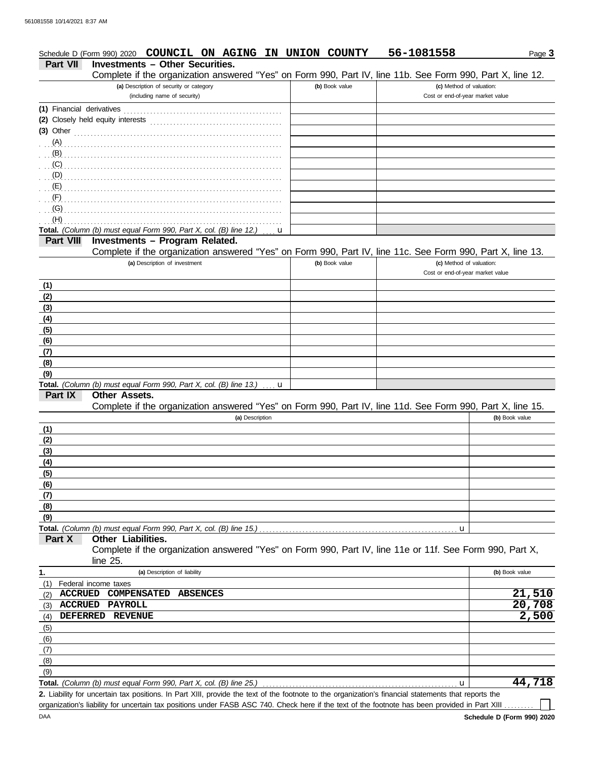|                           | Schedule D (Form 990) 2020 COUNCIL ON AGING IN UNION COUNTY                                                                                          |                | 56-1081558                                                   |                | Page 3 |
|---------------------------|------------------------------------------------------------------------------------------------------------------------------------------------------|----------------|--------------------------------------------------------------|----------------|--------|
| <b>Part VII</b>           | <b>Investments - Other Securities.</b>                                                                                                               |                |                                                              |                |        |
|                           | Complete if the organization answered "Yes" on Form 990, Part IV, line 11b. See Form 990, Part X, line 12.                                           |                |                                                              |                |        |
|                           | (a) Description of security or category<br>(including name of security)                                                                              | (b) Book value | (c) Method of valuation:<br>Cost or end-of-year market value |                |        |
| (1) Financial derivatives |                                                                                                                                                      |                |                                                              |                |        |
|                           | (2) Closely held equity interests                                                                                                                    |                |                                                              |                |        |
|                           | (3) Other $\ldots$ and $\ldots$                                                                                                                      |                |                                                              |                |        |
|                           |                                                                                                                                                      |                |                                                              |                |        |
| (B)                       |                                                                                                                                                      |                |                                                              |                |        |
| (C)<br>(D)                |                                                                                                                                                      |                |                                                              |                |        |
| (E)                       |                                                                                                                                                      |                |                                                              |                |        |
| (F)                       |                                                                                                                                                      |                |                                                              |                |        |
| (G)                       |                                                                                                                                                      |                |                                                              |                |        |
| (H)                       |                                                                                                                                                      |                |                                                              |                |        |
|                           | Total. (Column (b) must equal Form 990, Part X, col. (B) line 12.)<br>u                                                                              |                |                                                              |                |        |
| <b>Part VIII</b>          | Investments - Program Related.                                                                                                                       |                |                                                              |                |        |
|                           | Complete if the organization answered "Yes" on Form 990, Part IV, line 11c. See Form 990, Part X, line 13.                                           |                |                                                              |                |        |
|                           | (a) Description of investment                                                                                                                        | (b) Book value | (c) Method of valuation:<br>Cost or end-of-year market value |                |        |
| (1)                       |                                                                                                                                                      |                |                                                              |                |        |
| (2)                       |                                                                                                                                                      |                |                                                              |                |        |
| (3)                       |                                                                                                                                                      |                |                                                              |                |        |
| (4)                       |                                                                                                                                                      |                |                                                              |                |        |
| (5)                       |                                                                                                                                                      |                |                                                              |                |        |
| (6)                       |                                                                                                                                                      |                |                                                              |                |        |
| (7)                       |                                                                                                                                                      |                |                                                              |                |        |
| (8)                       |                                                                                                                                                      |                |                                                              |                |        |
| (9)                       | Total. (Column (b) must equal Form 990, Part X, col. (B) line 13.)<br>u                                                                              |                |                                                              |                |        |
| Part IX                   | Other Assets.                                                                                                                                        |                |                                                              |                |        |
|                           | Complete if the organization answered "Yes" on Form 990, Part IV, line 11d. See Form 990, Part X, line 15.                                           |                |                                                              |                |        |
|                           | (a) Description                                                                                                                                      |                |                                                              | (b) Book value |        |
| (1)                       |                                                                                                                                                      |                |                                                              |                |        |
| (2)                       |                                                                                                                                                      |                |                                                              |                |        |
| (3)                       |                                                                                                                                                      |                |                                                              |                |        |
| (4)                       |                                                                                                                                                      |                |                                                              |                |        |
| (5)                       |                                                                                                                                                      |                |                                                              |                |        |
| (6)<br>(7)                |                                                                                                                                                      |                |                                                              |                |        |
| (8)                       |                                                                                                                                                      |                |                                                              |                |        |
| (9)                       |                                                                                                                                                      |                |                                                              |                |        |
|                           | Total. (Column (b) must equal Form 990, Part X, col. (B) line 15.)                                                                                   |                | u                                                            |                |        |
| Part X                    | Other Liabilities.<br>Complete if the organization answered "Yes" on Form 990, Part IV, line 11e or 11f. See Form 990, Part X,                       |                |                                                              |                |        |
| 1.                        | $line 25$ .<br>(a) Description of liability                                                                                                          |                |                                                              | (b) Book value |        |
| (1)                       | Federal income taxes                                                                                                                                 |                |                                                              |                |        |
| <b>ACCRUED</b><br>(2)     | <b>COMPENSATED</b><br><b>ABSENCES</b>                                                                                                                |                |                                                              |                | 21,510 |
| <b>ACCRUED</b><br>(3)     | <b>PAYROLL</b>                                                                                                                                       |                |                                                              |                | 20,708 |
| <b>DEFERRED</b><br>(4)    | <b>REVENUE</b>                                                                                                                                       |                |                                                              |                | 2,500  |
| (5)                       |                                                                                                                                                      |                |                                                              |                |        |
| (6)                       |                                                                                                                                                      |                |                                                              |                |        |
| (7)                       |                                                                                                                                                      |                |                                                              |                |        |
| (8)                       |                                                                                                                                                      |                |                                                              |                |        |
| (9)                       | Total. (Column (b) must equal Form 990, Part X, col. (B) line 25.)                                                                                   |                | u                                                            |                | 44,718 |
|                           | 2. Liability for uncertain tax positions. In Part XIII, provide the text of the footnote to the organization's financial statements that reports the |                |                                                              |                |        |

organization's liability for uncertain tax positions under FASB ASC 740. Check here if the text of the footnote has been provided in Part XIII .........

 $\Box$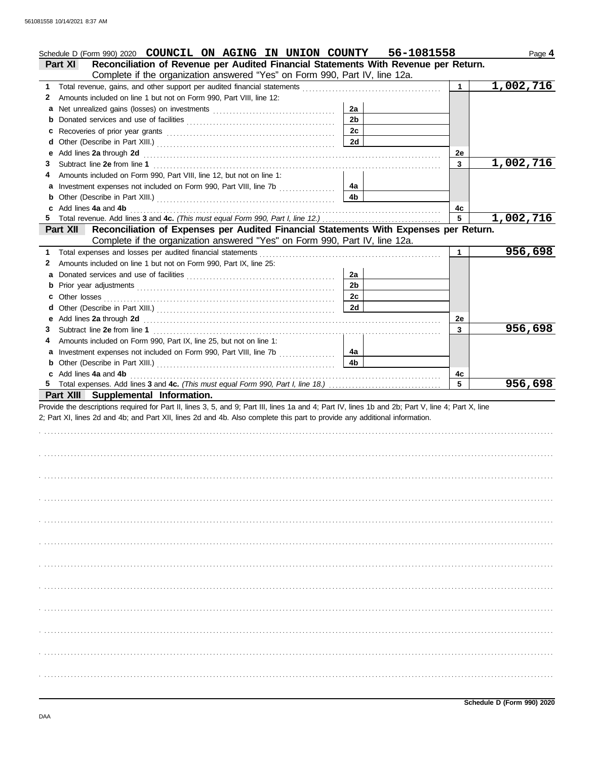|   | Schedule D (Form 990) 2020 COUNCIL ON AGING IN UNION COUNTY 56-1081558                                                                             |                |             | Page 4    |
|---|----------------------------------------------------------------------------------------------------------------------------------------------------|----------------|-------------|-----------|
|   | Reconciliation of Revenue per Audited Financial Statements With Revenue per Return.<br>Part XI                                                     |                |             |           |
|   | Complete if the organization answered "Yes" on Form 990, Part IV, line 12a.                                                                        |                |             |           |
| 1 |                                                                                                                                                    |                | 1           | 1,002,716 |
| 2 | Amounts included on line 1 but not on Form 990, Part VIII, line 12:                                                                                |                |             |           |
| a |                                                                                                                                                    | 2a             |             |           |
| b |                                                                                                                                                    | 2 <sub>b</sub> |             |           |
| c |                                                                                                                                                    | 2c             |             |           |
| d |                                                                                                                                                    | 2d             |             |           |
| е | Add lines 2a through 2d                                                                                                                            |                | 2e          |           |
| 3 |                                                                                                                                                    |                | 3           | 1,002,716 |
|   | Amounts included on Form 990, Part VIII, line 12, but not on line 1:                                                                               |                |             |           |
| a | Investment expenses not included on Form 990, Part VIII, line 7b [[[[[[[[[[[[[[[[[[[[[[[[[]]]]]]]]]                                                | 4a             |             |           |
| b |                                                                                                                                                    | 4b             |             |           |
|   | Add lines 4a and 4b                                                                                                                                |                | 4c          |           |
| 5 |                                                                                                                                                    |                | 5           | 1,002,716 |
|   | Reconciliation of Expenses per Audited Financial Statements With Expenses per Return.<br><b>Part XII</b>                                           |                |             |           |
|   | Complete if the organization answered "Yes" on Form 990, Part IV, line 12a.                                                                        |                |             |           |
| 1 | Total expenses and losses per audited financial statements                                                                                         |                | $\mathbf 1$ | 956,698   |
| 2 | Amounts included on line 1 but not on Form 990, Part IX, line 25:                                                                                  |                |             |           |
| а |                                                                                                                                                    | 2a             |             |           |
| b |                                                                                                                                                    | 2 <sub>b</sub> |             |           |
| c |                                                                                                                                                    | 2c             |             |           |
| d |                                                                                                                                                    | 2d             |             |           |
| е |                                                                                                                                                    |                | 2e          |           |
| 3 |                                                                                                                                                    |                | 3           | 956,698   |
|   | Amounts included on Form 990, Part IX, line 25, but not on line 1:                                                                                 |                |             |           |
| a | Investment expenses not included on Form 990, Part VIII, line 7b [                                                                                 | 4a             |             |           |
| b |                                                                                                                                                    | 4b             |             |           |
|   |                                                                                                                                                    |                |             |           |
|   | c Add lines 4a and 4b                                                                                                                              |                | 4с          |           |
|   |                                                                                                                                                    |                | 5           | 956,698   |
|   | Part XIII Supplemental Information.                                                                                                                |                |             |           |
|   | Provide the descriptions required for Part II, lines 3, 5, and 9; Part III, lines 1a and 4; Part IV, lines 1b and 2b; Part V, line 4; Part X, line |                |             |           |
|   | 2; Part XI, lines 2d and 4b; and Part XII, lines 2d and 4b. Also complete this part to provide any additional information.                         |                |             |           |
|   |                                                                                                                                                    |                |             |           |
|   |                                                                                                                                                    |                |             |           |
|   |                                                                                                                                                    |                |             |           |
|   |                                                                                                                                                    |                |             |           |
|   |                                                                                                                                                    |                |             |           |
|   |                                                                                                                                                    |                |             |           |
|   |                                                                                                                                                    |                |             |           |
|   |                                                                                                                                                    |                |             |           |
|   |                                                                                                                                                    |                |             |           |
|   |                                                                                                                                                    |                |             |           |
|   |                                                                                                                                                    |                |             |           |
|   |                                                                                                                                                    |                |             |           |
|   |                                                                                                                                                    |                |             |           |
|   |                                                                                                                                                    |                |             |           |
|   |                                                                                                                                                    |                |             |           |
|   |                                                                                                                                                    |                |             |           |
|   |                                                                                                                                                    |                |             |           |
|   |                                                                                                                                                    |                |             |           |
|   |                                                                                                                                                    |                |             |           |
|   |                                                                                                                                                    |                |             |           |
|   |                                                                                                                                                    |                |             |           |
|   |                                                                                                                                                    |                |             |           |
|   |                                                                                                                                                    |                |             |           |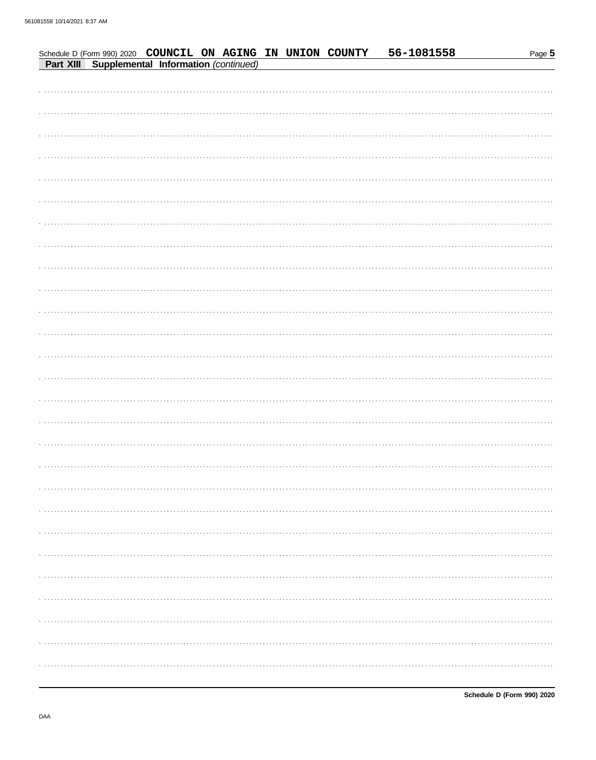| Schedule D (Form 990) 2020 COUNCIL ON AGING IN UNION COUNTY<br>Part XIII Supplemental Information (continued) |  |  |  |  | 56-1081558 |  | Page 5 |
|---------------------------------------------------------------------------------------------------------------|--|--|--|--|------------|--|--------|
|                                                                                                               |  |  |  |  |            |  |        |
|                                                                                                               |  |  |  |  |            |  |        |
|                                                                                                               |  |  |  |  |            |  |        |
|                                                                                                               |  |  |  |  |            |  |        |
|                                                                                                               |  |  |  |  |            |  |        |
|                                                                                                               |  |  |  |  |            |  |        |
|                                                                                                               |  |  |  |  |            |  |        |
|                                                                                                               |  |  |  |  |            |  |        |
|                                                                                                               |  |  |  |  |            |  |        |
|                                                                                                               |  |  |  |  |            |  |        |
|                                                                                                               |  |  |  |  |            |  |        |
|                                                                                                               |  |  |  |  |            |  |        |
|                                                                                                               |  |  |  |  |            |  |        |
|                                                                                                               |  |  |  |  |            |  |        |
|                                                                                                               |  |  |  |  |            |  |        |
|                                                                                                               |  |  |  |  |            |  |        |
|                                                                                                               |  |  |  |  |            |  |        |
|                                                                                                               |  |  |  |  |            |  |        |
|                                                                                                               |  |  |  |  |            |  |        |
|                                                                                                               |  |  |  |  |            |  |        |
|                                                                                                               |  |  |  |  |            |  |        |
|                                                                                                               |  |  |  |  |            |  |        |
|                                                                                                               |  |  |  |  |            |  |        |
|                                                                                                               |  |  |  |  |            |  |        |
|                                                                                                               |  |  |  |  |            |  |        |
|                                                                                                               |  |  |  |  |            |  |        |
|                                                                                                               |  |  |  |  |            |  |        |
|                                                                                                               |  |  |  |  |            |  |        |
|                                                                                                               |  |  |  |  |            |  |        |
|                                                                                                               |  |  |  |  |            |  |        |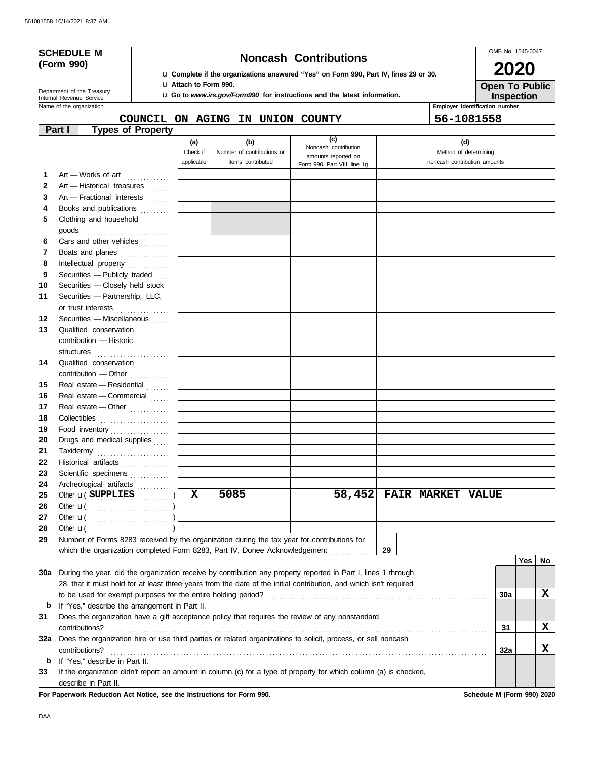# **(Form 990)**

# **SCHEDULE M Noncash Contributions**

u **Complete if the organizations answered "Yes" on Form 990, Part IV, lines 29 or 30.** u **Attach to Form 990.**

u **Go to** *www.irs.gov/Form990* **for instructions and the latest information.**

OMB No. 1545-0047 **2020**

**Inspection Open To Public**

Name of the organization **Employer is a structure of the organization Employer is a structure of the organization** Internal Revenue Service Department of the Treasury

# **COUNCIL ON AGING IN UNION COUNTY 56-1081558**

| er identification number |  |
|--------------------------|--|

|              | Part I               | <b>Types of Property</b>                                                                       |            |                            |                                                                                                                    |    |                          |                              |     |     |
|--------------|----------------------|------------------------------------------------------------------------------------------------|------------|----------------------------|--------------------------------------------------------------------------------------------------------------------|----|--------------------------|------------------------------|-----|-----|
|              |                      |                                                                                                | (a)        | (b)                        | (c)                                                                                                                |    |                          | (d)                          |     |     |
|              |                      |                                                                                                | Check if   | Number of contributions or | Noncash contribution<br>amounts reported on                                                                        |    |                          | Method of determining        |     |     |
|              |                      |                                                                                                | applicable | items contributed          | Form 990, Part VIII, line 1g                                                                                       |    |                          | noncash contribution amounts |     |     |
| 1            |                      | Art - Works of art                                                                             |            |                            |                                                                                                                    |    |                          |                              |     |     |
| $\mathbf{2}$ |                      | Art - Historical treasures                                                                     |            |                            |                                                                                                                    |    |                          |                              |     |     |
| 3            |                      | Art - Fractional interests                                                                     |            |                            |                                                                                                                    |    |                          |                              |     |     |
| 4            |                      | Books and publications                                                                         |            |                            |                                                                                                                    |    |                          |                              |     |     |
| 5            |                      | Clothing and household                                                                         |            |                            |                                                                                                                    |    |                          |                              |     |     |
|              |                      |                                                                                                |            |                            |                                                                                                                    |    |                          |                              |     |     |
| 6            |                      | Cars and other vehicles                                                                        |            |                            |                                                                                                                    |    |                          |                              |     |     |
| 7            |                      | Boats and planes                                                                               |            |                            |                                                                                                                    |    |                          |                              |     |     |
| 8            |                      | Intellectual property                                                                          |            |                            |                                                                                                                    |    |                          |                              |     |     |
| 9            |                      | Securities - Publicly traded                                                                   |            |                            |                                                                                                                    |    |                          |                              |     |     |
| 10           |                      | Securities - Closely held stock                                                                |            |                            |                                                                                                                    |    |                          |                              |     |     |
| 11           |                      | Securities - Partnership, LLC,                                                                 |            |                            |                                                                                                                    |    |                          |                              |     |     |
|              |                      | or trust interests                                                                             |            |                            |                                                                                                                    |    |                          |                              |     |     |
| 12           |                      | Securities - Miscellaneous                                                                     |            |                            |                                                                                                                    |    |                          |                              |     |     |
| 13           |                      | Qualified conservation                                                                         |            |                            |                                                                                                                    |    |                          |                              |     |     |
|              |                      | contribution - Historic                                                                        |            |                            |                                                                                                                    |    |                          |                              |     |     |
|              |                      | structures                                                                                     |            |                            |                                                                                                                    |    |                          |                              |     |     |
| 14           |                      | Qualified conservation                                                                         |            |                            |                                                                                                                    |    |                          |                              |     |     |
|              |                      | contribution - Other                                                                           |            |                            |                                                                                                                    |    |                          |                              |     |     |
| 15           |                      | Real estate - Residential                                                                      |            |                            |                                                                                                                    |    |                          |                              |     |     |
| 16           |                      | Real estate - Commercial                                                                       |            |                            |                                                                                                                    |    |                          |                              |     |     |
| 17           |                      | Real estate - Other                                                                            |            |                            |                                                                                                                    |    |                          |                              |     |     |
| 18           |                      | Collectibles                                                                                   |            |                            |                                                                                                                    |    |                          |                              |     |     |
| 19           |                      | Food inventory                                                                                 |            |                            |                                                                                                                    |    |                          |                              |     |     |
| 20           |                      | Drugs and medical supplies                                                                     |            |                            |                                                                                                                    |    |                          |                              |     |     |
| 21           |                      | Taxidermy                                                                                      |            |                            |                                                                                                                    |    |                          |                              |     |     |
| 22           |                      | Historical artifacts                                                                           |            |                            |                                                                                                                    |    |                          |                              |     |     |
| 23           |                      | Scientific specimens                                                                           |            |                            |                                                                                                                    |    |                          |                              |     |     |
| 24           |                      | Archeological artifacts                                                                        |            |                            |                                                                                                                    |    |                          |                              |     |     |
| 25           |                      | Other <b>u</b> (SUPPLIES                                                                       | x          | 5085                       | 58,452                                                                                                             |    | <b>FAIR MARKET VALUE</b> |                              |     |     |
| 26           |                      |                                                                                                |            |                            |                                                                                                                    |    |                          |                              |     |     |
| 27           |                      |                                                                                                |            |                            |                                                                                                                    |    |                          |                              |     |     |
| 28           | Other $\mathbf{u}$ ( |                                                                                                |            |                            |                                                                                                                    |    |                          |                              |     |     |
|              |                      | 29 Number of Forms 8283 received by the organization during the tax year for contributions for |            |                            |                                                                                                                    |    |                          |                              |     |     |
|              |                      | which the organization completed Form 8283, Part IV, Donee Acknowledgement                     |            |                            |                                                                                                                    | 29 |                          |                              |     |     |
|              |                      |                                                                                                |            |                            |                                                                                                                    |    |                          |                              | Yes | No. |
| 30a          |                      |                                                                                                |            |                            | During the year, did the organization receive by contribution any property reported in Part I, lines 1 through     |    |                          |                              |     |     |
|              |                      |                                                                                                |            |                            | 28, that it must hold for at least three years from the date of the initial contribution, and which isn't required |    |                          |                              |     |     |
|              |                      |                                                                                                |            |                            |                                                                                                                    |    |                          | 30a                          |     | x   |
| b            |                      | If "Yes," describe the arrangement in Part II.                                                 |            |                            |                                                                                                                    |    |                          |                              |     |     |
| 31           |                      |                                                                                                |            |                            | Does the organization have a gift acceptance policy that requires the review of any nonstandard                    |    |                          |                              |     |     |
|              | contributions?       |                                                                                                |            |                            |                                                                                                                    |    |                          | 31                           |     | X   |
| 32a          |                      |                                                                                                |            |                            | Does the organization hire or use third parties or related organizations to solicit, process, or sell noncash      |    |                          |                              |     |     |
|              | contributions?       |                                                                                                |            |                            |                                                                                                                    |    |                          | 32a                          |     | X   |
| b            |                      | If "Yes," describe in Part II.                                                                 |            |                            |                                                                                                                    |    |                          |                              |     |     |
| 33           |                      |                                                                                                |            |                            | If the organization didn't report an amount in column (c) for a type of property for which column (a) is checked,  |    |                          |                              |     |     |
|              | describe in Part II. |                                                                                                |            |                            |                                                                                                                    |    |                          |                              |     |     |

**For Paperwork Reduction Act Notice, see the Instructions for Form 990. Schedule M (Form 990) 2020**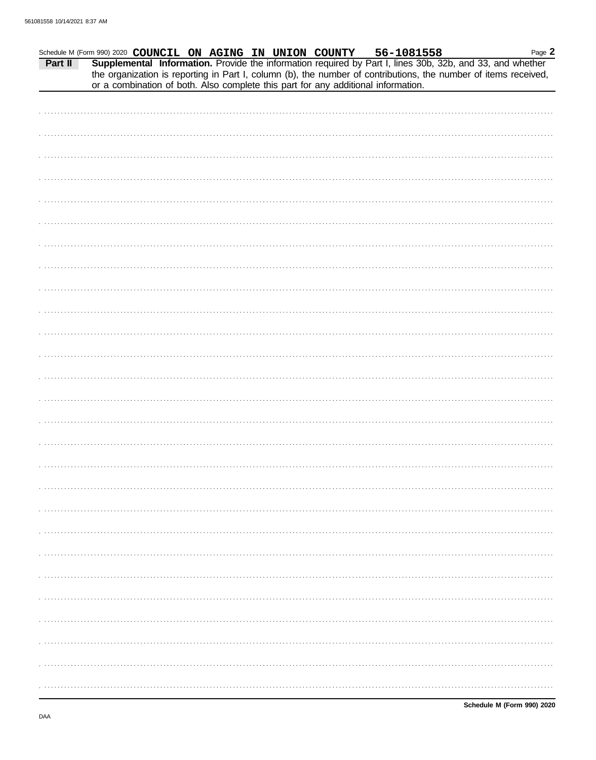| Schedule M (Form 990) 2020 COUNCIL ON AGING IN UNION COUNTY 56-1081558 Page Page Page<br>Page 2<br>the organization is reporting in Part I, column (b), the number of contributions, the number of items received, |
|--------------------------------------------------------------------------------------------------------------------------------------------------------------------------------------------------------------------|
| or a combination of both. Also complete this part for any additional information.                                                                                                                                  |
|                                                                                                                                                                                                                    |
|                                                                                                                                                                                                                    |
|                                                                                                                                                                                                                    |
|                                                                                                                                                                                                                    |
|                                                                                                                                                                                                                    |
|                                                                                                                                                                                                                    |
|                                                                                                                                                                                                                    |
|                                                                                                                                                                                                                    |
|                                                                                                                                                                                                                    |
|                                                                                                                                                                                                                    |
|                                                                                                                                                                                                                    |
|                                                                                                                                                                                                                    |
|                                                                                                                                                                                                                    |
|                                                                                                                                                                                                                    |
|                                                                                                                                                                                                                    |
|                                                                                                                                                                                                                    |
|                                                                                                                                                                                                                    |
|                                                                                                                                                                                                                    |
|                                                                                                                                                                                                                    |
|                                                                                                                                                                                                                    |
|                                                                                                                                                                                                                    |
|                                                                                                                                                                                                                    |
|                                                                                                                                                                                                                    |
|                                                                                                                                                                                                                    |
|                                                                                                                                                                                                                    |
|                                                                                                                                                                                                                    |
|                                                                                                                                                                                                                    |
|                                                                                                                                                                                                                    |
|                                                                                                                                                                                                                    |
|                                                                                                                                                                                                                    |
|                                                                                                                                                                                                                    |
|                                                                                                                                                                                                                    |
|                                                                                                                                                                                                                    |
|                                                                                                                                                                                                                    |
|                                                                                                                                                                                                                    |
|                                                                                                                                                                                                                    |
|                                                                                                                                                                                                                    |
|                                                                                                                                                                                                                    |
|                                                                                                                                                                                                                    |